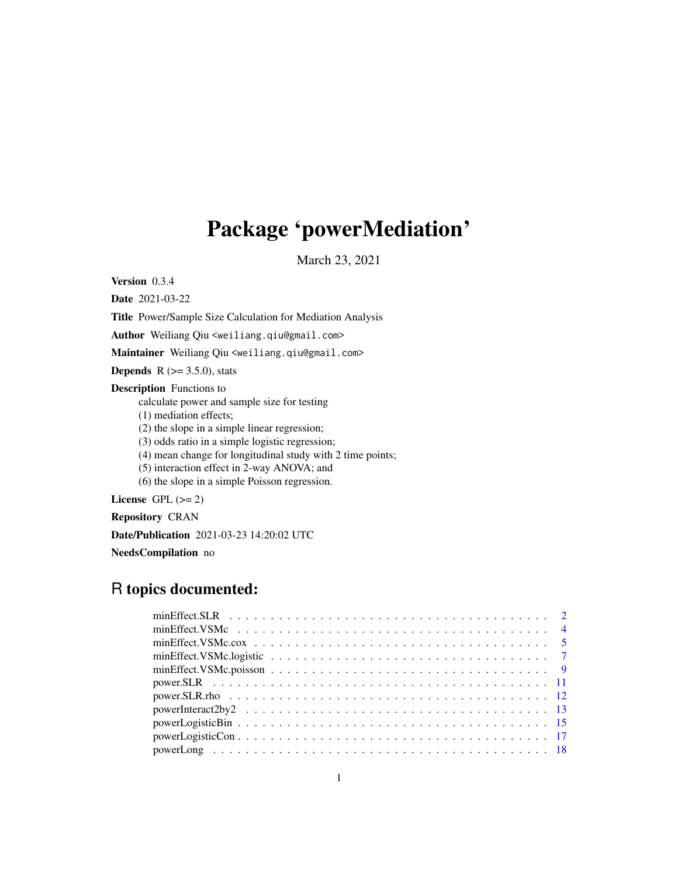# Package 'powerMediation'

March 23, 2021

Version 0.3.4

Date 2021-03-22

Title Power/Sample Size Calculation for Mediation Analysis

Author Weiliang Qiu <weiliang.qiu@gmail.com>

Maintainer Weiliang Qiu <weiliang.qiu@gmail.com>

**Depends** R  $(>= 3.5.0)$ , stats

Description Functions to

calculate power and sample size for testing

(1) mediation effects;

(2) the slope in a simple linear regression;

(3) odds ratio in a simple logistic regression;

(4) mean change for longitudinal study with 2 time points;

(5) interaction effect in 2-way ANOVA; and

(6) the slope in a simple Poisson regression.

License GPL  $(>= 2)$ 

Repository CRAN

Date/Publication 2021-03-23 14:20:02 UTC

NeedsCompilation no

# R topics documented: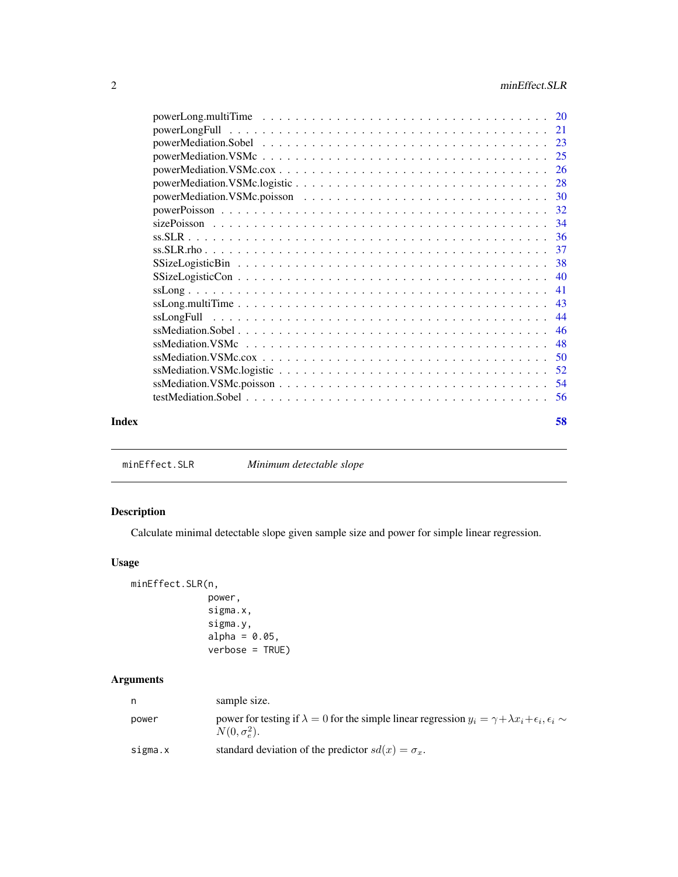<span id="page-1-0"></span>

| ssLongFull<br>Index |  |    |
|---------------------|--|----|
|                     |  |    |
|                     |  |    |
|                     |  |    |
|                     |  |    |
|                     |  |    |
|                     |  |    |
|                     |  |    |
|                     |  |    |
|                     |  |    |
|                     |  |    |
|                     |  |    |
|                     |  |    |
|                     |  |    |
|                     |  |    |
|                     |  |    |
|                     |  |    |
|                     |  |    |
|                     |  |    |
|                     |  |    |
|                     |  |    |
|                     |  |    |
|                     |  | 58 |

<span id="page-1-1"></span>minEffect.SLR *Minimum detectable slope*

# Description

Calculate minimal detectable slope given sample size and power for simple linear regression.

# Usage

```
minEffect.SLR(n,
              power,
              sigma.x,
              sigma.y,
              alpha = 0.05,
              verbose = TRUE)
```
# Arguments

|         | sample size.                                                                                                                                              |
|---------|-----------------------------------------------------------------------------------------------------------------------------------------------------------|
| power   | power for testing if $\lambda = 0$ for the simple linear regression $y_i = \gamma + \lambda x_i + \epsilon_i$ , $\epsilon_i \sim$<br>$N(0, \sigma_e^2)$ . |
| sigma.x | standard deviation of the predictor $sd(x) = \sigma_x$ .                                                                                                  |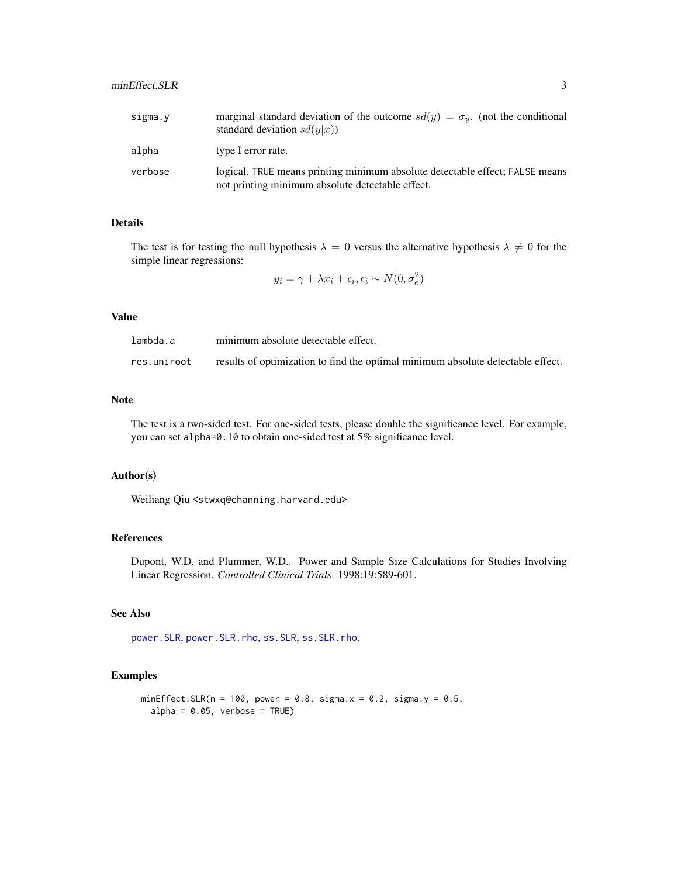# <span id="page-2-0"></span>minEffect.SLR 3

| sigma.y | marginal standard deviation of the outcome $sd(y) = \sigma_y$ . (not the conditional<br>standard deviation $sd(y x)$             |
|---------|----------------------------------------------------------------------------------------------------------------------------------|
| alpha   | type I error rate.                                                                                                               |
| verbose | logical. TRUE means printing minimum absolute detectable effect; FALSE means<br>not printing minimum absolute detectable effect. |

# Details

The test is for testing the null hypothesis  $\lambda = 0$  versus the alternative hypothesis  $\lambda \neq 0$  for the simple linear regressions:

$$
y_i = \gamma + \lambda x_i + \epsilon_i, \epsilon_i \sim N(0, \sigma_e^2)
$$

# Value

| lambda.a    | minimum absolute detectable effect.                                             |
|-------------|---------------------------------------------------------------------------------|
| res.uniroot | results of optimization to find the optimal minimum absolute detectable effect. |

#### Note

The test is a two-sided test. For one-sided tests, please double the significance level. For example, you can set alpha=0.10 to obtain one-sided test at 5% significance level.

# Author(s)

Weiliang Qiu <stwxq@channing.harvard.edu>

# References

Dupont, W.D. and Plummer, W.D.. Power and Sample Size Calculations for Studies Involving Linear Regression. *Controlled Clinical Trials*. 1998;19:589-601.

# See Also

[power.SLR](#page-10-1), [power.SLR.rho](#page-11-1), [ss.SLR](#page-35-1), [ss.SLR.rho](#page-36-1).

```
minEffect.SLR(n = 100, power = 0.8, sigma.x = 0.2, sigma.y = 0.5,
  alpha = 0.05, verbose = TRUE)
```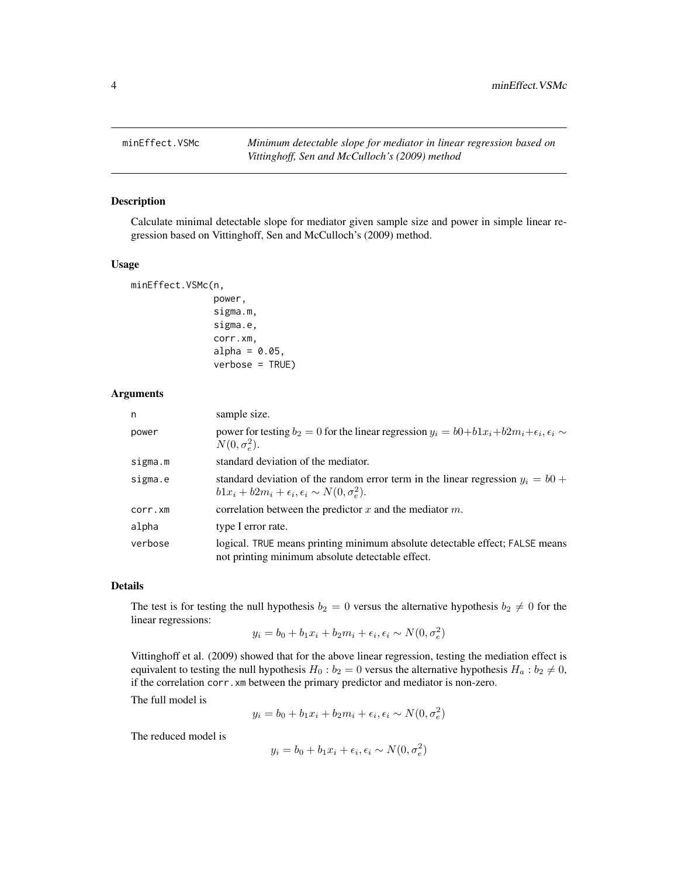<span id="page-3-1"></span><span id="page-3-0"></span>

# Description

Calculate minimal detectable slope for mediator given sample size and power in simple linear regression based on Vittinghoff, Sen and McCulloch's (2009) method.

#### Usage

```
minEffect.VSMc(n,
               power,
               sigma.m,
               sigma.e,
               corr.xm,
               alpha = 0.05,
               verbose = TRUE)
```
#### Arguments

| n       | sample size.                                                                                                                                          |
|---------|-------------------------------------------------------------------------------------------------------------------------------------------------------|
| power   | power for testing $b_2 = 0$ for the linear regression $y_i = b0 + b1x_i + b2m_i + \epsilon_i, \epsilon_i \sim$<br>$N(0, \sigma_e^2)$ .                |
| sigma.m | standard deviation of the mediator.                                                                                                                   |
| sigma.e | standard deviation of the random error term in the linear regression $y_i = b0$ +<br>$b1x_i + b2m_i + \epsilon_i, \epsilon_i \sim N(0, \sigma_e^2)$ . |
| corr.xm | correlation between the predictor x and the mediator $m$ .                                                                                            |
| alpha   | type I error rate.                                                                                                                                    |
| verbose | logical. TRUE means printing minimum absolute detectable effect; FALSE means<br>not printing minimum absolute detectable effect.                      |

#### Details

The test is for testing the null hypothesis  $b_2 = 0$  versus the alternative hypothesis  $b_2 \neq 0$  for the linear regressions:

$$
y_i = b_0 + b_1 x_i + b_2 m_i + \epsilon_i, \epsilon_i \sim N(0, \sigma_e^2)
$$

Vittinghoff et al. (2009) showed that for the above linear regression, testing the mediation effect is equivalent to testing the null hypothesis  $H_0 : b_2 = 0$  versus the alternative hypothesis  $H_a : b_2 \neq 0$ , if the correlation corr.xm between the primary predictor and mediator is non-zero.

The full model is

$$
y_i = b_0 + b_1 x_i + b_2 m_i + \epsilon_i, \epsilon_i \sim N(0, \sigma_e^2)
$$

The reduced model is

$$
y_i = b_0 + b_1 x_i + \epsilon_i, \epsilon_i \sim N(0, \sigma_e^2)
$$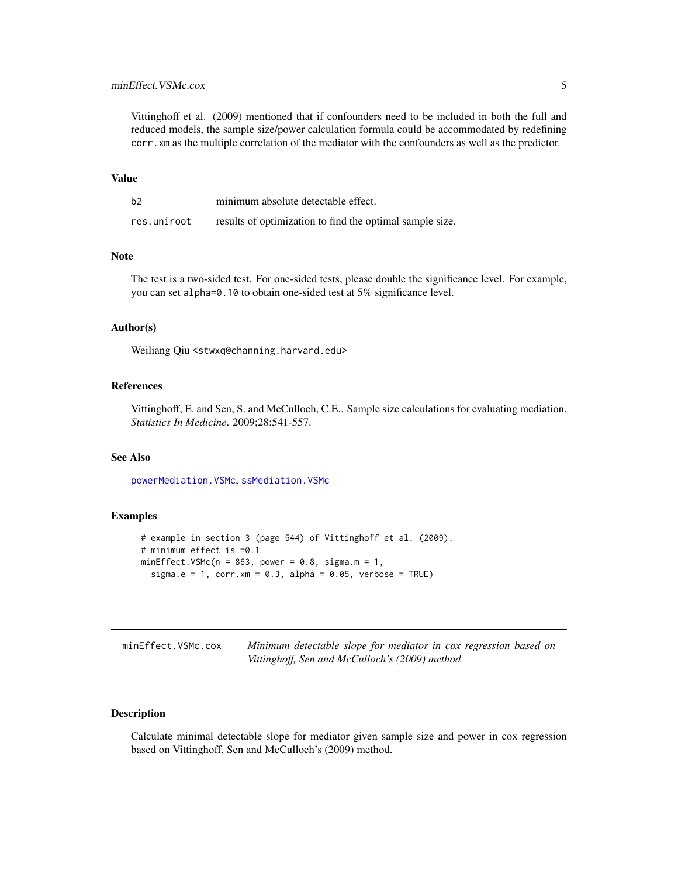<span id="page-4-0"></span>Vittinghoff et al. (2009) mentioned that if confounders need to be included in both the full and reduced models, the sample size/power calculation formula could be accommodated by redefining corr.xm as the multiple correlation of the mediator with the confounders as well as the predictor.

#### Value

| b2          | minimum absolute detectable effect.                      |
|-------------|----------------------------------------------------------|
| res.uniroot | results of optimization to find the optimal sample size. |

# Note

The test is a two-sided test. For one-sided tests, please double the significance level. For example, you can set alpha=0.10 to obtain one-sided test at 5% significance level.

# Author(s)

Weiliang Qiu <stwxq@channing.harvard.edu>

#### References

Vittinghoff, E. and Sen, S. and McCulloch, C.E.. Sample size calculations for evaluating mediation. *Statistics In Medicine*. 2009;28:541-557.

# See Also

[powerMediation.VSMc](#page-24-1), [ssMediation.VSMc](#page-47-1)

#### Examples

```
# example in section 3 (page 544) of Vittinghoff et al. (2009).
# minimum effect is =0.1
minEffect.VSMc(n = 863, power = 0.8, sigma.m = 1,
  sigma.e = 1, corr.xml = 0.3, alpha = 0.05, verbose = TRUE)
```
<span id="page-4-1"></span>

| minEffect.VSMc.cox | Minimum detectable slope for mediator in cox regression based on |
|--------------------|------------------------------------------------------------------|
|                    | Vittinghoff, Sen and McCulloch's (2009) method                   |

# Description

Calculate minimal detectable slope for mediator given sample size and power in cox regression based on Vittinghoff, Sen and McCulloch's (2009) method.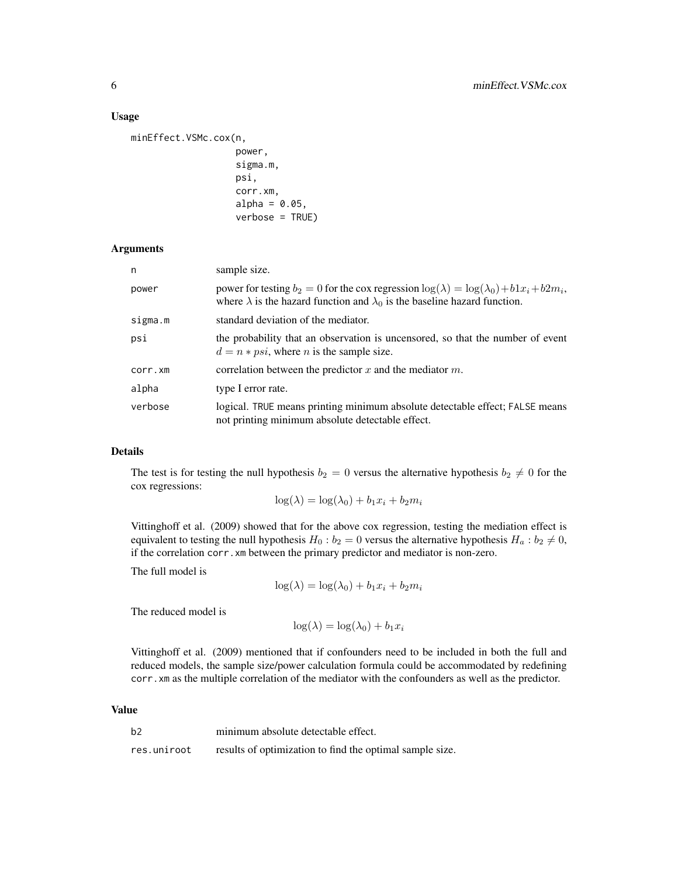#### Usage

```
minEffect.VSMc.cox(n,
                    power,
                    sigma.m,
                    psi,
                    corr.xm,
                    alpha = 0.05,
                    verbose = TRUE)
```
# Arguments

| n       | sample size.                                                                                                                                                                                      |
|---------|---------------------------------------------------------------------------------------------------------------------------------------------------------------------------------------------------|
| power   | power for testing $b_2 = 0$ for the cox regression $\log(\lambda) = \log(\lambda_0) + b1x_i + b2m_i$ ,<br>where $\lambda$ is the hazard function and $\lambda_0$ is the baseline hazard function. |
| sigma.m | standard deviation of the mediator.                                                                                                                                                               |
| psi     | the probability that an observation is uncensored, so that the number of event<br>$d = n * psi$ , where <i>n</i> is the sample size.                                                              |
| corr.xm | correlation between the predictor x and the mediator $m$ .                                                                                                                                        |
| alpha   | type I error rate.                                                                                                                                                                                |
| verbose | logical. TRUE means printing minimum absolute detectable effect; FALSE means<br>not printing minimum absolute detectable effect.                                                                  |

# Details

The test is for testing the null hypothesis  $b_2 = 0$  versus the alternative hypothesis  $b_2 \neq 0$  for the cox regressions:

$$
\log(\lambda) = \log(\lambda_0) + b_1 x_i + b_2 m_i
$$

Vittinghoff et al. (2009) showed that for the above cox regression, testing the mediation effect is equivalent to testing the null hypothesis  $H_0 : b_2 = 0$  versus the alternative hypothesis  $H_a : b_2 \neq 0$ , if the correlation corr.xm between the primary predictor and mediator is non-zero.

The full model is

$$
\log(\lambda) = \log(\lambda_0) + b_1 x_i + b_2 m_i
$$

The reduced model is

 $\log(\lambda) = \log(\lambda_0) + b_1 x_i$ 

Vittinghoff et al. (2009) mentioned that if confounders need to be included in both the full and reduced models, the sample size/power calculation formula could be accommodated by redefining corr.xm as the multiple correlation of the mediator with the confounders as well as the predictor.

#### Value

| b2          | minimum absolute detectable effect.                      |
|-------------|----------------------------------------------------------|
| res.uniroot | results of optimization to find the optimal sample size. |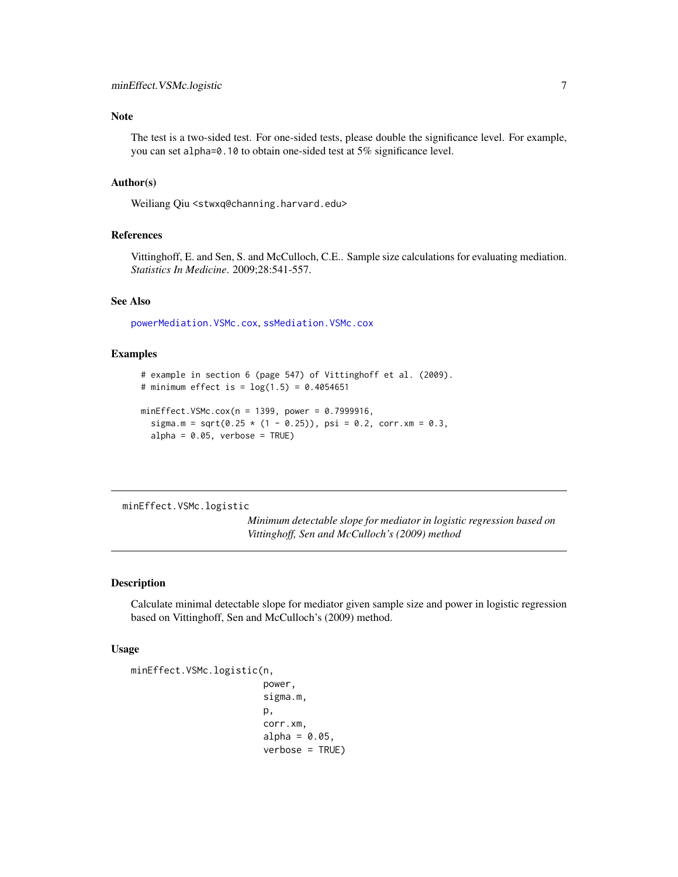# <span id="page-6-0"></span>Note

The test is a two-sided test. For one-sided tests, please double the significance level. For example, you can set alpha=0.10 to obtain one-sided test at 5% significance level.

# Author(s)

Weiliang Qiu <stwxq@channing.harvard.edu>

#### References

Vittinghoff, E. and Sen, S. and McCulloch, C.E.. Sample size calculations for evaluating mediation. *Statistics In Medicine*. 2009;28:541-557.

#### See Also

[powerMediation.VSMc.cox](#page-25-1), [ssMediation.VSMc.cox](#page-49-1)

# Examples

```
# example in section 6 (page 547) of Vittinghoff et al. (2009).
# minimum effect is = log(1.5) = 0.4054651minEffect.VSMc.cox(n = 1399, power = 0.7999916,
  sigma.m = sqrt(0.25 * (1 - 0.25)), psi = 0.2, corr.xm = 0.3,
  alpha = 0.05, verbose = TRUE)
```
<span id="page-6-1"></span>minEffect.VSMc.logistic

*Minimum detectable slope for mediator in logistic regression based on Vittinghoff, Sen and McCulloch's (2009) method*

#### Description

Calculate minimal detectable slope for mediator given sample size and power in logistic regression based on Vittinghoff, Sen and McCulloch's (2009) method.

#### Usage

```
minEffect.VSMc.logistic(n,
```
power, sigma.m, p, corr.xm, alpha =  $0.05$ , verbose = TRUE)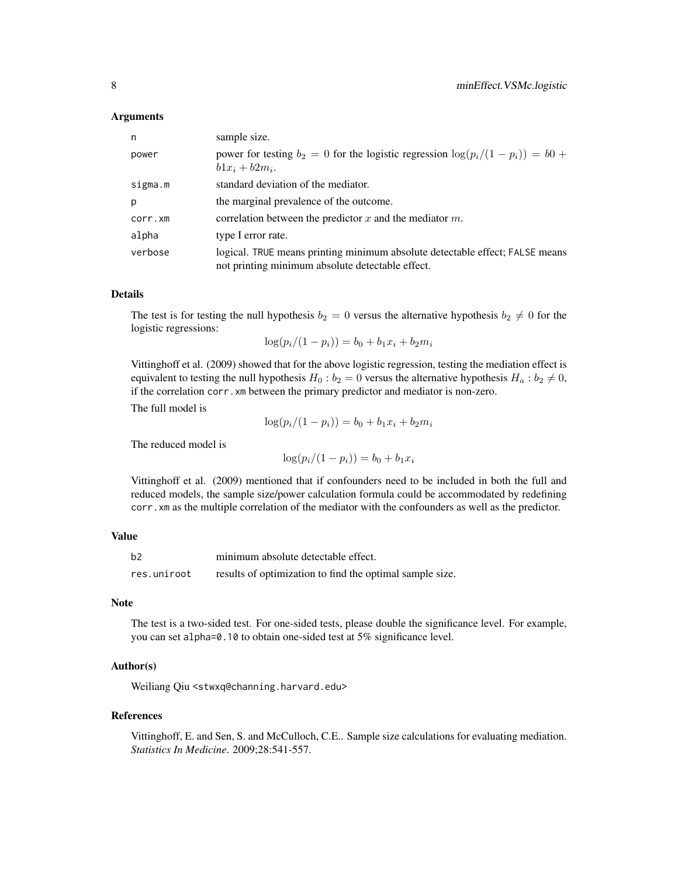#### Arguments

| n       | sample size.                                                                                                                     |
|---------|----------------------------------------------------------------------------------------------------------------------------------|
| power   | power for testing $b_2 = 0$ for the logistic regression $\log(p_i/(1 - p_i)) = b_0 +$<br>$b1x_i + b2m_i$ .                       |
| sigma.m | standard deviation of the mediator.                                                                                              |
| p       | the marginal prevalence of the outcome.                                                                                          |
| corr.xm | correlation between the predictor x and the mediator $m$ .                                                                       |
| alpha   | type I error rate.                                                                                                               |
| verbose | logical. TRUE means printing minimum absolute detectable effect; FALSE means<br>not printing minimum absolute detectable effect. |

#### Details

The test is for testing the null hypothesis  $b_2 = 0$  versus the alternative hypothesis  $b_2 \neq 0$  for the logistic regressions:

$$
\log(p_i/(1-p_i)) = b_0 + b_1 x_i + b_2 m_i
$$

Vittinghoff et al. (2009) showed that for the above logistic regression, testing the mediation effect is equivalent to testing the null hypothesis  $H_0 : b_2 = 0$  versus the alternative hypothesis  $H_a : b_2 \neq 0$ , if the correlation corr.xm between the primary predictor and mediator is non-zero.

The full model is

$$
\log(p_i/(1-p_i)) = b_0 + b_1 x_i + b_2 m_i
$$

The reduced model is

$$
\log(p_i/(1-p_i)) = b_0 + b_1 x_i
$$

Vittinghoff et al. (2009) mentioned that if confounders need to be included in both the full and reduced models, the sample size/power calculation formula could be accommodated by redefining corr.xm as the multiple correlation of the mediator with the confounders as well as the predictor.

# Value

| b2          | minimum absolute detectable effect.                      |
|-------------|----------------------------------------------------------|
| res.uniroot | results of optimization to find the optimal sample size. |

# Note

The test is a two-sided test. For one-sided tests, please double the significance level. For example, you can set alpha=0.10 to obtain one-sided test at 5% significance level.

# Author(s)

Weiliang Qiu <stwxq@channing.harvard.edu>

#### References

Vittinghoff, E. and Sen, S. and McCulloch, C.E.. Sample size calculations for evaluating mediation. *Statistics In Medicine*. 2009;28:541-557.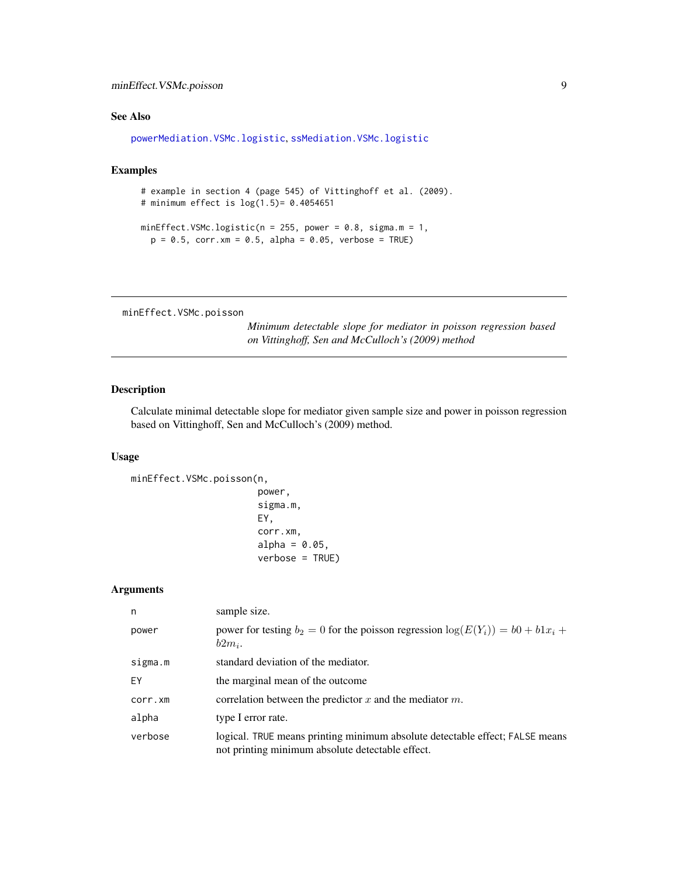# <span id="page-8-0"></span>minEffect.VSMc.poisson 9

# See Also

```
powerMediation.VSMc.logistic, ssMediation.VSMc.logistic
```
# Examples

```
# example in section 4 (page 545) of Vittinghoff et al. (2009).
# minimum effect is log(1.5)= 0.4054651
minEffect.VSMc.logistic(n = 255, power = 0.8, sigma.m = 1,
 p = 0.5, corr.xm = 0.5, alpha = 0.05, verbose = TRUE)
```
<span id="page-8-1"></span>minEffect.VSMc.poisson

*Minimum detectable slope for mediator in poisson regression based on Vittinghoff, Sen and McCulloch's (2009) method*

# Description

Calculate minimal detectable slope for mediator given sample size and power in poisson regression based on Vittinghoff, Sen and McCulloch's (2009) method.

# Usage

```
minEffect.VSMc.poisson(n,
```

```
power,
sigma.m,
EY,
corr.xm,
alpha = 0.05,
verbose = TRUE)
```
# Arguments

| n       | sample size.                                                                                                                     |
|---------|----------------------------------------------------------------------------------------------------------------------------------|
| power   | power for testing $b_2 = 0$ for the poisson regression $\log(E(Y_i)) = b_0 + b_1x_i + b_2x_j$<br>$b2m_i$ .                       |
| sigma.m | standard deviation of the mediator.                                                                                              |
| EY      | the marginal mean of the outcome                                                                                                 |
| corr.xm | correlation between the predictor x and the mediator $m$ .                                                                       |
| alpha   | type I error rate.                                                                                                               |
| verbose | logical. TRUE means printing minimum absolute detectable effect; FALSE means<br>not printing minimum absolute detectable effect. |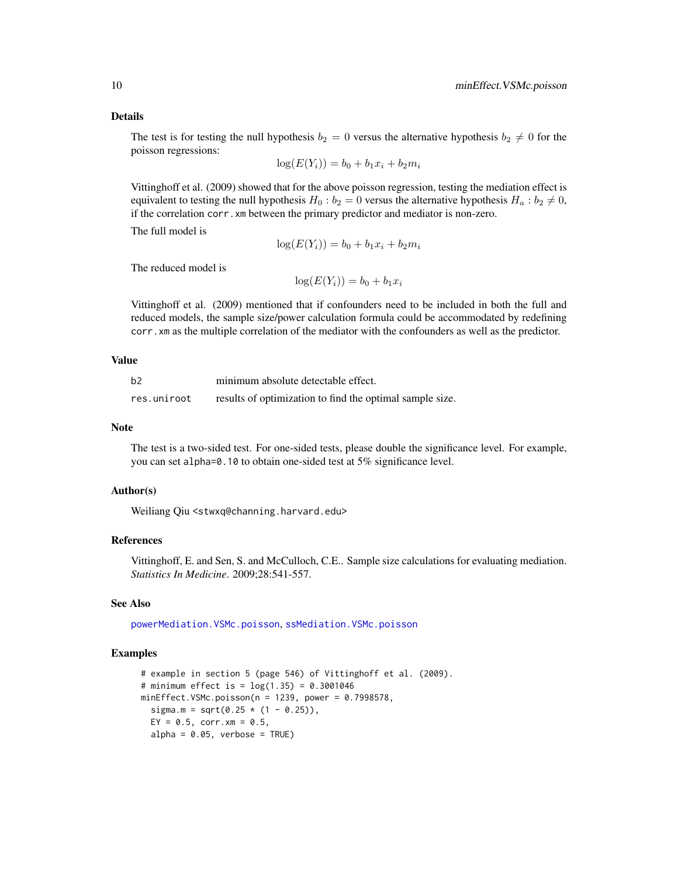#### Details

The test is for testing the null hypothesis  $b_2 = 0$  versus the alternative hypothesis  $b_2 \neq 0$  for the poisson regressions:

$$
\log(E(Y_i)) = b_0 + b_1 x_i + b_2 m_i
$$

Vittinghoff et al. (2009) showed that for the above poisson regression, testing the mediation effect is equivalent to testing the null hypothesis  $H_0 : b_2 = 0$  versus the alternative hypothesis  $H_a : b_2 \neq 0$ , if the correlation corr.xm between the primary predictor and mediator is non-zero.

The full model is

$$
\log(E(Y_i)) = b_0 + b_1 x_i + b_2 m_i
$$

The reduced model is

 $log(E(Y_i)) = b_0 + b_1x_i$ 

Vittinghoff et al. (2009) mentioned that if confounders need to be included in both the full and reduced models, the sample size/power calculation formula could be accommodated by redefining corr.xm as the multiple correlation of the mediator with the confounders as well as the predictor.

# Value

| b2          | minimum absolute detectable effect.                      |
|-------------|----------------------------------------------------------|
| res.uniroot | results of optimization to find the optimal sample size. |

# Note

The test is a two-sided test. For one-sided tests, please double the significance level. For example, you can set alpha=0.10 to obtain one-sided test at 5% significance level.

#### Author(s)

Weiliang Qiu <stwxq@channing.harvard.edu>

# References

Vittinghoff, E. and Sen, S. and McCulloch, C.E.. Sample size calculations for evaluating mediation. *Statistics In Medicine*. 2009;28:541-557.

# See Also

[powerMediation.VSMc.poisson](#page-29-1), [ssMediation.VSMc.poisson](#page-53-1)

```
# example in section 5 (page 546) of Vittinghoff et al. (2009).
# minimum effect is = log(1.35) = 0.3001046
minEffect.VSMc.poisson(n = 1239, power = 0.7998578,sigma.m = sqrt(0.25 * (1 - 0.25)),
  EY = 0.5, corr. xm = 0.5,
  alpha = 0.05, verbose = TRUE)
```
<span id="page-9-0"></span>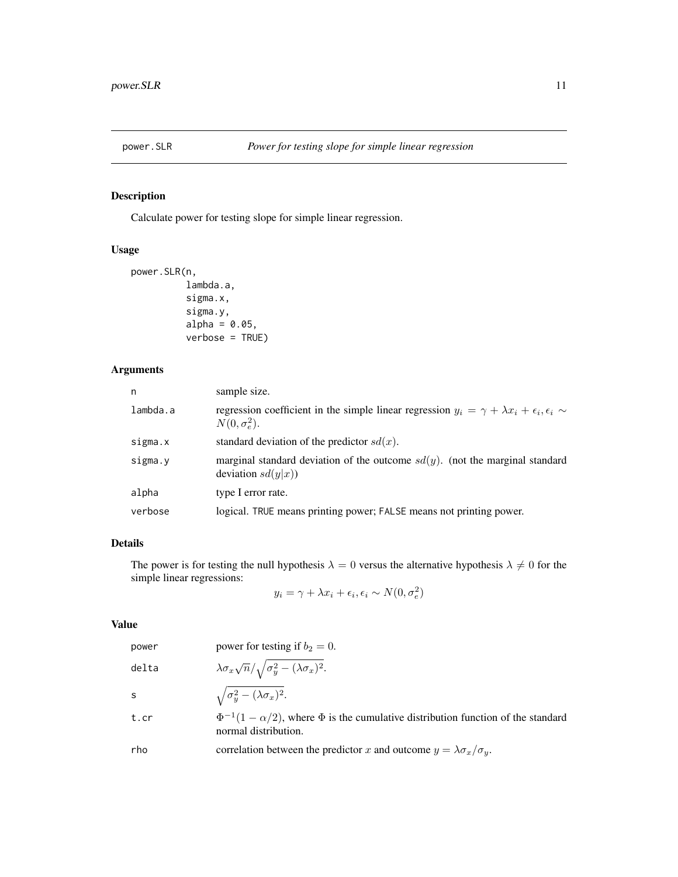<span id="page-10-1"></span><span id="page-10-0"></span>

# Description

Calculate power for testing slope for simple linear regression.

# Usage

```
power.SLR(n,
          lambda.a,
          sigma.x,
          sigma.y,
          alpha = 0.05,
          verbose = TRUE)
```
# Arguments

| n        | sample size.                                                                                                                              |
|----------|-------------------------------------------------------------------------------------------------------------------------------------------|
| lambda.a | regression coefficient in the simple linear regression $y_i = \gamma + \lambda x_i + \epsilon_i, \epsilon_i \sim$<br>$N(0, \sigma_e^2)$ . |
| sigma.x  | standard deviation of the predictor $sd(x)$ .                                                                                             |
| sigma.y  | marginal standard deviation of the outcome $sd(y)$ . (not the marginal standard<br>deviation $sd(y x)$                                    |
| alpha    | type I error rate.                                                                                                                        |
| verbose  | logical. TRUE means printing power; FALSE means not printing power.                                                                       |

# Details

The power is for testing the null hypothesis  $\lambda = 0$  versus the alternative hypothesis  $\lambda \neq 0$  for the simple linear regressions:

$$
y_i = \gamma + \lambda x_i + \epsilon_i, \epsilon_i \sim N(0, \sigma_e^2)
$$

# Value

| power | power for testing if $b_2 = 0$ .                                                                                       |
|-------|------------------------------------------------------------------------------------------------------------------------|
| delta | $\lambda \sigma_x \sqrt{n}/\sqrt{\sigma_y^2 - (\lambda \sigma_x)^2}.$                                                  |
| S     | $\sqrt{\sigma_y^2 - (\lambda \sigma_x)^2}.$                                                                            |
| t.cr  | $\Phi^{-1}(1-\alpha/2)$ , where $\Phi$ is the cumulative distribution function of the standard<br>normal distribution. |
| rho   | correlation between the predictor x and outcome $y = \lambda \sigma_x / \sigma_y$ .                                    |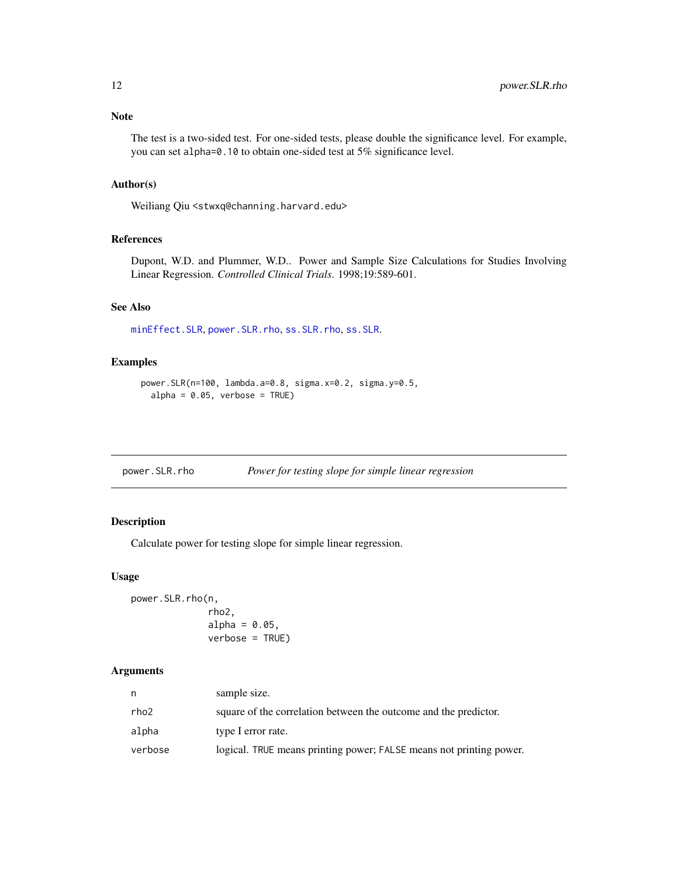# <span id="page-11-0"></span>Note

The test is a two-sided test. For one-sided tests, please double the significance level. For example, you can set alpha=0.10 to obtain one-sided test at 5% significance level.

# Author(s)

Weiliang Qiu <stwxq@channing.harvard.edu>

# References

Dupont, W.D. and Plummer, W.D.. Power and Sample Size Calculations for Studies Involving Linear Regression. *Controlled Clinical Trials*. 1998;19:589-601.

#### See Also

[minEffect.SLR](#page-1-1), [power.SLR.rho](#page-11-1), [ss.SLR.rho](#page-36-1), [ss.SLR](#page-35-1).

# Examples

```
power.SLR(n=100, lambda.a=0.8, sigma.x=0.2, sigma.y=0.5,
  alpha = 0.05, verbose = TRUE)
```
<span id="page-11-1"></span>power.SLR.rho *Power for testing slope for simple linear regression*

# Description

Calculate power for testing slope for simple linear regression.

#### Usage

power.SLR.rho(n, rho2, alpha =  $0.05$ , verbose = TRUE)

# Arguments

| n       | sample size.                                                        |
|---------|---------------------------------------------------------------------|
| rho2    | square of the correlation between the outcome and the predictor.    |
| alpha   | type I error rate.                                                  |
| verbose | logical. TRUE means printing power; FALSE means not printing power. |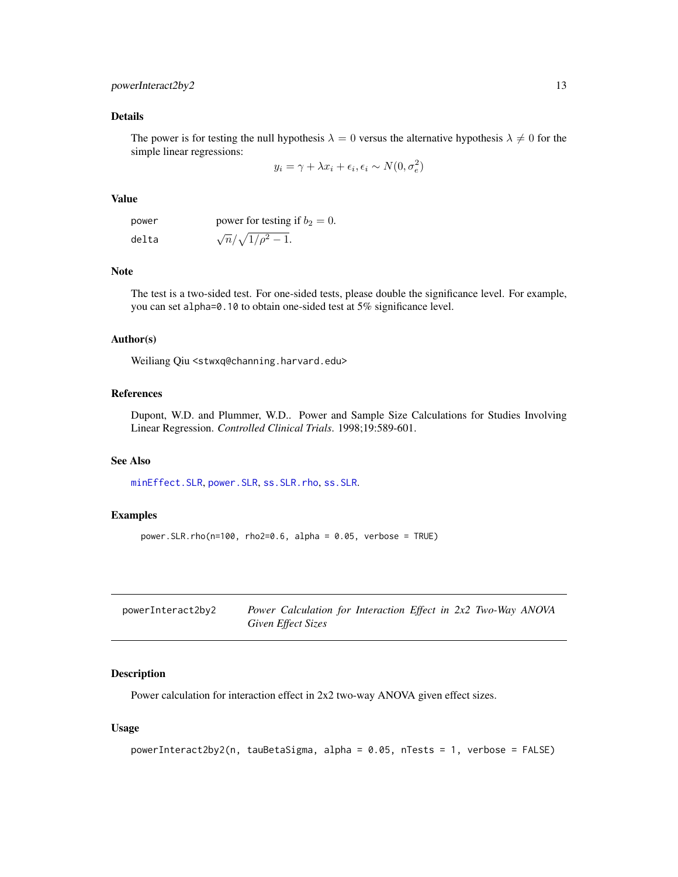# <span id="page-12-0"></span>powerInteract2by2 13

# Details

The power is for testing the null hypothesis  $\lambda = 0$  versus the alternative hypothesis  $\lambda \neq 0$  for the simple linear regressions:

$$
y_i = \gamma + \lambda x_i + \epsilon_i, \epsilon_i \sim N(0, \sigma_e^2)
$$

#### Value

| power | power for testing if $b_2 = 0$ . |
|-------|----------------------------------|
| delta | $\sqrt{n}/\sqrt{1/\rho^2-1}$ .   |

## Note

The test is a two-sided test. For one-sided tests, please double the significance level. For example, you can set alpha=0.10 to obtain one-sided test at 5% significance level.

#### Author(s)

Weiliang Qiu <stwxq@channing.harvard.edu>

#### References

Dupont, W.D. and Plummer, W.D.. Power and Sample Size Calculations for Studies Involving Linear Regression. *Controlled Clinical Trials*. 1998;19:589-601.

#### See Also

[minEffect.SLR](#page-1-1), [power.SLR](#page-10-1), [ss.SLR.rho](#page-36-1), [ss.SLR](#page-35-1).

#### Examples

```
power.SLR.rho(n=100, rho2=0.6, alpha = 0.05, verbose = TRUE)
```

| powerInteract2by2 | Power Calculation for Interaction Effect in 2x2 Two-Way ANOVA |  |
|-------------------|---------------------------------------------------------------|--|
|                   | Given Effect Sizes                                            |  |

# Description

Power calculation for interaction effect in 2x2 two-way ANOVA given effect sizes.

#### Usage

```
powerInteract2by2(n, tauBetaSigma, alpha = 0.05, nTests = 1, verbose = FALSE)
```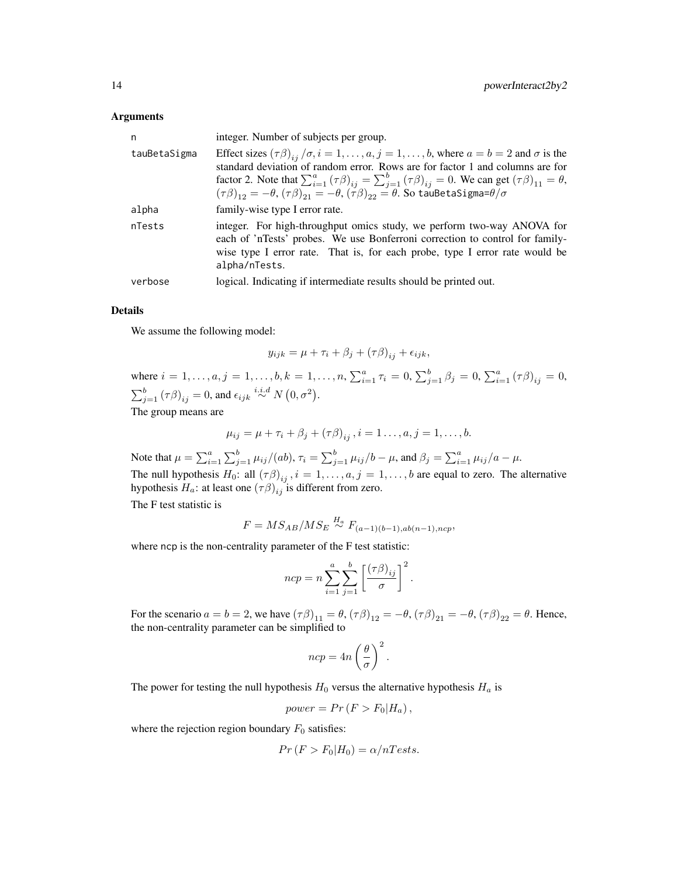#### Arguments

| n            | integer. Number of subjects per group.                                                                                                                                                                                                                                                                                                                                                                                                                             |
|--------------|--------------------------------------------------------------------------------------------------------------------------------------------------------------------------------------------------------------------------------------------------------------------------------------------------------------------------------------------------------------------------------------------------------------------------------------------------------------------|
| tauBetaSigma | Effect sizes $(\tau \beta)_{ii}/\sigma$ , $i = 1, , a, j = 1, , b$ , where $a = b = 2$ and $\sigma$ is the<br>standard deviation of random error. Rows are for factor 1 and columns are for<br>factor 2. Note that $\sum_{i=1}^{a} (\tau \beta)_{ii} = \sum_{i=1}^{b} (\tau \beta)_{ii} = 0$ . We can get $(\tau \beta)_{11} = \theta$ ,<br>$(\tau\beta)_{12} = -\theta, (\tau\beta)_{21} = -\theta, (\tau\beta)_{22} = \theta$ . So tauBetaSigma= $\theta/\sigma$ |
| alpha        | family-wise type I error rate.                                                                                                                                                                                                                                                                                                                                                                                                                                     |
| nTests       | integer. For high-throughput omics study, we perform two-way ANOVA for<br>each of 'nTests' probes. We use Bonferroni correction to control for family-<br>wise type I error rate. That is, for each probe, type I error rate would be<br>alpha/nTests.                                                                                                                                                                                                             |
| verbose      | logical. Indicating if intermediate results should be printed out.                                                                                                                                                                                                                                                                                                                                                                                                 |

# Details

We assume the following model:

$$
y_{ijk} = \mu + \tau_i + \beta_j + (\tau \beta)_{ij} + \epsilon_{ijk},
$$

where  $i = 1, ..., a, j = 1, ..., b, k = 1, ..., n, \sum_{i=1}^{a} \tau_i = 0, \sum_{j=1}^{b} \beta_j = 0, \sum_{i=1}^{a} (\tau \beta)_{ij} = 0,$  $\sum_{j=1}^{b} (\tau \beta)_{ij} = 0$ , and  $\epsilon_{ijk} \stackrel{i.i.d}{\sim} N(0, \sigma^2)$ .

The group means are

$$
\mu_{ij} = \mu + \tau_i + \beta_j + (\tau \beta)_{ij}, i = 1..., a, j = 1,..., b.
$$

Note that  $\mu = \sum_{i=1}^a \sum_{j=1}^b \mu_{ij}/(ab)$ ,  $\tau_i = \sum_{j=1}^b \mu_{ij}/b - \mu$ , and  $\beta_j = \sum_{i=1}^a \mu_{ij}/a - \mu$ . The null hypothesis  $H_0$ : all  $(\tau \beta)_{ij}$ ,  $i = 1, \ldots, a, j = 1, \ldots, b$  are equal to zero. The alternative hypothesis  $H_a$ : at least one  $(\tau \beta)_{ij}$  is different from zero.

The F test statistic is

$$
F = MS_{AB}/MSE \stackrel{H_a}{\sim} F_{(a-1)(b-1),ab(n-1),ncp},
$$

where ncp is the non-centrality parameter of the F test statistic:

$$
ncp = n \sum_{i=1}^{a} \sum_{j=1}^{b} \left[ \frac{(\tau \beta)_{ij}}{\sigma} \right]^2
$$

.

For the scenario  $a = b = 2$ , we have  $(\tau \beta)_{11} = \theta$ ,  $(\tau \beta)_{12} = -\theta$ ,  $(\tau \beta)_{21} = -\theta$ ,  $(\tau \beta)_{22} = \theta$ . Hence, the non-centrality parameter can be simplified to

$$
ncp = 4n\left(\frac{\theta}{\sigma}\right)^2.
$$

The power for testing the null hypothesis  $H_0$  versus the alternative hypothesis  $H_a$  is

$$
power = Pr(F > F_0 | H_a),
$$

where the rejection region boundary  $F_0$  satisfies:

$$
Pr(F > F_0 | H_0) = \alpha/nTests.
$$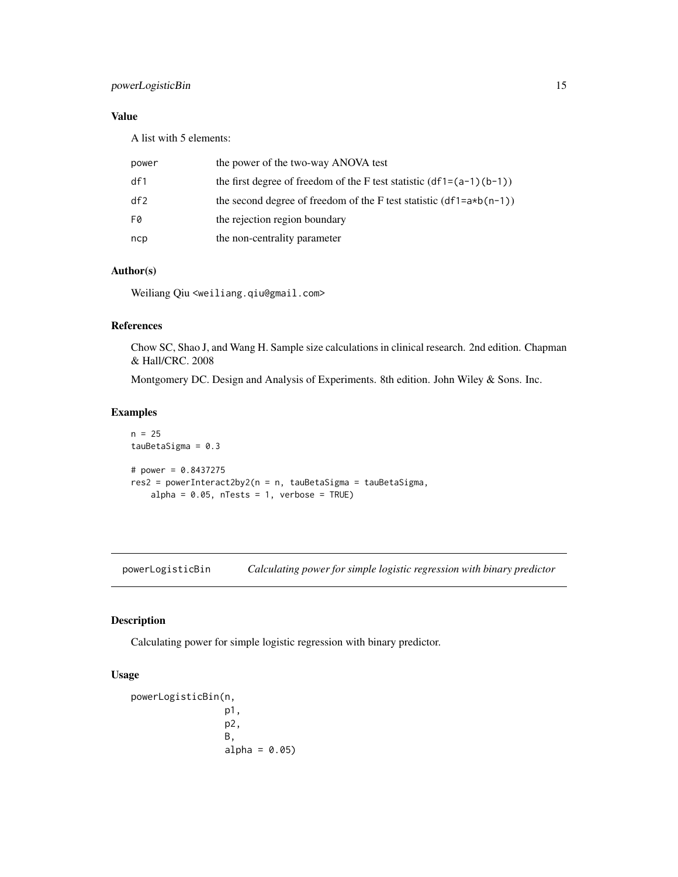# <span id="page-14-0"></span>powerLogisticBin 15

# Value

A list with 5 elements:

| power | the power of the two-way ANOVA test                                    |
|-------|------------------------------------------------------------------------|
| df1   | the first degree of freedom of the F test statistic $(df1=(a-1)(b-1))$ |
| df2   | the second degree of freedom of the F test statistic $(df1=a*b(n-1))$  |
| F0    | the rejection region boundary                                          |
| ncp   | the non-centrality parameter                                           |

# Author(s)

Weiliang Qiu <weiliang.qiu@gmail.com>

# References

Chow SC, Shao J, and Wang H. Sample size calculations in clinical research. 2nd edition. Chapman & Hall/CRC. 2008

Montgomery DC. Design and Analysis of Experiments. 8th edition. John Wiley & Sons. Inc.

#### Examples

```
n = 25tauBetaSigma = 0.3
# power = 0.8437275
res2 = powerInteract2by2(n = n, tauBetaSigma = tauBetaSigma,
   alpha = 0.05, nTests = 1, verbose = TRUE)
```
<span id="page-14-1"></span>powerLogisticBin *Calculating power for simple logistic regression with binary predictor*

# Description

Calculating power for simple logistic regression with binary predictor.

# Usage

```
powerLogisticBin(n,
                 p1,
                 p2,
                 B,
                 alpha = 0.05
```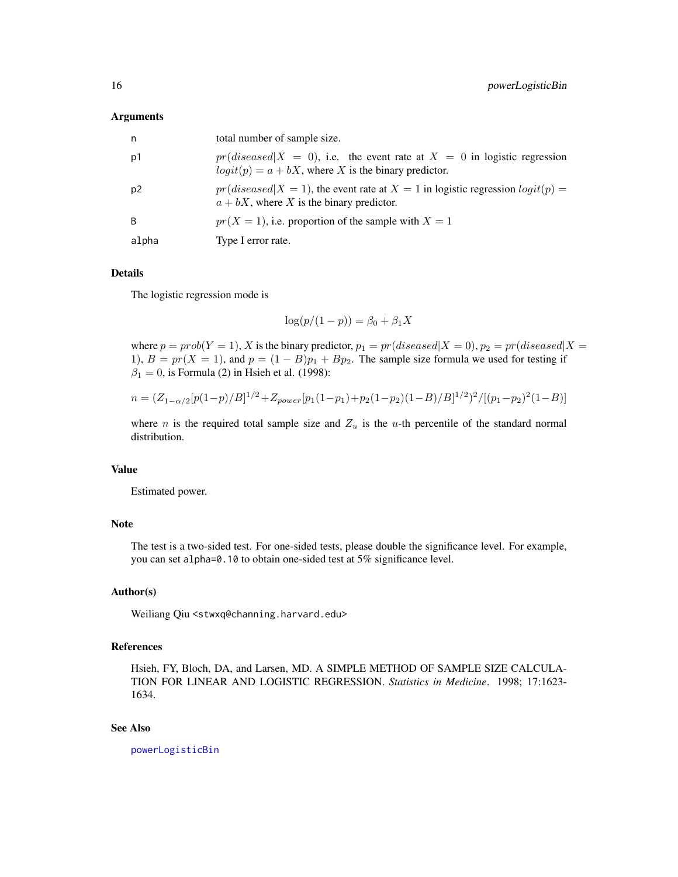#### <span id="page-15-0"></span>Arguments

| n     | total number of sample size.                                                                                                            |
|-------|-----------------------------------------------------------------------------------------------------------------------------------------|
| p1    | $pr(disease d X = 0)$ , i.e. the event rate at $X = 0$ in logistic regression<br>$logit(p) = a + bX$ , where X is the binary predictor. |
| p2    | $pr(disease d X = 1)$ , the event rate at $X = 1$ in logistic regression $logit(p) =$<br>$a + bX$ , where X is the binary predictor.    |
| B     | $pr(X = 1)$ , i.e. proportion of the sample with $X = 1$                                                                                |
| alpha | Type I error rate.                                                                                                                      |

# Details

The logistic regression mode is

$$
\log(p/(1-p)) = \beta_0 + \beta_1 X
$$

where  $p = prob(Y = 1)$ , X is the binary predictor,  $p_1 = pr(diseased|X = 0)$ ,  $p_2 = pr(diseased|X = 0)$ 1),  $B = pr(X = 1)$ , and  $p = (1 - B)p_1 + Bp_2$ . The sample size formula we used for testing if  $\beta_1 = 0$ , is Formula (2) in Hsieh et al. (1998):

$$
n = (Z_{1-\alpha/2}[p(1-p)/B]^{1/2} + Z_{power}[p_1(1-p_1)+p_2(1-p_2)(1-B)/B]^{1/2})^2/[(p_1-p_2)^2(1-B)]
$$

where *n* is the required total sample size and  $Z_u$  is the *u*-th percentile of the standard normal distribution.

# Value

Estimated power.

# Note

The test is a two-sided test. For one-sided tests, please double the significance level. For example, you can set alpha=0.10 to obtain one-sided test at 5% significance level.

# Author(s)

Weiliang Qiu <stwxq@channing.harvard.edu>

# References

Hsieh, FY, Bloch, DA, and Larsen, MD. A SIMPLE METHOD OF SAMPLE SIZE CALCULA-TION FOR LINEAR AND LOGISTIC REGRESSION. *Statistics in Medicine*. 1998; 17:1623- 1634.

#### See Also

[powerLogisticBin](#page-14-1)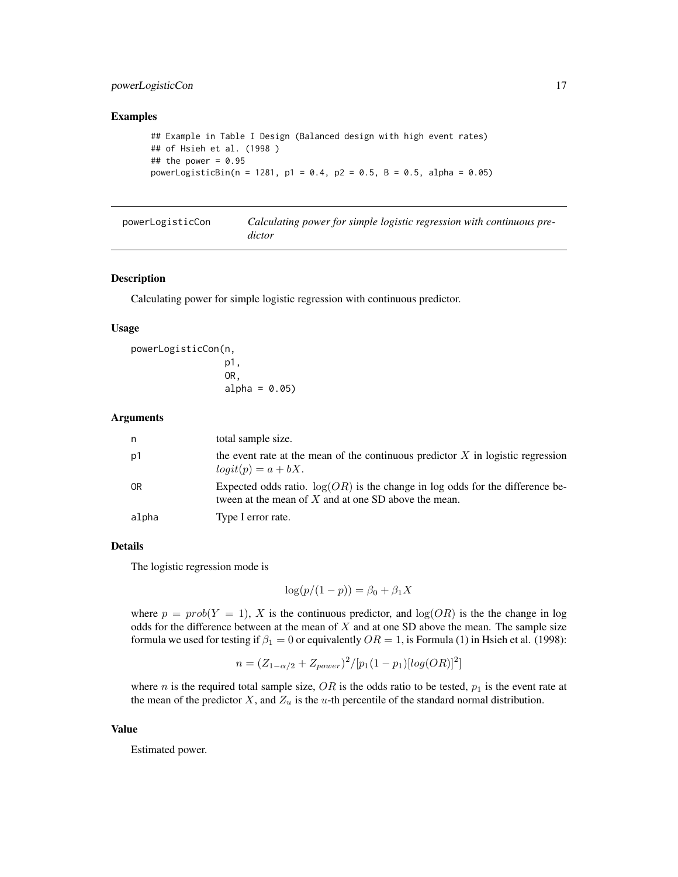# <span id="page-16-0"></span>powerLogisticCon 17

#### Examples

```
## Example in Table I Design (Balanced design with high event rates)
## of Hsieh et al. (1998 )
## the power = 0.95powerLogisticBin(n = 1281, p1 = 0.4, p2 = 0.5, B = 0.5, alpha = 0.05)
```
<span id="page-16-1"></span>

| powerLogisticCon | Calculating power for simple logistic regression with continuous pre- |
|------------------|-----------------------------------------------------------------------|
|                  | dictor                                                                |

#### Description

Calculating power for simple logistic regression with continuous predictor.

#### Usage

```
powerLogisticCon(n,
                 p1,
                 OR,
                 alpha = 0.05
```
#### Arguments

| n              | total sample size.                                                                                                                        |
|----------------|-------------------------------------------------------------------------------------------------------------------------------------------|
| p1             | the event rate at the mean of the continuous predictor $X$ in logistic regression<br>$logit(p) = a + bX.$                                 |
| 0 <sub>R</sub> | Expected odds ratio. $log(OR)$ is the change in log odds for the difference be-<br>tween at the mean of $X$ and at one SD above the mean. |
| alpha          | Type I error rate.                                                                                                                        |

#### Details

The logistic regression mode is

$$
\log(p/(1-p)) = \beta_0 + \beta_1 X
$$

where  $p = prob(Y = 1)$ , X is the continuous predictor, and  $log(OR)$  is the the change in log odds for the difference between at the mean of  $X$  and at one SD above the mean. The sample size formula we used for testing if  $\beta_1 = 0$  or equivalently  $OR = 1$ , is Formula (1) in Hsieh et al. (1998):

$$
n = (Z_{1-\alpha/2} + Z_{power})^2 / [p_1(1-p_1)[log(OR)]^2]
$$

where *n* is the required total sample size,  $OR$  is the odds ratio to be tested,  $p_1$  is the event rate at the mean of the predictor  $X$ , and  $Z_u$  is the u-th percentile of the standard normal distribution.

#### Value

Estimated power.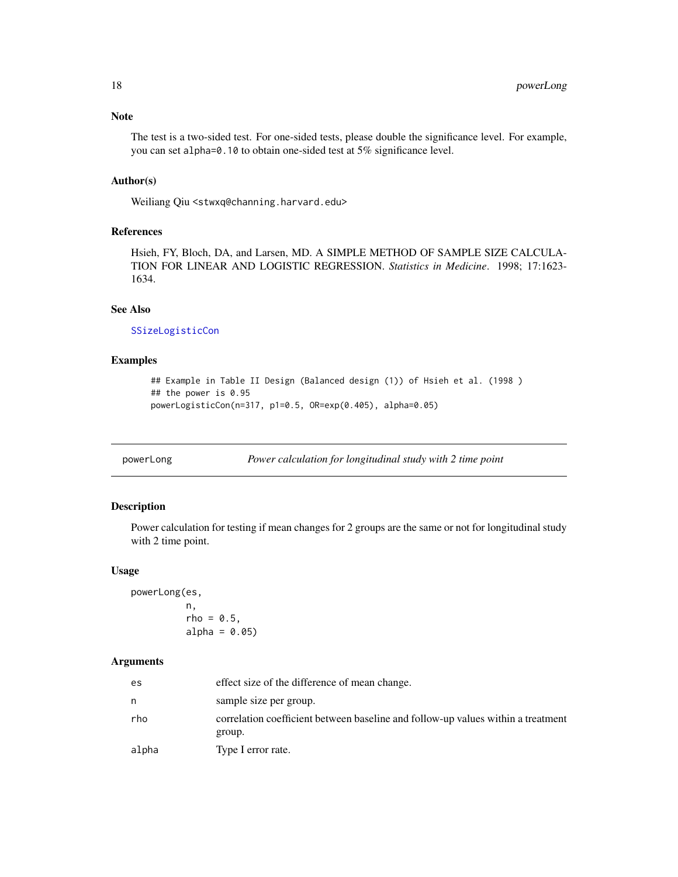# <span id="page-17-0"></span>Note

The test is a two-sided test. For one-sided tests, please double the significance level. For example, you can set alpha=0.10 to obtain one-sided test at 5% significance level.

# Author(s)

Weiliang Qiu <stwxq@channing.harvard.edu>

# References

Hsieh, FY, Bloch, DA, and Larsen, MD. A SIMPLE METHOD OF SAMPLE SIZE CALCULA-TION FOR LINEAR AND LOGISTIC REGRESSION. *Statistics in Medicine*. 1998; 17:1623- 1634.

# See Also

[SSizeLogisticCon](#page-39-1)

# Examples

```
## Example in Table II Design (Balanced design (1)) of Hsieh et al. (1998 )
## the power is 0.95
powerLogisticCon(n=317, p1=0.5, OR=exp(0.405), alpha=0.05)
```
<span id="page-17-1"></span>powerLong *Power calculation for longitudinal study with 2 time point*

# Description

Power calculation for testing if mean changes for 2 groups are the same or not for longitudinal study with 2 time point.

#### Usage

powerLong(es,

n,  $rho = 0.5$ ,  $alpha = 0.05$ 

#### Arguments

| es    | effect size of the difference of mean change.                                              |
|-------|--------------------------------------------------------------------------------------------|
| n     | sample size per group.                                                                     |
| rho   | correlation coefficient between baseline and follow-up values within a treatment<br>group. |
| alpha | Type I error rate.                                                                         |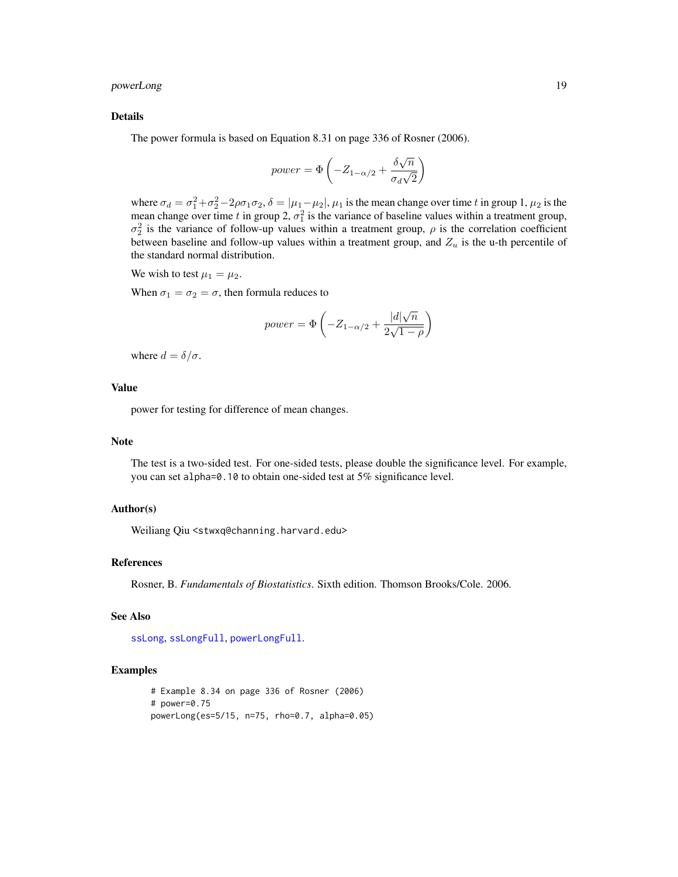# <span id="page-18-0"></span>powerLong 19

#### Details

The power formula is based on Equation 8.31 on page 336 of Rosner (2006).

power = 
$$
\Phi\left(-Z_{1-\alpha/2} + \frac{\delta\sqrt{n}}{\sigma_d\sqrt{2}}\right)
$$

where  $\sigma_d = \sigma_1^2 + \sigma_2^2 - 2\rho\sigma_1\sigma_2$ ,  $\delta = |\mu_1 - \mu_2|$ ,  $\mu_1$  is the mean change over time t in group 1,  $\mu_2$  is the mean change over time t in group 2,  $\sigma_1^2$  is the variance of baseline values within a treatment group,  $\sigma_2^2$  is the variance of follow-up values within a treatment group,  $\rho$  is the correlation coefficient between baseline and follow-up values within a treatment group, and  $Z_u$  is the u-th percentile of the standard normal distribution.

We wish to test  $\mu_1 = \mu_2$ .

When  $\sigma_1 = \sigma_2 = \sigma$ , then formula reduces to

power = 
$$
\Phi\left(-Z_{1-\alpha/2} + \frac{|d|\sqrt{n}}{2\sqrt{1-\rho}}\right)
$$

where  $d = \delta/\sigma$ .

# Value

power for testing for difference of mean changes.

#### Note

The test is a two-sided test. For one-sided tests, please double the significance level. For example, you can set alpha=0.10 to obtain one-sided test at 5% significance level.

# Author(s)

Weiliang Qiu <stwxq@channing.harvard.edu>

#### References

Rosner, B. *Fundamentals of Biostatistics*. Sixth edition. Thomson Brooks/Cole. 2006.

# See Also

[ssLong](#page-40-1), [ssLongFull](#page-43-1), [powerLongFull](#page-20-1).

```
# Example 8.34 on page 336 of Rosner (2006)
# power=0.75
powerLong(es=5/15, n=75, rho=0.7, alpha=0.05)
```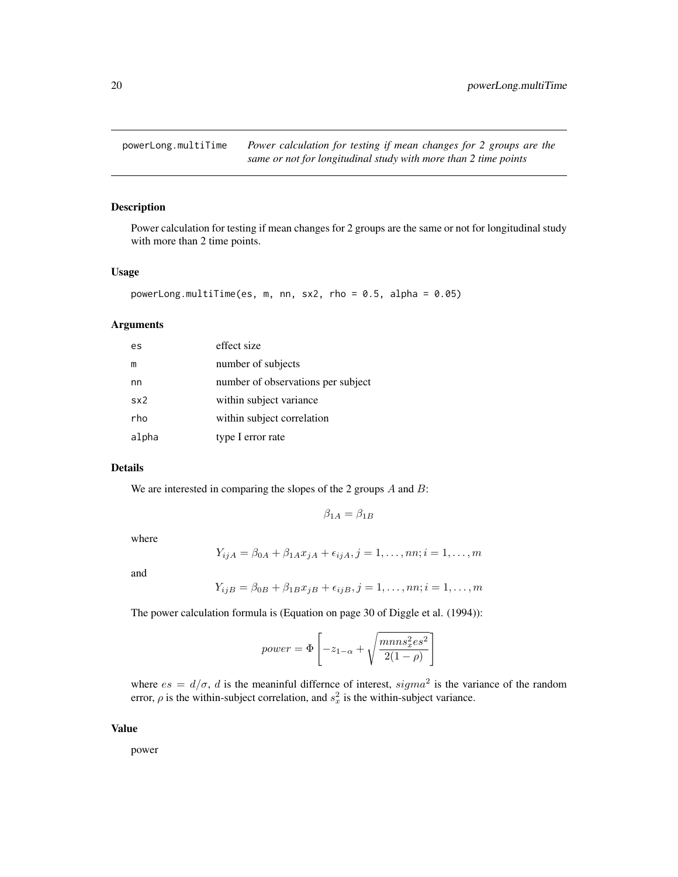<span id="page-19-1"></span><span id="page-19-0"></span>powerLong.multiTime *Power calculation for testing if mean changes for 2 groups are the same or not for longitudinal study with more than 2 time points*

# Description

Power calculation for testing if mean changes for 2 groups are the same or not for longitudinal study with more than 2 time points.

#### Usage

```
powerLong.multiTime(es, m, nn, sx2, rho = 0.5, alpha = 0.05)
```
#### Arguments

| es    | effect size                        |
|-------|------------------------------------|
| m     | number of subjects                 |
| nn    | number of observations per subject |
| sx2   | within subject variance            |
| rho   | within subject correlation         |
| alpha | type I error rate                  |

#### Details

We are interested in comparing the slopes of the 2 groups  $A$  and  $B$ :

$$
\beta_{1A} = \beta_{1B}
$$

where

$$
Y_{ijA} = \beta_{0A} + \beta_{1A}x_{jA} + \epsilon_{ijA}, j = 1, ..., nn; i = 1, ..., m
$$

and

$$
Y_{ijB} = \beta_{0B} + \beta_{1B}x_{jB} + \epsilon_{ijB}, j = 1, \dots, nn; i = 1, \dots, m
$$

The power calculation formula is (Equation on page 30 of Diggle et al. (1994)):

$$
power = \Phi\left[-z_{1-\alpha} + \sqrt{\frac{mnns_x^2es^2}{2(1-\rho)}}\right]
$$

where  $es = d/\sigma$ , d is the meaninful differnce of interest,  $sigma^2$  is the variance of the random error,  $\rho$  is the within-subject correlation, and  $s_x^2$  is the within-subject variance.

#### Value

power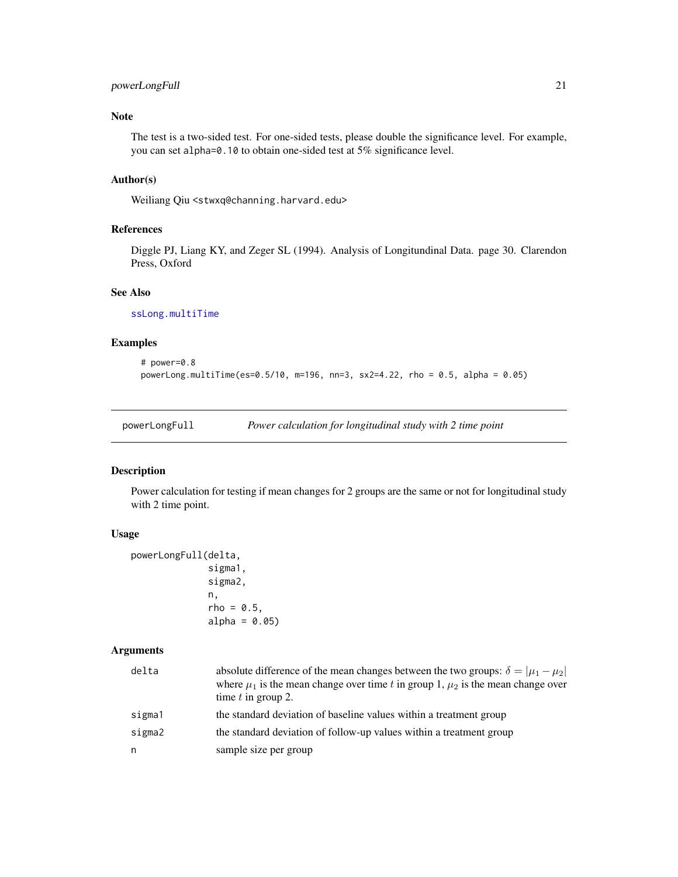# <span id="page-20-0"></span>powerLongFull 21

# Note

The test is a two-sided test. For one-sided tests, please double the significance level. For example, you can set alpha=0.10 to obtain one-sided test at 5% significance level.

#### Author(s)

Weiliang Qiu <stwxq@channing.harvard.edu>

#### References

Diggle PJ, Liang KY, and Zeger SL (1994). Analysis of Longitundinal Data. page 30. Clarendon Press, Oxford

### See Also

[ssLong.multiTime](#page-42-1)

# Examples

```
# power=0.8
powerLong.multiTime(es=0.5/10, m=196, nn=3, sx2=4.22, rho = 0.5, alpha = 0.05)
```
<span id="page-20-1"></span>powerLongFull *Power calculation for longitudinal study with 2 time point*

#### Description

Power calculation for testing if mean changes for 2 groups are the same or not for longitudinal study with 2 time point.

#### Usage

```
powerLongFull(delta,
              sigma1,
              sigma2,
              n,
              rho = 0.5,
              alpha = 0.05
```
#### Arguments

| delta  | absolute difference of the mean changes between the two groups: $\delta =  \mu_1 - \mu_2 $<br>where $\mu_1$ is the mean change over time t in group 1, $\mu_2$ is the mean change over<br>time $t$ in group 2. |
|--------|----------------------------------------------------------------------------------------------------------------------------------------------------------------------------------------------------------------|
| sigma1 | the standard deviation of baseline values within a treatment group                                                                                                                                             |
| sigma2 | the standard deviation of follow-up values within a treatment group                                                                                                                                            |
| n      | sample size per group                                                                                                                                                                                          |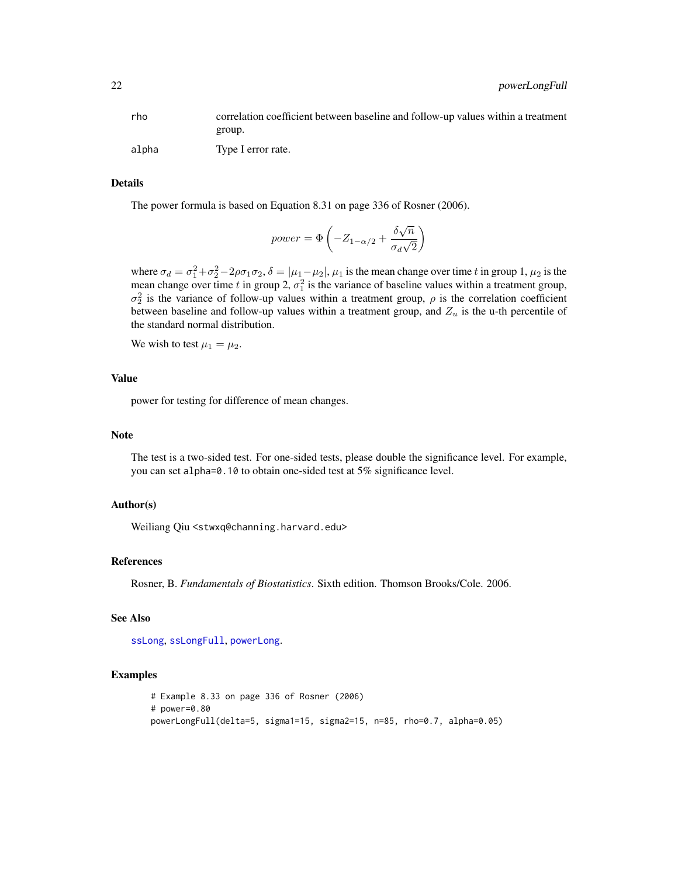<span id="page-21-0"></span>

| rho   | correlation coefficient between baseline and follow-up values within a treatment |
|-------|----------------------------------------------------------------------------------|
|       | group.                                                                           |
| alpha | Type I error rate.                                                               |

#### Details

The power formula is based on Equation 8.31 on page 336 of Rosner (2006).

power = 
$$
\Phi\left(-Z_{1-\alpha/2} + \frac{\delta\sqrt{n}}{\sigma_d\sqrt{2}}\right)
$$

where  $\sigma_d = \sigma_1^2 + \sigma_2^2 - 2\rho\sigma_1\sigma_2$ ,  $\delta = |\mu_1 - \mu_2|$ ,  $\mu_1$  is the mean change over time t in group 1,  $\mu_2$  is the mean change over time t in group 2,  $\sigma_1^2$  is the variance of baseline values within a treatment group,  $\sigma_2^2$  is the variance of follow-up values within a treatment group,  $\rho$  is the correlation coefficient between baseline and follow-up values within a treatment group, and  $Z_u$  is the u-th percentile of the standard normal distribution.

We wish to test  $\mu_1 = \mu_2$ .

# Value

power for testing for difference of mean changes.

#### Note

The test is a two-sided test. For one-sided tests, please double the significance level. For example, you can set alpha=0.10 to obtain one-sided test at 5% significance level.

### Author(s)

Weiliang Qiu <stwxq@channing.harvard.edu>

#### References

Rosner, B. *Fundamentals of Biostatistics*. Sixth edition. Thomson Brooks/Cole. 2006.

# See Also

[ssLong](#page-40-1), [ssLongFull](#page-43-1), [powerLong](#page-17-1).

```
# Example 8.33 on page 336 of Rosner (2006)
# power=0.80
powerLongFull(delta=5, sigma1=15, sigma2=15, n=85, rho=0.7, alpha=0.05)
```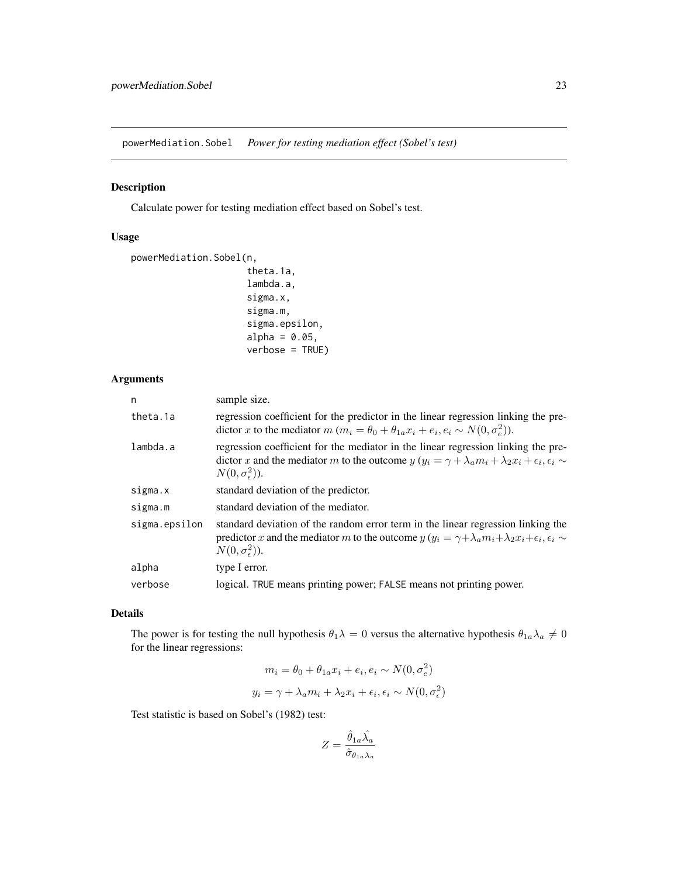<span id="page-22-1"></span><span id="page-22-0"></span>powerMediation.Sobel *Power for testing mediation effect (Sobel's test)*

#### Description

Calculate power for testing mediation effect based on Sobel's test.

# Usage

```
powerMediation.Sobel(n,
                      theta.1a,
                      lambda.a,
                      sigma.x,
                      sigma.m,
                      sigma.epsilon,
                      alpha = 0.05,
                      verbose = TRUE)
```
# Arguments

| n             | sample size.                                                                                                                                                                                                                                      |
|---------------|---------------------------------------------------------------------------------------------------------------------------------------------------------------------------------------------------------------------------------------------------|
| theta.1a      | regression coefficient for the predictor in the linear regression linking the pre-<br>dictor x to the mediator $m (m_i = \theta_0 + \theta_{1a} x_i + e_i, e_i \sim N(0, \sigma_e^2)).$                                                           |
| lambda.a      | regression coefficient for the mediator in the linear regression linking the pre-<br>dictor x and the mediator m to the outcome $y(y_i = \gamma + \lambda_a m_i + \lambda_2 x_i + \epsilon_i, \epsilon_i \sim$<br>$N(0,\sigma_{\epsilon}^2)$ ).   |
| sigma.x       | standard deviation of the predictor.                                                                                                                                                                                                              |
| sigma.m       | standard deviation of the mediator.                                                                                                                                                                                                               |
| sigma.epsilon | standard deviation of the random error term in the linear regression linking the<br>predictor x and the mediator m to the outcome $y(y_i = \gamma + \lambda_a m_i + \lambda_2 x_i + \epsilon_i, \epsilon_i \sim$<br>$N(0,\sigma_{\epsilon}^2)$ ). |
| alpha         | type I error.                                                                                                                                                                                                                                     |
| verbose       | logical. TRUE means printing power; FALSE means not printing power.                                                                                                                                                                               |

#### Details

The power is for testing the null hypothesis  $\theta_1 \lambda = 0$  versus the alternative hypothesis  $\theta_{1a} \lambda_a \neq 0$ for the linear regressions:

$$
m_i = \theta_0 + \theta_{1a} x_i + e_i, e_i \sim N(0, \sigma_e^2)
$$
  

$$
y_i = \gamma + \lambda_a m_i + \lambda_2 x_i + \epsilon_i, \epsilon_i \sim N(0, \sigma_e^2)
$$

Test statistic is based on Sobel's (1982) test:

$$
Z=\frac{\hat{\theta}_{1a}\hat{\lambda_a}}{\hat{\sigma}_{\theta_{1a}\lambda_a}}
$$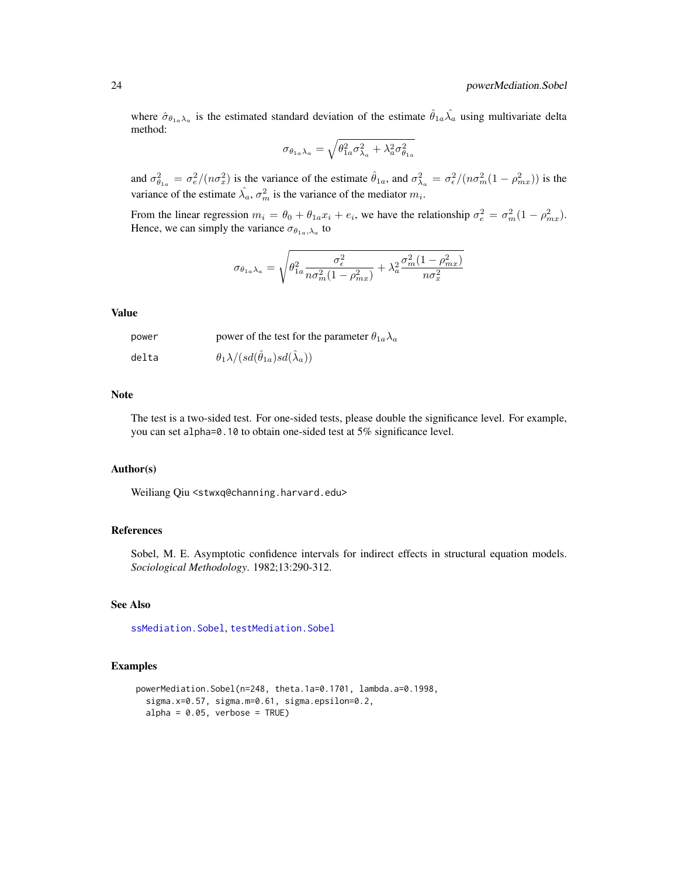<span id="page-23-0"></span>where  $\hat{\sigma}_{\theta_{1a}\lambda_a}$  is the estimated standard deviation of the estimate  $\hat{\theta}_{1a}\hat{\lambda_a}$  using multivariate delta method:

$$
\sigma_{\theta_{1a}\lambda_a} = \sqrt{\theta_{1a}^2 \sigma_{\lambda_a}^2 + \lambda_a^2 \sigma_{\theta_{1a}}^2}
$$

and  $\sigma_{\theta_{1a}}^2 = \frac{\sigma_e^2}{n\sigma_x^2}$  is the variance of the estimate  $\hat{\theta}_{1a}$ , and  $\sigma_{\lambda_a}^2 = \frac{\sigma_e^2}{n\sigma_m^2}(1 - \rho_{mx}^2)$  is the variance of the estimate  $\hat{\lambda}_a$ ,  $\sigma_m^2$  is the variance of the mediator  $m_i$ .

From the linear regression  $m_i = \theta_0 + \theta_{1a}x_i + e_i$ , we have the relationship  $\sigma_e^2 = \sigma_m^2(1 - \rho_{mx}^2)$ . Hence, we can simply the variance  $\sigma_{\theta_{1a},\lambda_a}$  to

$$
\sigma_{\theta_{1a}\lambda_a} = \sqrt{\theta_{1a}^2 \frac{\sigma_\epsilon^2}{n\sigma_m^2(1-\rho_{mx}^2)} + \lambda_a^2 \frac{\sigma_m^2(1-\rho_{mx}^2)}{n\sigma_x^2}}
$$

#### Value

| power | power of the test for the parameter $\theta_{1a}\lambda_a$     |
|-------|----------------------------------------------------------------|
| delta | $\theta_1 \lambda/(sd(\hat{\theta}_{1a}) sd(\hat{\lambda}_a))$ |

# Note

The test is a two-sided test. For one-sided tests, please double the significance level. For example, you can set alpha=0.10 to obtain one-sided test at 5% significance level.

#### Author(s)

Weiliang Qiu <stwxq@channing.harvard.edu>

#### References

Sobel, M. E. Asymptotic confidence intervals for indirect effects in structural equation models. *Sociological Methodology*. 1982;13:290-312.

#### See Also

[ssMediation.Sobel](#page-45-1), [testMediation.Sobel](#page-55-1)

```
powerMediation.Sobel(n=248, theta.1a=0.1701, lambda.a=0.1998,
  sigma.x=0.57, sigma.m=0.61, sigma.epsilon=0.2,
  alpha = 0.05, verbose = TRUE)
```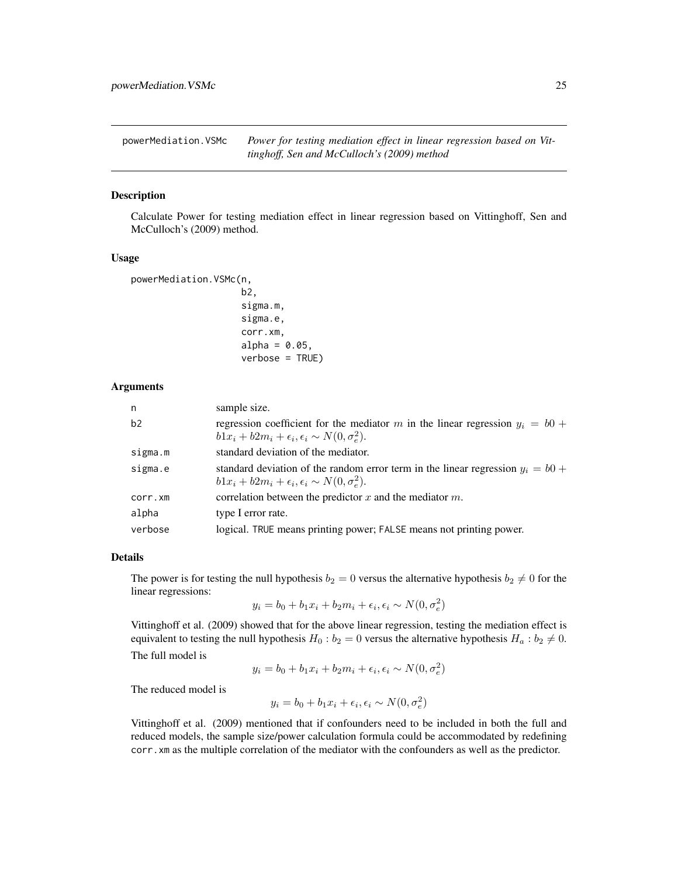<span id="page-24-1"></span><span id="page-24-0"></span>powerMediation.VSMc *Power for testing mediation effect in linear regression based on Vittinghoff, Sen and McCulloch's (2009) method*

#### **Description**

Calculate Power for testing mediation effect in linear regression based on Vittinghoff, Sen and McCulloch's (2009) method.

#### Usage

```
powerMediation.VSMc(n,
```

```
b2,
sigma.m,
sigma.e,
corr.xm,
alpha = 0.05,
verbose = TRUE)
```
#### Arguments

| n       | sample size.                                                                                                                                          |
|---------|-------------------------------------------------------------------------------------------------------------------------------------------------------|
| b2      | regression coefficient for the mediator m in the linear regression $y_i = b0$ +<br>$b1x_i + b2m_i + \epsilon_i, \epsilon_i \sim N(0, \sigma_e^2)$ .   |
| sigma.m | standard deviation of the mediator.                                                                                                                   |
| sigma.e | standard deviation of the random error term in the linear regression $y_i = b0$ +<br>$b1x_i + b2m_i + \epsilon_i, \epsilon_i \sim N(0, \sigma_e^2)$ . |
| corr.xm | correlation between the predictor $x$ and the mediator $m$ .                                                                                          |
| alpha   | type I error rate.                                                                                                                                    |
| verbose | logical. TRUE means printing power; FALSE means not printing power.                                                                                   |

#### Details

The power is for testing the null hypothesis  $b_2 = 0$  versus the alternative hypothesis  $b_2 \neq 0$  for the linear regressions:

$$
y_i = b_0 + b_1 x_i + b_2 m_i + \epsilon_i, \epsilon_i \sim N(0, \sigma_e^2)
$$

Vittinghoff et al. (2009) showed that for the above linear regression, testing the mediation effect is equivalent to testing the null hypothesis  $H_0 : b_2 = 0$  versus the alternative hypothesis  $H_a : b_2 \neq 0$ . The full model is

$$
y_i = b_0 + b_1 x_i + b_2 m_i + \epsilon_i, \epsilon_i \sim N(0, \sigma_e^2)
$$

The reduced model is

$$
y_i = b_0 + b_1 x_i + \epsilon_i, \epsilon_i \sim N(0, \sigma_e^2)
$$

Vittinghoff et al. (2009) mentioned that if confounders need to be included in both the full and reduced models, the sample size/power calculation formula could be accommodated by redefining corr.xm as the multiple correlation of the mediator with the confounders as well as the predictor.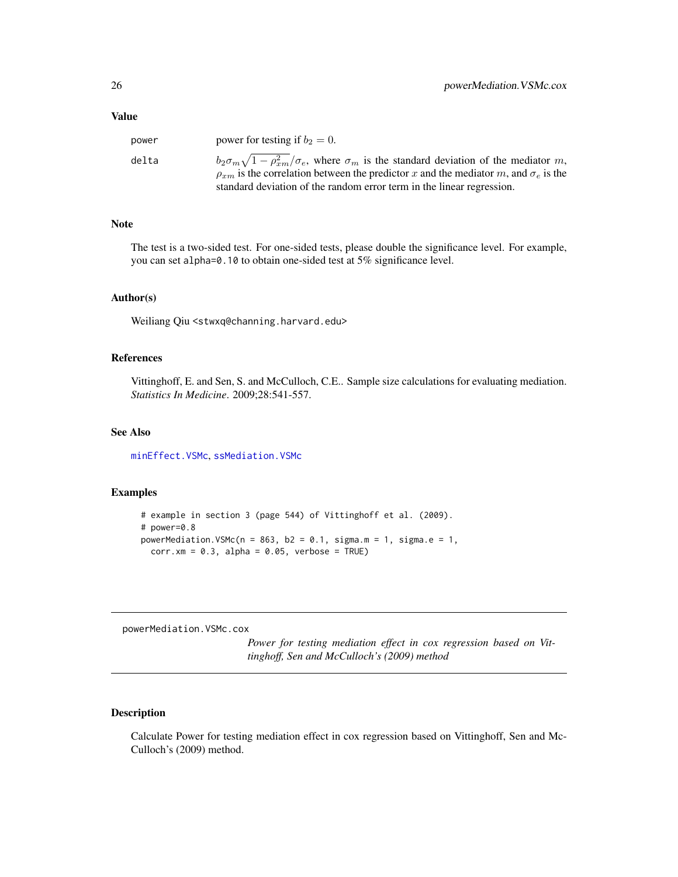<span id="page-25-0"></span>

| power | power for testing if $b_2 = 0$ .                                                                                                                                                                               |
|-------|----------------------------------------------------------------------------------------------------------------------------------------------------------------------------------------------------------------|
| delta | $b_2\sigma_m\sqrt{1-\rho_{rm}^2/\sigma_e}$ , where $\sigma_m$ is the standard deviation of the mediator m,<br>$\rho_{xm}$ is the correlation between the predictor x and the mediator m, and $\sigma_e$ is the |
|       | standard deviation of the random error term in the linear regression.                                                                                                                                          |

#### Note

The test is a two-sided test. For one-sided tests, please double the significance level. For example, you can set alpha=0.10 to obtain one-sided test at 5% significance level.

#### Author(s)

Weiliang Qiu <stwxq@channing.harvard.edu>

# References

Vittinghoff, E. and Sen, S. and McCulloch, C.E.. Sample size calculations for evaluating mediation. *Statistics In Medicine*. 2009;28:541-557.

#### See Also

[minEffect.VSMc](#page-3-1), [ssMediation.VSMc](#page-47-1)

# Examples

```
# example in section 3 (page 544) of Vittinghoff et al. (2009).
# power=0.8
powerMediation.VSMc(n = 863, b2 = 0.1, sigma.m = 1, sigma.e = 1,
 corr.xml = 0.3, alpha = 0.05, verbose = TRUE)
```
<span id="page-25-1"></span>powerMediation.VSMc.cox

*Power for testing mediation effect in cox regression based on Vittinghoff, Sen and McCulloch's (2009) method*

# Description

Calculate Power for testing mediation effect in cox regression based on Vittinghoff, Sen and Mc-Culloch's (2009) method.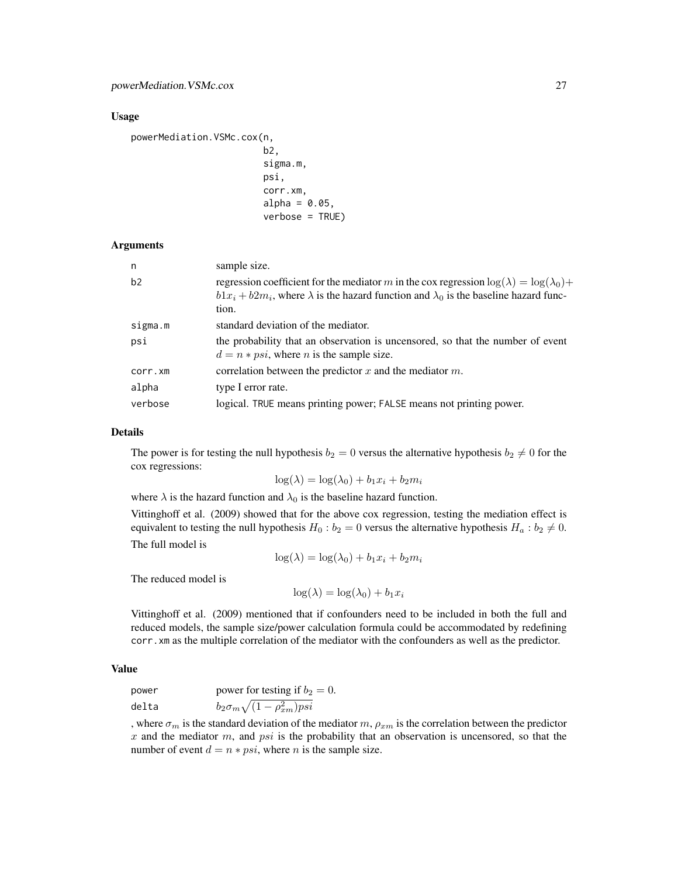#### Usage

```
powerMediation.VSMc.cox(n,
```

```
b2.
sigma.m,
psi,
corr.xm,
alpha = 0.05,
verbose = TRUE)
```
#### Arguments

| n       | sample size.                                                                                                                                                                                                          |
|---------|-----------------------------------------------------------------------------------------------------------------------------------------------------------------------------------------------------------------------|
| b2      | regression coefficient for the mediator m in the cox regression $\log(\lambda) = \log(\lambda_0) +$<br>$b1x_i + b2m_i$ , where $\lambda$ is the hazard function and $\lambda_0$ is the baseline hazard func-<br>tion. |
| sigma.m | standard deviation of the mediator.                                                                                                                                                                                   |
| psi     | the probability that an observation is uncensored, so that the number of event<br>$d = n * psi$ , where <i>n</i> is the sample size.                                                                                  |
| corr.xm | correlation between the predictor $x$ and the mediator $m$ .                                                                                                                                                          |
| alpha   | type I error rate.                                                                                                                                                                                                    |
| verbose | logical. TRUE means printing power; FALSE means not printing power.                                                                                                                                                   |

#### Details

The power is for testing the null hypothesis  $b_2 = 0$  versus the alternative hypothesis  $b_2 \neq 0$  for the cox regressions:

$$
\log(\lambda) = \log(\lambda_0) + b_1 x_i + b_2 m_i
$$

where  $\lambda$  is the hazard function and  $\lambda_0$  is the baseline hazard function.

Vittinghoff et al. (2009) showed that for the above cox regression, testing the mediation effect is equivalent to testing the null hypothesis  $H_0 : b_2 = 0$  versus the alternative hypothesis  $H_a : b_2 \neq 0$ . The full model is

$$
\log(\lambda) = \log(\lambda_0) + b_1 x_i + b_2 m_i
$$

The reduced model is

 $\log(\lambda) = \log(\lambda_0) + b_1 x_i$ 

Vittinghoff et al. (2009) mentioned that if confounders need to be included in both the full and reduced models, the sample size/power calculation formula could be accommodated by redefining corr.xm as the multiple correlation of the mediator with the confounders as well as the predictor.

#### Value

power  
power for testing if 
$$
b_2 = 0
$$
.  
delta  

$$
b_2 \sigma_m \sqrt{(1 - \rho_{xm}^2)psi}
$$

, where  $\sigma_m$  is the standard deviation of the mediator m,  $\rho_{xm}$  is the correlation between the predictor  $x$  and the mediator  $m$ , and  $psi$  is the probability that an observation is uncensored, so that the number of event  $d = n * psi$ , where *n* is the sample size.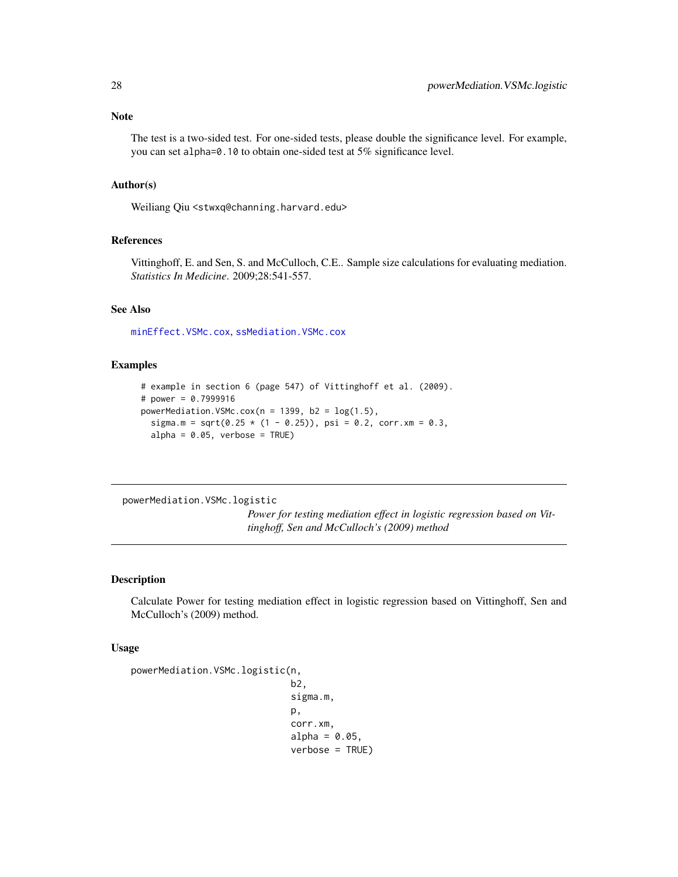# <span id="page-27-0"></span>Note

The test is a two-sided test. For one-sided tests, please double the significance level. For example, you can set alpha=0.10 to obtain one-sided test at 5% significance level.

#### Author(s)

Weiliang Qiu <stwxq@channing.harvard.edu>

# References

Vittinghoff, E. and Sen, S. and McCulloch, C.E.. Sample size calculations for evaluating mediation. *Statistics In Medicine*. 2009;28:541-557.

# See Also

[minEffect.VSMc.cox](#page-4-1), [ssMediation.VSMc.cox](#page-49-1)

#### Examples

```
# example in section 6 (page 547) of Vittinghoff et al. (2009).
# power = 0.7999916
powerMediation.VSMc.cox(n = 1399, b2 = log(1.5),
  sigma.m = sqrt(0.25 * (1 - 0.25)), psi = 0.2, corr.xm = 0.3,
  alpha = 0.05, verbose = TRUE)
```
<span id="page-27-1"></span>powerMediation.VSMc.logistic

*Power for testing mediation effect in logistic regression based on Vittinghoff, Sen and McCulloch's (2009) method*

# Description

Calculate Power for testing mediation effect in logistic regression based on Vittinghoff, Sen and McCulloch's (2009) method.

#### Usage

```
powerMediation.VSMc.logistic(n,
                              b2,
                              sigma.m,
                              p,
                              corr.xm,
                              alpha = 0.05,
                              verbose = TRUE)
```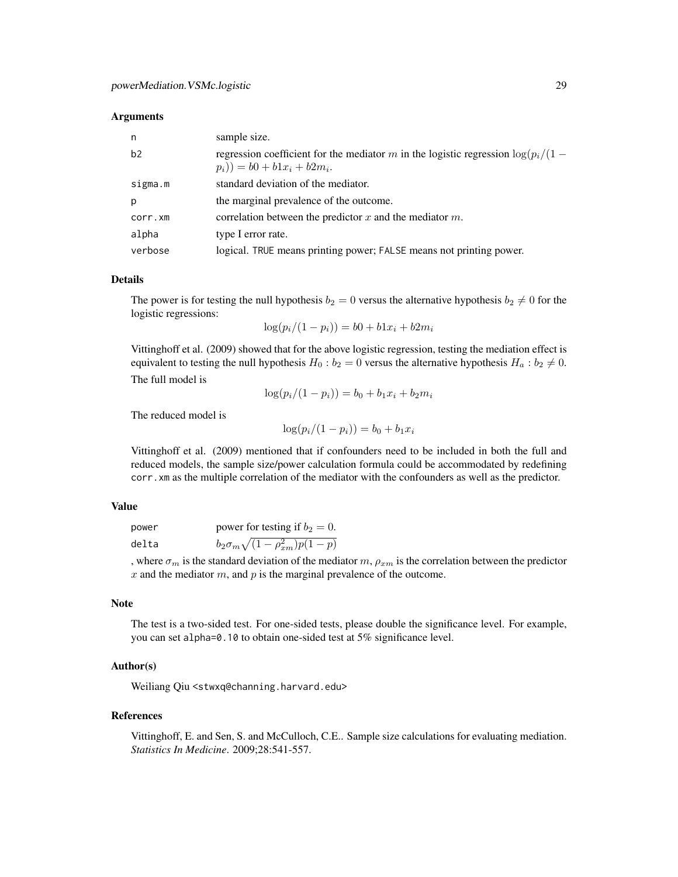#### **Arguments**

| n       | sample size.                                                                                                           |
|---------|------------------------------------------------------------------------------------------------------------------------|
| b2      | regression coefficient for the mediator m in the logistic regression $\log(p_i/(1 -$<br>$(p_i)) = b0 + b1x_i + b2m_i.$ |
| sigma.m | standard deviation of the mediator.                                                                                    |
| p       | the marginal prevalence of the outcome.                                                                                |
| corr.xm | correlation between the predictor $x$ and the mediator $m$ .                                                           |
| alpha   | type I error rate.                                                                                                     |
| verbose | logical. TRUE means printing power; FALSE means not printing power.                                                    |

# Details

The power is for testing the null hypothesis  $b_2 = 0$  versus the alternative hypothesis  $b_2 \neq 0$  for the logistic regressions:  $\log(n/(1 - n)) = b0 + b1x + b^2$ 

$$
\log(p_i/(1-p_i)) = b0 + b1x_i + b2m_i
$$

Vittinghoff et al. (2009) showed that for the above logistic regression, testing the mediation effect is equivalent to testing the null hypothesis  $H_0 : b_2 = 0$  versus the alternative hypothesis  $H_a : b_2 \neq 0$ . The full model is

$$
\log(p_i/(1-p_i)) = b_0 + b_1 x_i + b_2 m_i
$$

The reduced model is

$$
\log(p_i/(1-p_i)) = b_0 + b_1 x_i
$$

Vittinghoff et al. (2009) mentioned that if confounders need to be included in both the full and reduced models, the sample size/power calculation formula could be accommodated by redefining corr.xm as the multiple correlation of the mediator with the confounders as well as the predictor.

# Value

| power | power for testing if $b_2 = 0$ .            |
|-------|---------------------------------------------|
| delta | $b_2 \sigma_m \sqrt{(1-\rho_{xm}^2)p(1-p)}$ |

, where  $\sigma_m$  is the standard deviation of the mediator m,  $\rho_{xm}$  is the correlation between the predictor  $x$  and the mediator  $m$ , and  $p$  is the marginal prevalence of the outcome.

# Note

The test is a two-sided test. For one-sided tests, please double the significance level. For example, you can set alpha=0.10 to obtain one-sided test at 5% significance level.

# Author(s)

Weiliang Qiu <stwxq@channing.harvard.edu>

#### References

Vittinghoff, E. and Sen, S. and McCulloch, C.E.. Sample size calculations for evaluating mediation. *Statistics In Medicine*. 2009;28:541-557.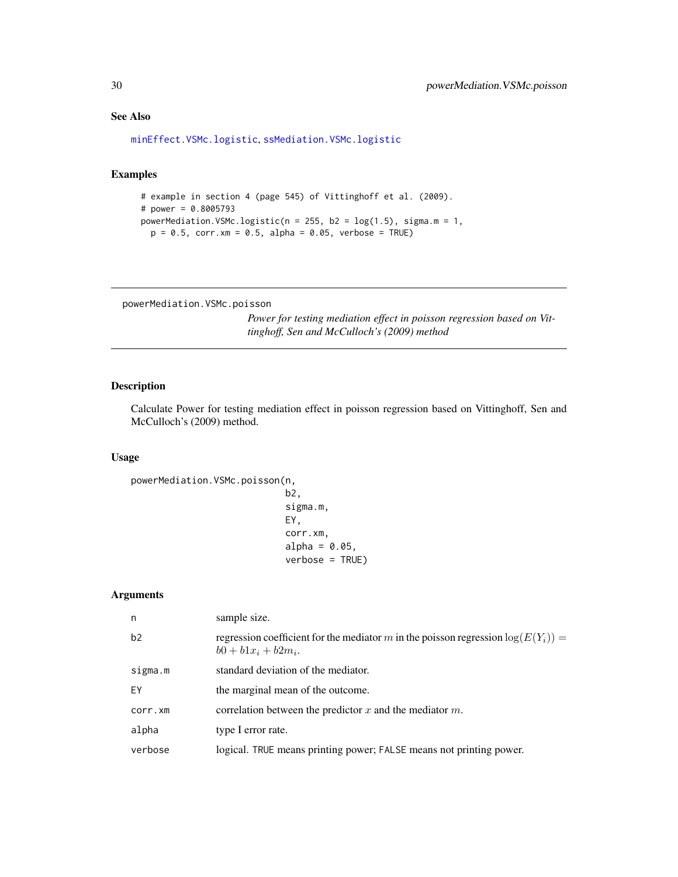# See Also

[minEffect.VSMc.logistic](#page-6-1), [ssMediation.VSMc.logistic](#page-51-1)

# Examples

```
# example in section 4 (page 545) of Vittinghoff et al. (2009).
# power = 0.8005793
powerMediation.VSMc.logistic(n = 255, b2 = log(1.5), sigma.m = 1,
 p = 0.5, corr.xm = 0.5, alpha = 0.05, verbose = TRUE)
```
<span id="page-29-1"></span>powerMediation.VSMc.poisson

*Power for testing mediation effect in poisson regression based on Vittinghoff, Sen and McCulloch's (2009) method*

# Description

Calculate Power for testing mediation effect in poisson regression based on Vittinghoff, Sen and McCulloch's (2009) method.

#### Usage

```
powerMediation.VSMc.poisson(n,
                             b2,
                             sigma.m,
                             EY,
                             corr.xm,
                             alpha = 0.05,
                             verbose = TRUE)
```
#### Arguments

| n       | sample size.                                                                                                 |
|---------|--------------------------------------------------------------------------------------------------------------|
| b2      | regression coefficient for the mediator m in the poisson regression $log(E(Y_i))$ =<br>$b0 + b1x_i + b2m_i.$ |
| sigma.m | standard deviation of the mediator.                                                                          |
| FY      | the marginal mean of the outcome.                                                                            |
| corr.xm | correlation between the predictor x and the mediator $m$ .                                                   |
| alpha   | type I error rate.                                                                                           |
| verbose | logical. TRUE means printing power; FALSE means not printing power.                                          |
|         |                                                                                                              |

<span id="page-29-0"></span>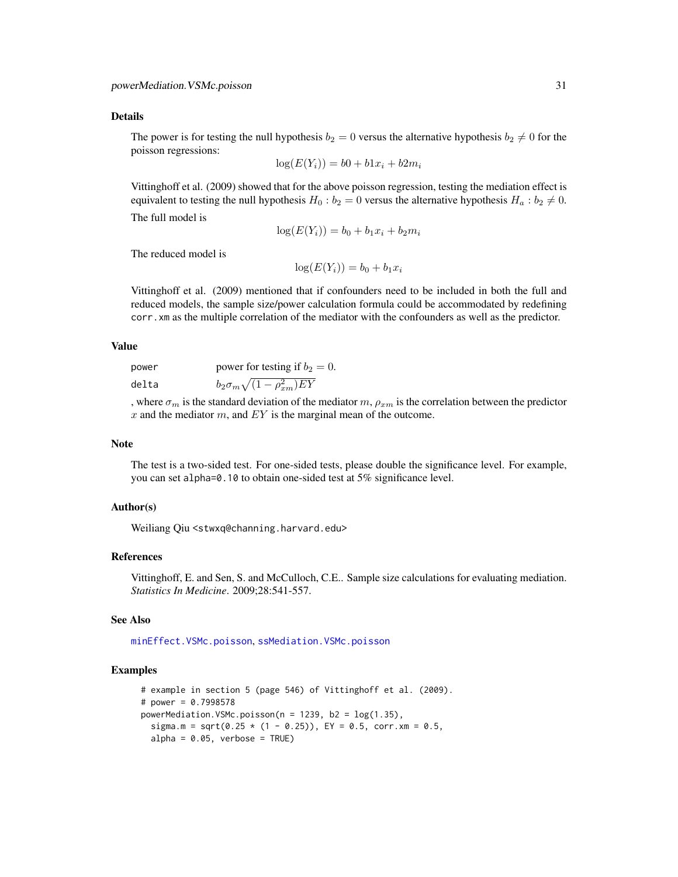#### <span id="page-30-0"></span>Details

The power is for testing the null hypothesis  $b_2 = 0$  versus the alternative hypothesis  $b_2 \neq 0$  for the poisson regressions:

$$
\log(E(Y_i)) = b0 + b1x_i + b2m_i
$$

Vittinghoff et al. (2009) showed that for the above poisson regression, testing the mediation effect is equivalent to testing the null hypothesis  $H_0 : b_2 = 0$  versus the alternative hypothesis  $H_a : b_2 \neq 0$ .

The full model is

$$
\log(E(Y_i)) = b_0 + b_1 x_i + b_2 m_i
$$

The reduced model is

$$
\log(E(Y_i)) = b_0 + b_1 x_i
$$

Vittinghoff et al. (2009) mentioned that if confounders need to be included in both the full and reduced models, the sample size/power calculation formula could be accommodated by redefining corr.xm as the multiple correlation of the mediator with the confounders as well as the predictor.

# Value

power power for testing if  $b_2 = 0$ . delta  $b_2 \sigma_m \sqrt{(1-\rho_{xm}^2) E Y}$ 

, where  $\sigma_m$  is the standard deviation of the mediator m,  $\rho_{xm}$  is the correlation between the predictor  $x$  and the mediator  $m$ , and  $EY$  is the marginal mean of the outcome.

#### Note

The test is a two-sided test. For one-sided tests, please double the significance level. For example, you can set alpha=0.10 to obtain one-sided test at 5% significance level.

#### Author(s)

Weiliang Qiu <stwxq@channing.harvard.edu>

#### References

Vittinghoff, E. and Sen, S. and McCulloch, C.E.. Sample size calculations for evaluating mediation. *Statistics In Medicine*. 2009;28:541-557.

#### See Also

[minEffect.VSMc.poisson](#page-8-1), [ssMediation.VSMc.poisson](#page-53-1)

```
# example in section 5 (page 546) of Vittinghoff et al. (2009).
# power = 0.7998578
powerMediation.VSMc.poisson(n = 1239, b2 = log(1.35),
  sigma.m = sqrt(0.25 * (1 - 0.25)), EY = 0.5, corr.xm = 0.5,
  alpha = 0.05, verbose = TRUE)
```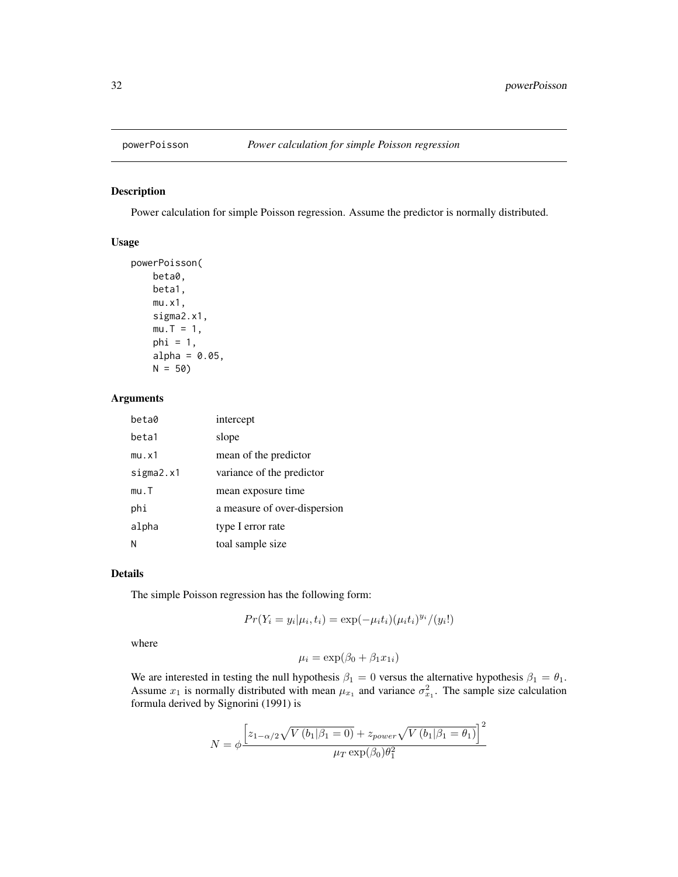<span id="page-31-1"></span><span id="page-31-0"></span>

#### Description

Power calculation for simple Poisson regression. Assume the predictor is normally distributed.

#### Usage

```
powerPoisson(
   beta0,
   beta1,
   mu.x1,
   sigma2.x1,
   mu.T = 1,phi = 1,
    alpha = 0.05,
   N = 50
```
# Arguments

| beta0     | intercept                    |
|-----------|------------------------------|
| beta1     | slope                        |
| mu.x1     | mean of the predictor        |
| sigma2.x1 | variance of the predictor    |
| mu.T      | mean exposure time           |
| phi       | a measure of over-dispersion |
| alpha     | type I error rate            |
|           | toal sample size             |

# Details

The simple Poisson regression has the following form:

 $Pr(Y_i = y_i | \mu_i, t_i) = \exp(-\mu_i t_i)(\mu_i t_i)^{y_i}/(y_i!)$ 

where

 $\mu_i = \exp(\beta_0 + \beta_1 x_{1i})$ 

We are interested in testing the null hypothesis  $\beta_1 = 0$  versus the alternative hypothesis  $\beta_1 = \theta_1$ . Assume  $x_1$  is normally distributed with mean  $\mu_{x_1}$  and variance  $\sigma_{x_1}^2$ . The sample size calculation formula derived by Signorini (1991) is

$$
N = \phi \frac{\left[z_{1-\alpha/2}\sqrt{V(b_1|\beta_1 = 0)} + z_{power}\sqrt{V(b_1|\beta_1 = \theta_1)}\right]^2}{\mu_T \exp(\beta_0)\theta_1^2}
$$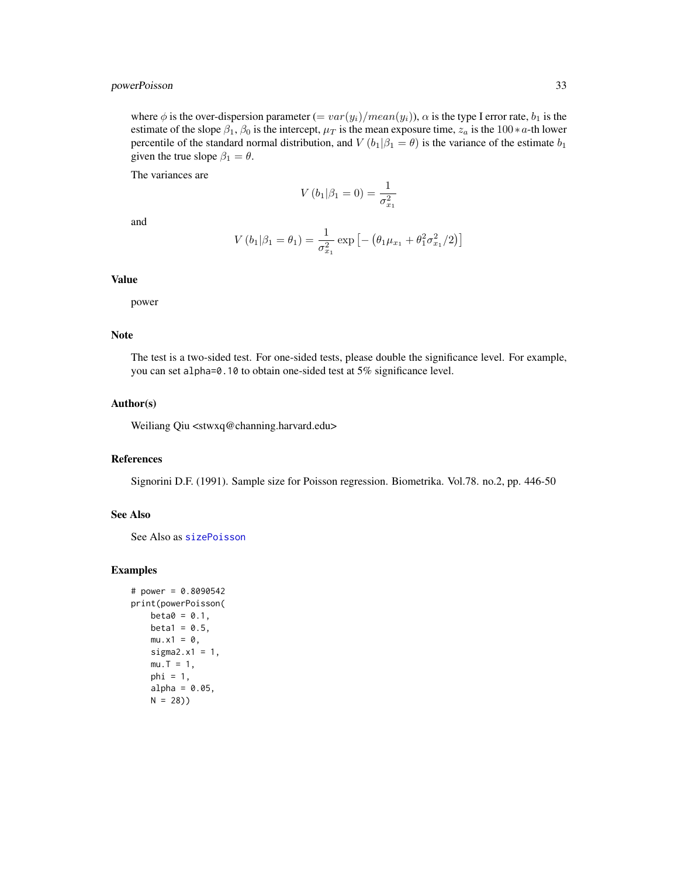# <span id="page-32-0"></span>powerPoisson 33

where  $\phi$  is the over-dispersion parameter  $(= var(y_i)/mean(y_i))$ ,  $\alpha$  is the type I error rate,  $b_1$  is the estimate of the slope  $\beta_1$ ,  $\beta_0$  is the intercept,  $\mu_T$  is the mean exposure time,  $z_a$  is the 100∗a-th lower percentile of the standard normal distribution, and  $V(b_1|\beta_1 = \theta)$  is the variance of the estimate  $b_1$ given the true slope  $\beta_1 = \theta$ .

The variances are

$$
V(b_1|\beta_1 = 0) = \frac{1}{\sigma_{x_1}^2}
$$

and

$$
V(b_1|\beta_1 = \theta_1) = \frac{1}{\sigma_{x_1}^2} \exp \left[ -\left(\theta_1 \mu_{x_1} + \theta_1^2 \sigma_{x_1}^2 / 2\right) \right]
$$

### Value

power

# Note

The test is a two-sided test. For one-sided tests, please double the significance level. For example, you can set alpha=0.10 to obtain one-sided test at 5% significance level.

# Author(s)

Weiliang Qiu <stwxq@channing.harvard.edu>

#### References

Signorini D.F. (1991). Sample size for Poisson regression. Biometrika. Vol.78. no.2, pp. 446-50

#### See Also

See Also as [sizePoisson](#page-33-1)

```
# power = 0.8090542
print(powerPoisson(
   beta = 0.1,
   beta1 = 0.5,
   mu.x1 = 0,
   sigma2.x1 = 1,
   mu.T = 1,phi = 1,
   alpha = 0.05,
   N = 28)
```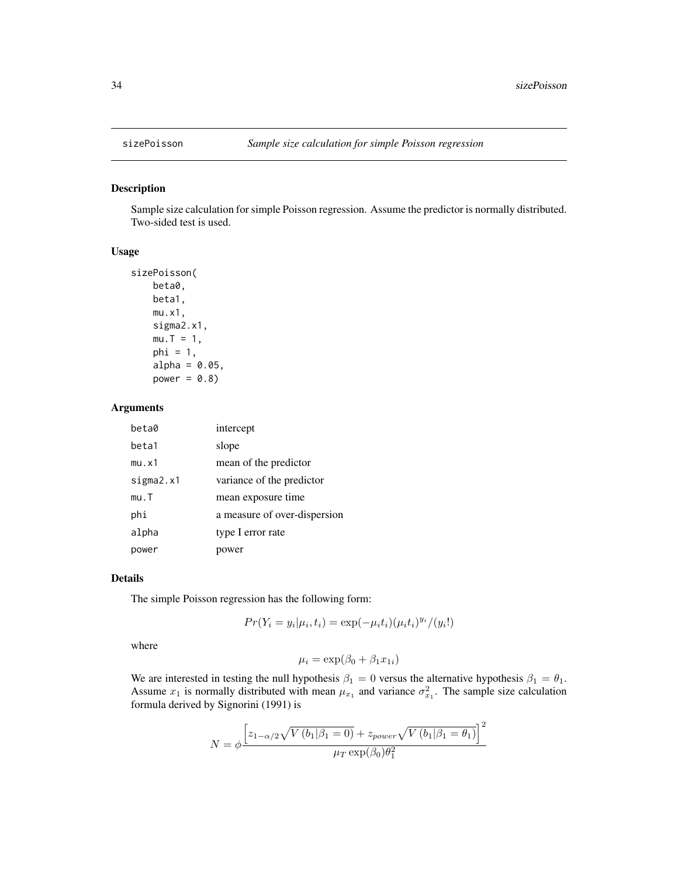<span id="page-33-1"></span><span id="page-33-0"></span>

#### Description

Sample size calculation for simple Poisson regression. Assume the predictor is normally distributed. Two-sided test is used.

#### Usage

```
sizePoisson(
   beta0,
   beta1,
   mu.x1,
   sigma2.x1,
   mu.T = 1,phi = 1,
    alpha = 0.05,
    power = 0.8)
```
# Arguments

| beta0     | intercept                    |
|-----------|------------------------------|
| beta1     | slope                        |
| mu.x1     | mean of the predictor        |
| sigma2.x1 | variance of the predictor    |
| mu.T      | mean exposure time           |
| phi       | a measure of over-dispersion |
| alpha     | type I error rate            |
| power     | power                        |

# Details

The simple Poisson regression has the following form:

$$
Pr(Y_i = y_i | \mu_i, t_i) = \exp(-\mu_i t_i) (\mu_i t_i)^{y_i} / (y_i!)
$$

where

$$
\mu_i = \exp(\beta_0 + \beta_1 x_{1i})
$$

We are interested in testing the null hypothesis  $\beta_1 = 0$  versus the alternative hypothesis  $\beta_1 = \theta_1$ . Assume  $x_1$  is normally distributed with mean  $\mu_{x_1}$  and variance  $\sigma_{x_1}^2$ . The sample size calculation formula derived by Signorini (1991) is

$$
N = \phi \frac{\left[z_{1-\alpha/2}\sqrt{V(b_1|\beta_1 = 0)} + z_{power}\sqrt{V(b_1|\beta_1 = \theta_1)}\right]^2}{\mu_T \exp(\beta_0)\theta_1^2}
$$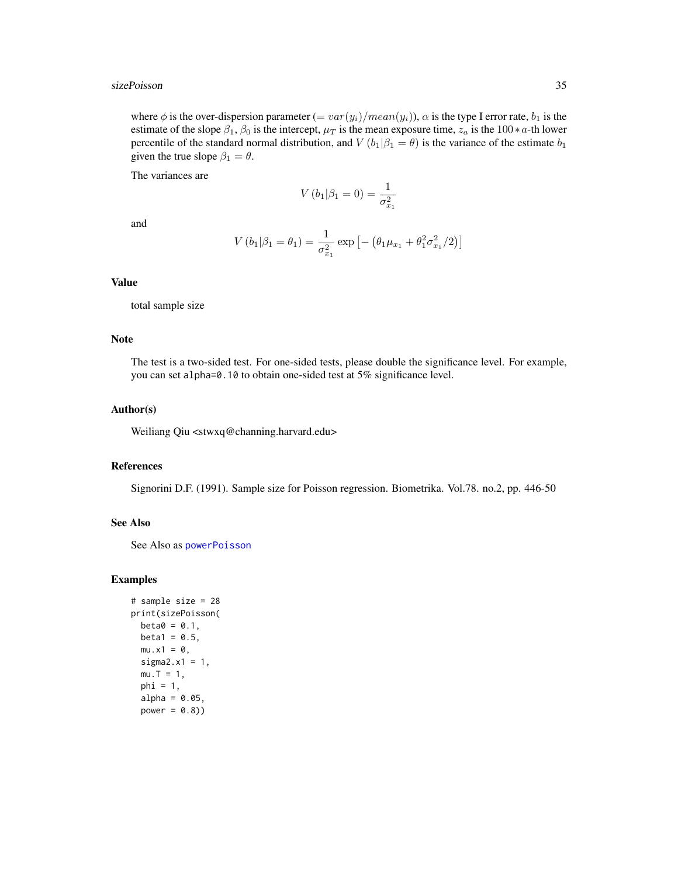#### <span id="page-34-0"></span>sizePoisson 35

where  $\phi$  is the over-dispersion parameter  $(= var(y_i)/mean(y_i))$ ,  $\alpha$  is the type I error rate,  $b_1$  is the estimate of the slope  $\beta_1$ ,  $\beta_0$  is the intercept,  $\mu_T$  is the mean exposure time,  $z_a$  is the 100∗a-th lower percentile of the standard normal distribution, and  $V(b_1|\beta_1 = \theta)$  is the variance of the estimate  $b_1$ given the true slope  $\beta_1 = \theta$ .

The variances are

$$
V(b_1|\beta_1 = 0) = \frac{1}{\sigma_{x_1}^2}
$$

and

$$
V(b_1|\beta_1 = \theta_1) = \frac{1}{\sigma_{x_1}^2} \exp \left[ -\left(\theta_1 \mu_{x_1} + \theta_1^2 \sigma_{x_1}^2 / 2\right) \right]
$$

#### Value

total sample size

#### Note

The test is a two-sided test. For one-sided tests, please double the significance level. For example, you can set alpha=0.10 to obtain one-sided test at 5% significance level.

#### Author(s)

Weiliang Qiu <stwxq@channing.harvard.edu>

#### References

Signorini D.F. (1991). Sample size for Poisson regression. Biometrika. Vol.78. no.2, pp. 446-50

# See Also

See Also as [powerPoisson](#page-31-1)

```
# sample size = 28
print(sizePoisson(
 beta = 0.1,
 beta1 = 0.5,
 mu.x1 = 0,
 sigma2.x1 = 1,
 mu.T = 1,phi = 1,
 alpha = 0.05,
 power = 0.8)
```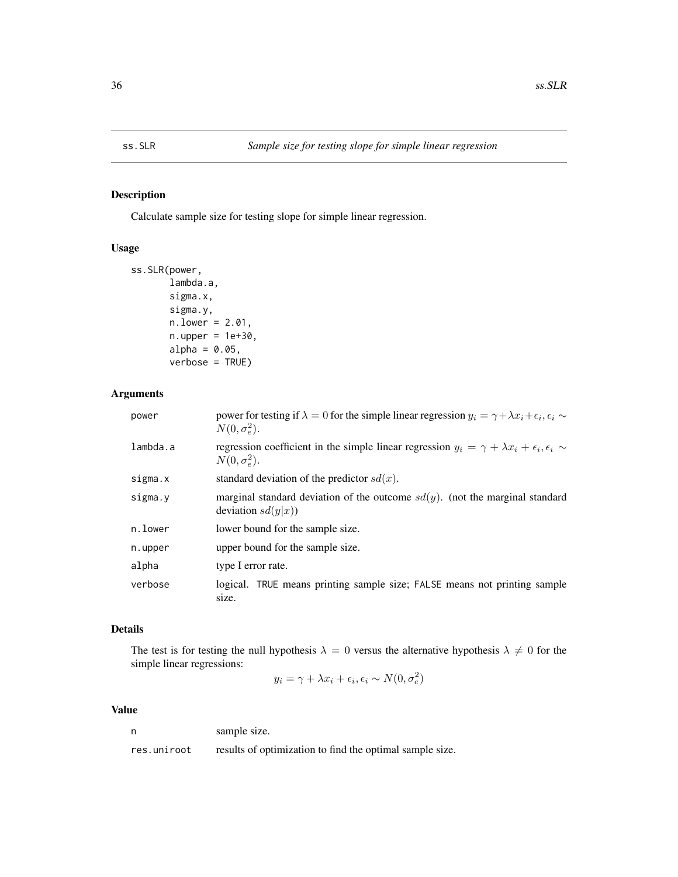<span id="page-35-1"></span><span id="page-35-0"></span>

# Description

Calculate sample size for testing slope for simple linear regression.

#### Usage

```
ss.SLR(power,
       lambda.a,
       sigma.x,
       sigma.y,
       n.lower = 2.01,
       n.upper = 1e+30,
       alpha = 0.05,
       verbose = TRUE)
```
#### Arguments

| power    | power for testing if $\lambda = 0$ for the simple linear regression $y_i = \gamma + \lambda x_i + \epsilon_i, \epsilon_i \sim$<br>$N(0, \sigma_e^2)$ . |
|----------|--------------------------------------------------------------------------------------------------------------------------------------------------------|
| lambda.a | regression coefficient in the simple linear regression $y_i = \gamma + \lambda x_i + \epsilon_i, \epsilon_i \sim$<br>$N(0, \sigma_e^2)$ .              |
| sigma.x  | standard deviation of the predictor $sd(x)$ .                                                                                                          |
| sigma.y  | marginal standard deviation of the outcome $sd(y)$ . (not the marginal standard<br>deviation $sd(y x)$                                                 |
| n.lower  | lower bound for the sample size.                                                                                                                       |
| n.upper  | upper bound for the sample size.                                                                                                                       |
| alpha    | type I error rate.                                                                                                                                     |
| verbose  | logical. TRUE means printing sample size; FALSE means not printing sample<br>size.                                                                     |

# Details

The test is for testing the null hypothesis  $\lambda = 0$  versus the alternative hypothesis  $\lambda \neq 0$  for the simple linear regressions:

$$
y_i = \gamma + \lambda x_i + \epsilon_i, \epsilon_i \sim N(0, \sigma_e^2)
$$

# Value

n sample size.

res.uniroot results of optimization to find the optimal sample size.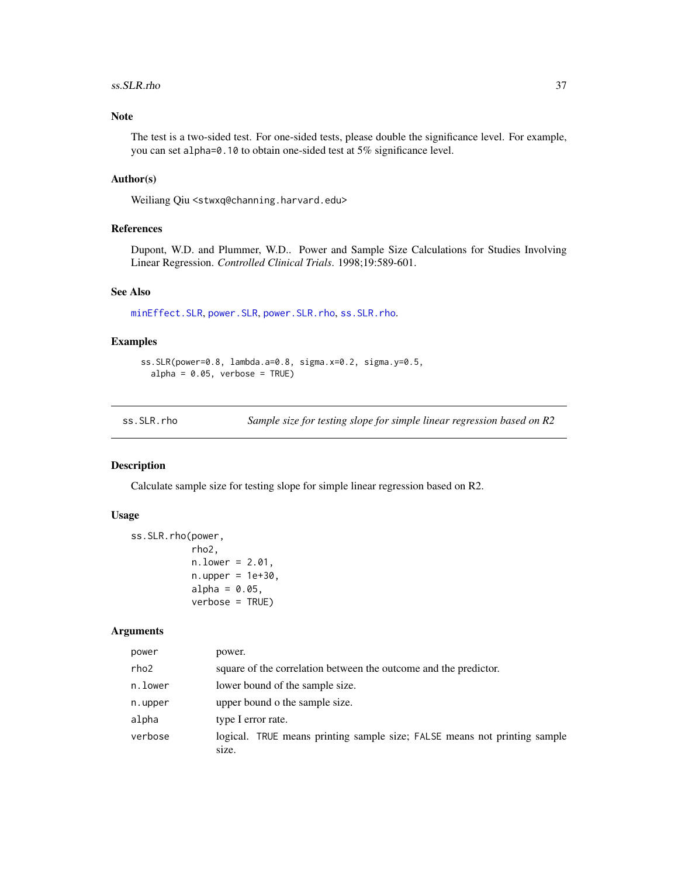#### <span id="page-36-0"></span>ss.SLR.rho 37

# Note

The test is a two-sided test. For one-sided tests, please double the significance level. For example, you can set alpha=0.10 to obtain one-sided test at 5% significance level.

# Author(s)

Weiliang Qiu <stwxq@channing.harvard.edu>

#### References

Dupont, W.D. and Plummer, W.D.. Power and Sample Size Calculations for Studies Involving Linear Regression. *Controlled Clinical Trials*. 1998;19:589-601.

# See Also

[minEffect.SLR](#page-1-1), [power.SLR](#page-10-1), [power.SLR.rho](#page-11-1), [ss.SLR.rho](#page-36-1).

#### Examples

```
ss.SLR(power=0.8, lambda.a=0.8, sigma.x=0.2, sigma.y=0.5,
  alpha = 0.05, verbose = TRUE)
```
<span id="page-36-1"></span>ss.SLR.rho *Sample size for testing slope for simple linear regression based on R2*

# Description

Calculate sample size for testing slope for simple linear regression based on R2.

#### Usage

```
ss.SLR.rho(power,
           rho2,
           n.lower = 2.01,
           n.upper = 1e+30.
           alpha = 0.05,
           verbose = TRUE)
```
# Arguments

| power   | power.                                                                             |
|---------|------------------------------------------------------------------------------------|
| rho2    | square of the correlation between the outcome and the predictor.                   |
| n.lower | lower bound of the sample size.                                                    |
| n.upper | upper bound o the sample size.                                                     |
| alpha   | type I error rate.                                                                 |
| verbose | logical. TRUE means printing sample size; FALSE means not printing sample<br>size. |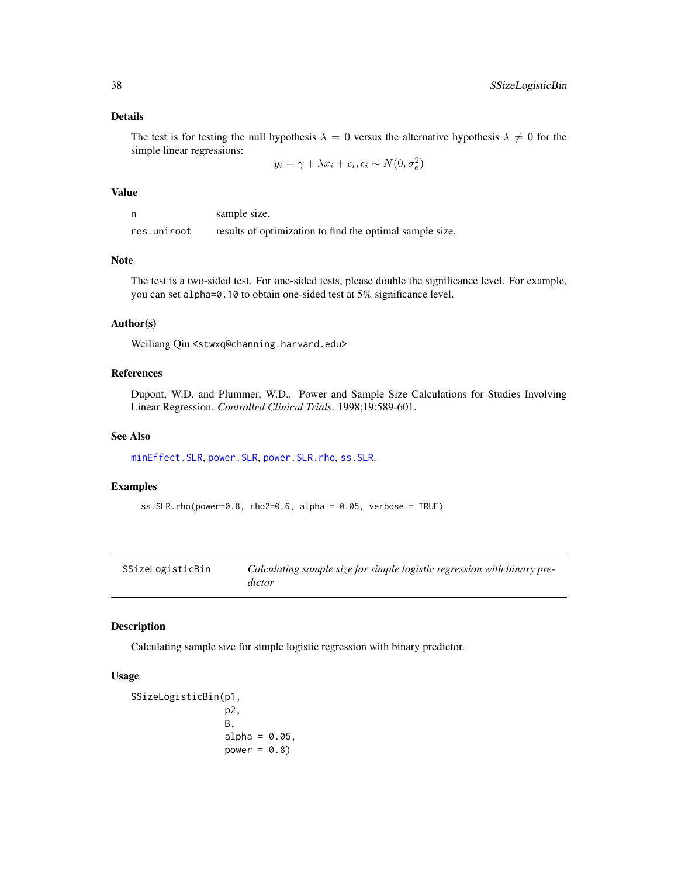# Details

The test is for testing the null hypothesis  $\lambda = 0$  versus the alternative hypothesis  $\lambda \neq 0$  for the simple linear regressions:

 $y_i = \gamma + \lambda x_i + \epsilon_i, \epsilon_i \sim N(0, \sigma_e^2)$ 

#### Value

n sample size. res.uniroot results of optimization to find the optimal sample size.

#### Note

The test is a two-sided test. For one-sided tests, please double the significance level. For example, you can set alpha=0.10 to obtain one-sided test at 5% significance level.

#### Author(s)

Weiliang Qiu <stwxq@channing.harvard.edu>

#### References

Dupont, W.D. and Plummer, W.D.. Power and Sample Size Calculations for Studies Involving Linear Regression. *Controlled Clinical Trials*. 1998;19:589-601.

## See Also

[minEffect.SLR](#page-1-1), [power.SLR](#page-10-1), [power.SLR.rho](#page-11-1), [ss.SLR](#page-35-1).

# Examples

```
ss.SLR.rho(power=0.8, rho2=0.6, alpha = 0.05, verbose = TRUE)
```

| SSizeLogisticBin | Calculating sample size for simple logistic regression with binary pre- |
|------------------|-------------------------------------------------------------------------|
|                  | dictor                                                                  |

#### Description

Calculating sample size for simple logistic regression with binary predictor.

# Usage

```
SSizeLogisticBin(p1,
                  p2,
                  B,
                  alpha = 0.05,
                  power = 0.8)
```
<span id="page-37-0"></span>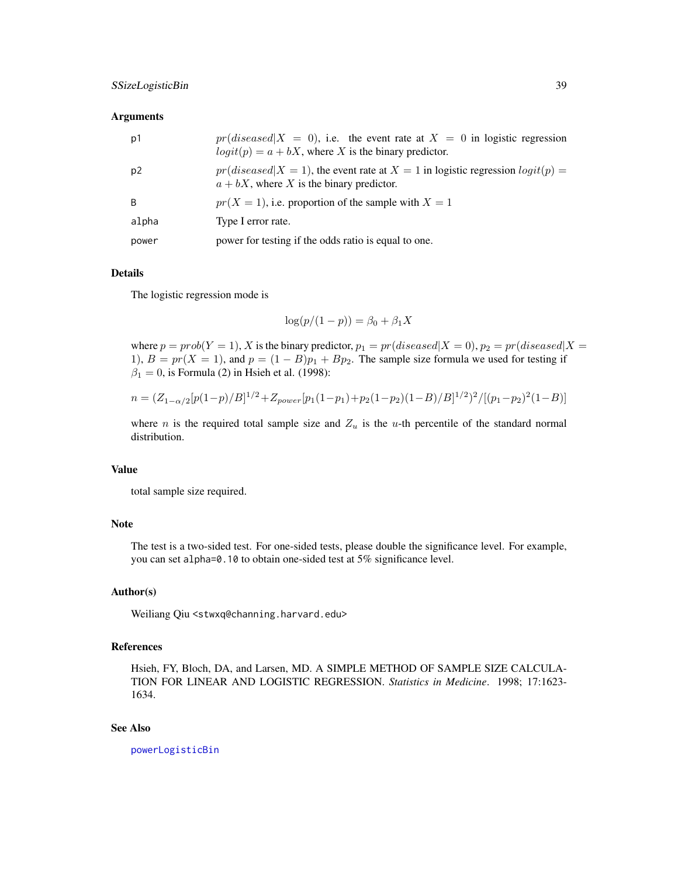#### <span id="page-38-0"></span>**Arguments**

| p1    | $pr(disease d X = 0)$ , i.e. the event rate at $X = 0$ in logistic regression<br>$logit(p) = a + bX$ , where X is the binary predictor. |
|-------|-----------------------------------------------------------------------------------------------------------------------------------------|
| p2    | $pr(disease d X = 1)$ , the event rate at $X = 1$ in logistic regression $logit(p) =$<br>$a + bX$ , where X is the binary predictor.    |
| B     | $pr(X = 1)$ , i.e. proportion of the sample with $X = 1$                                                                                |
| alpha | Type I error rate.                                                                                                                      |
| power | power for testing if the odds ratio is equal to one.                                                                                    |

## Details

The logistic regression mode is

$$
\log(p/(1-p)) = \beta_0 + \beta_1 X
$$

where  $p = prob(Y = 1)$ , X is the binary predictor,  $p_1 = pr(diseased|X = 0)$ ,  $p_2 = pr(diseased|X = 0)$ 1),  $B = pr(X = 1)$ , and  $p = (1 - B)p_1 + Bp_2$ . The sample size formula we used for testing if  $\beta_1 = 0$ , is Formula (2) in Hsieh et al. (1998):

$$
n = (Z_{1-\alpha/2}[p(1-p)/B]^{1/2} + Z_{power}[p_1(1-p_1)+p_2(1-p_2)(1-B)/B]^{1/2})^2/[(p_1-p_2)^2(1-B)]
$$

where *n* is the required total sample size and  $Z_u$  is the *u*-th percentile of the standard normal distribution.

# Value

total sample size required.

# Note

The test is a two-sided test. For one-sided tests, please double the significance level. For example, you can set alpha=0.10 to obtain one-sided test at 5% significance level.

# Author(s)

Weiliang Qiu <stwxq@channing.harvard.edu>

# References

Hsieh, FY, Bloch, DA, and Larsen, MD. A SIMPLE METHOD OF SAMPLE SIZE CALCULA-TION FOR LINEAR AND LOGISTIC REGRESSION. *Statistics in Medicine*. 1998; 17:1623- 1634.

#### See Also

[powerLogisticBin](#page-14-1)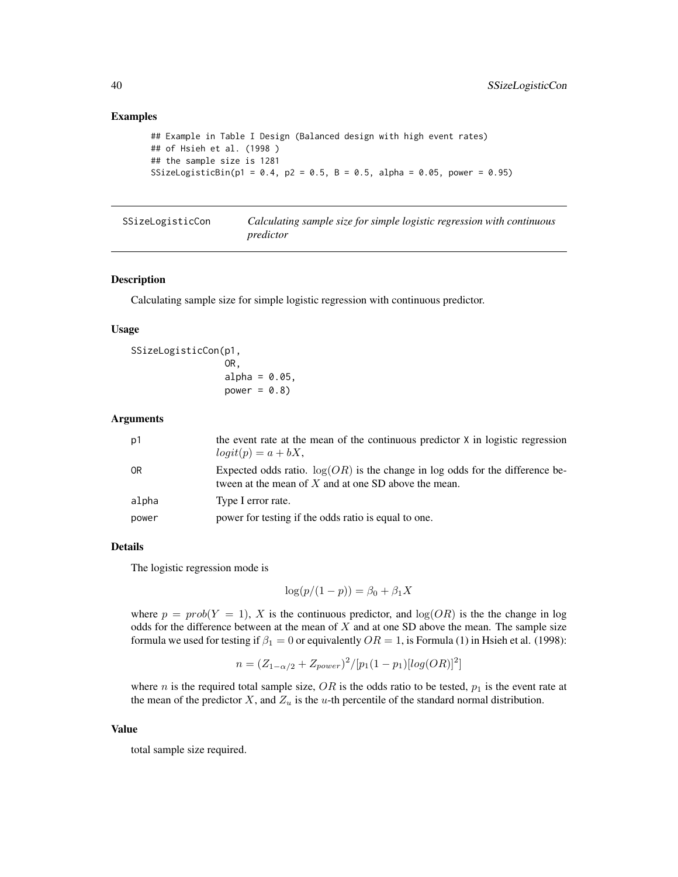# Examples

```
## Example in Table I Design (Balanced design with high event rates)
## of Hsieh et al. (1998 )
## the sample size is 1281
SSizeLogisticBin(p1 = 0.4, p2 = 0.5, B = 0.5, alpha = 0.05, power = 0.95)
```
<span id="page-39-1"></span>

| SSizeLogisticCon | Calculating sample size for simple logistic regression with continuous |
|------------------|------------------------------------------------------------------------|
|                  | predictor                                                              |

#### Description

Calculating sample size for simple logistic regression with continuous predictor.

#### Usage

```
SSizeLogisticCon(p1,
                 OR,
                  alpha = 0.05,
                 power = 0.8)
```
# Arguments

| p1    | the event rate at the mean of the continuous predictor X in logistic regression<br>$logit(p) = a + bX,$                                   |
|-------|-------------------------------------------------------------------------------------------------------------------------------------------|
| 0R    | Expected odds ratio. $log(OR)$ is the change in log odds for the difference be-<br>tween at the mean of $X$ and at one SD above the mean. |
| alpha | Type I error rate.                                                                                                                        |
| power | power for testing if the odds ratio is equal to one.                                                                                      |

# Details

The logistic regression mode is

$$
\log(p/(1-p)) = \beta_0 + \beta_1 X
$$

where  $p = prob(Y = 1)$ , X is the continuous predictor, and  $log(OR)$  is the the change in log odds for the difference between at the mean of  $X$  and at one SD above the mean. The sample size formula we used for testing if  $\beta_1 = 0$  or equivalently  $OR = 1$ , is Formula (1) in Hsieh et al. (1998):

$$
n = (Z_{1-\alpha/2} + Z_{power})^2 / [p_1(1-p_1)[log(OR)]^2]
$$

where n is the required total sample size,  $OR$  is the odds ratio to be tested,  $p_1$  is the event rate at the mean of the predictor  $X$ , and  $Z_u$  is the u-th percentile of the standard normal distribution.

#### Value

total sample size required.

<span id="page-39-0"></span>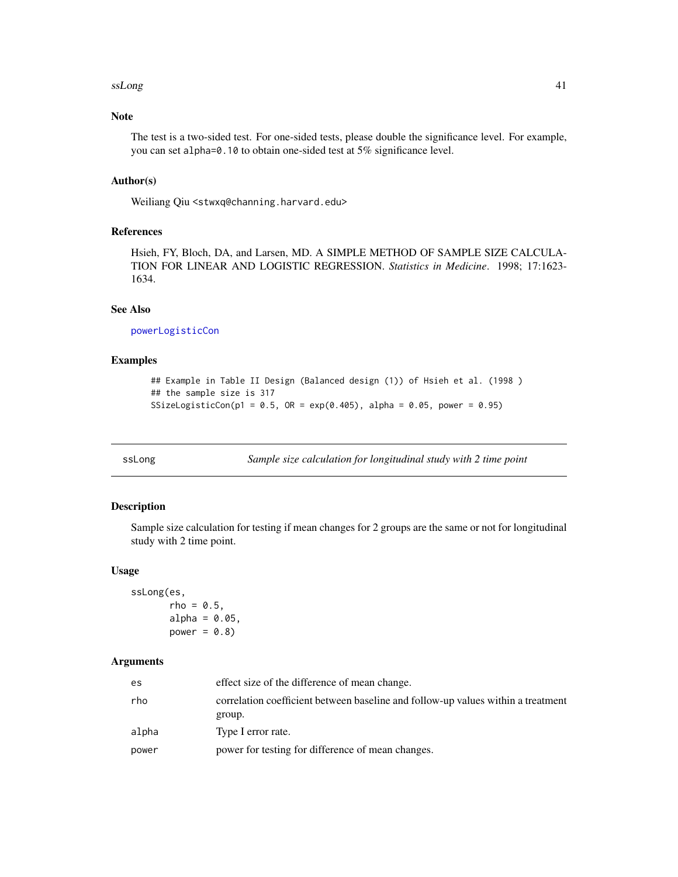#### <span id="page-40-0"></span> $s$ s $L$ ong  $41$

# Note

The test is a two-sided test. For one-sided tests, please double the significance level. For example, you can set alpha=0.10 to obtain one-sided test at 5% significance level.

#### Author(s)

Weiliang Qiu <stwxq@channing.harvard.edu>

# References

Hsieh, FY, Bloch, DA, and Larsen, MD. A SIMPLE METHOD OF SAMPLE SIZE CALCULA-TION FOR LINEAR AND LOGISTIC REGRESSION. *Statistics in Medicine*. 1998; 17:1623- 1634.

# See Also

[powerLogisticCon](#page-16-1)

# Examples

```
## Example in Table II Design (Balanced design (1)) of Hsieh et al. (1998 )
## the sample size is 317
SSizeLogisticCon(p1 = 0.5, OR = exp(0.405), alpha = 0.05, power = 0.95)
```
<span id="page-40-1"></span>ssLong *Sample size calculation for longitudinal study with 2 time point*

# Description

Sample size calculation for testing if mean changes for 2 groups are the same or not for longitudinal study with 2 time point.

#### Usage

```
ssLong(es,
       rho = 0.5,
       alpha = 0.05,
       power = 0.8)
```
#### Arguments

| es    | effect size of the difference of mean change.                                              |
|-------|--------------------------------------------------------------------------------------------|
| rho   | correlation coefficient between baseline and follow-up values within a treatment<br>group. |
| alpha | Type I error rate.                                                                         |
| power | power for testing for difference of mean changes.                                          |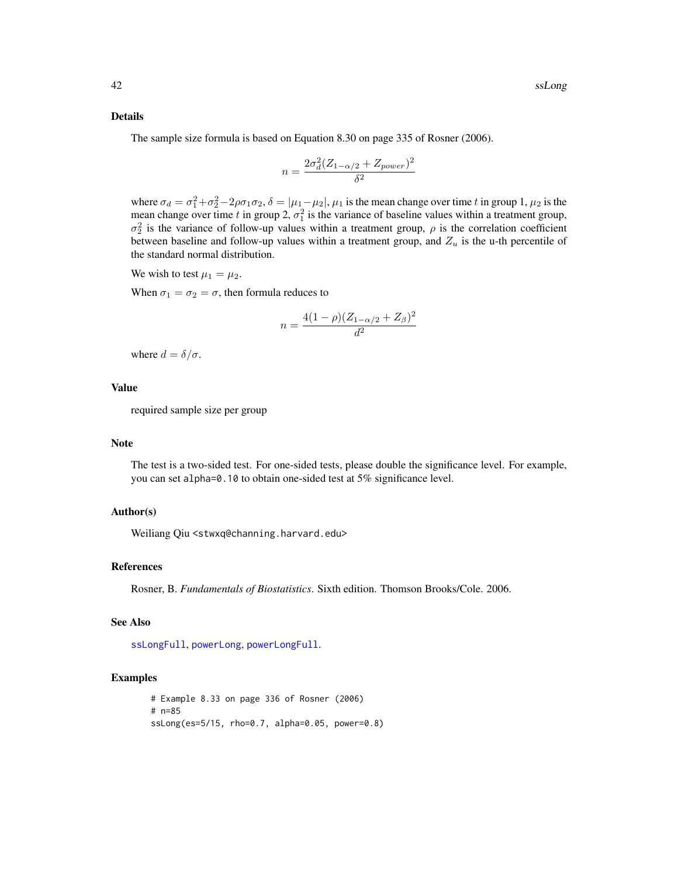#### <span id="page-41-0"></span>Details

The sample size formula is based on Equation 8.30 on page 335 of Rosner (2006).

$$
n = \frac{2\sigma_d^2 (Z_{1-\alpha/2} + Z_{power})^2}{\delta^2}
$$

where  $\sigma_d = \sigma_1^2 + \sigma_2^2 - 2\rho\sigma_1\sigma_2$ ,  $\delta = |\mu_1 - \mu_2|$ ,  $\mu_1$  is the mean change over time t in group 1,  $\mu_2$  is the mean change over time t in group 2,  $\sigma_1^2$  is the variance of baseline values within a treatment group,  $\sigma_2^2$  is the variance of follow-up values within a treatment group,  $\rho$  is the correlation coefficient between baseline and follow-up values within a treatment group, and  $Z_u$  is the u-th percentile of the standard normal distribution.

We wish to test  $\mu_1 = \mu_2$ .

When  $\sigma_1 = \sigma_2 = \sigma$ , then formula reduces to

$$
n = \frac{4(1-\rho)(Z_{1-\alpha/2} + Z_{\beta})^2}{d^2}
$$

where  $d = \delta/\sigma$ .

# Value

required sample size per group

#### Note

The test is a two-sided test. For one-sided tests, please double the significance level. For example, you can set alpha=0.10 to obtain one-sided test at 5% significance level.

#### Author(s)

Weiliang Qiu <stwxq@channing.harvard.edu>

#### References

Rosner, B. *Fundamentals of Biostatistics*. Sixth edition. Thomson Brooks/Cole. 2006.

#### See Also

[ssLongFull](#page-43-1), [powerLong](#page-17-1), [powerLongFull](#page-20-1).

```
# Example 8.33 on page 336 of Rosner (2006)
# n=85
ssLong(es=5/15, rho=0.7, alpha=0.05, power=0.8)
```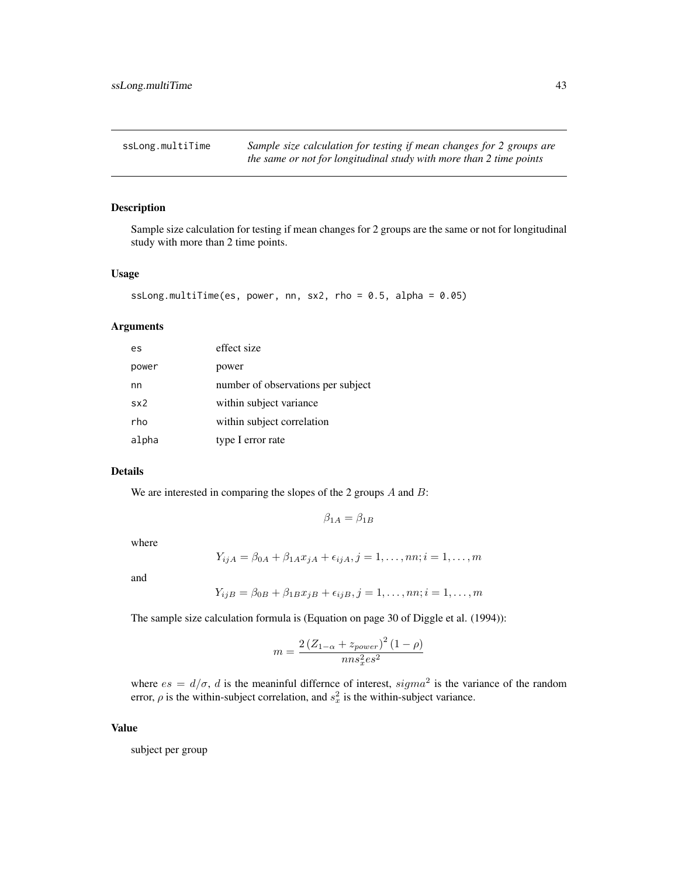<span id="page-42-1"></span><span id="page-42-0"></span>ssLong.multiTime *Sample size calculation for testing if mean changes for 2 groups are the same or not for longitudinal study with more than 2 time points*

# Description

Sample size calculation for testing if mean changes for 2 groups are the same or not for longitudinal study with more than 2 time points.

#### Usage

```
ssLong.multiTime(es, power, nn, sx2, rho = 0.5, alpha = 0.05)
```
#### Arguments

| es    | effect size                        |
|-------|------------------------------------|
| power | power                              |
| nn    | number of observations per subject |
| sx2   | within subject variance            |
| rho   | within subject correlation         |
| alpha | type I error rate                  |

#### Details

We are interested in comparing the slopes of the 2 groups  $A$  and  $B$ :

$$
\beta_{1A} = \beta_{1B}
$$

where

$$
Y_{ijA} = \beta_{0A} + \beta_{1A}x_{jA} + \epsilon_{ijA}, j = 1, ..., nn; i = 1, ..., m
$$

and

$$
Y_{ijB} = \beta_{0B} + \beta_{1B}x_{jB} + \epsilon_{ijB}, j = 1, \dots, nn; i = 1, \dots, m
$$

The sample size calculation formula is (Equation on page 30 of Diggle et al. (1994)):

$$
m = \frac{2\left(Z_{1-\alpha} + z_{power}\right)^{2} (1-\rho)}{n n s_{x}^{2} \epsilon s^{2}}
$$

where  $es = d/\sigma$ , d is the meaninful differnce of interest,  $sigma^2$  is the variance of the random error,  $\rho$  is the within-subject correlation, and  $s_x^2$  is the within-subject variance.

#### Value

subject per group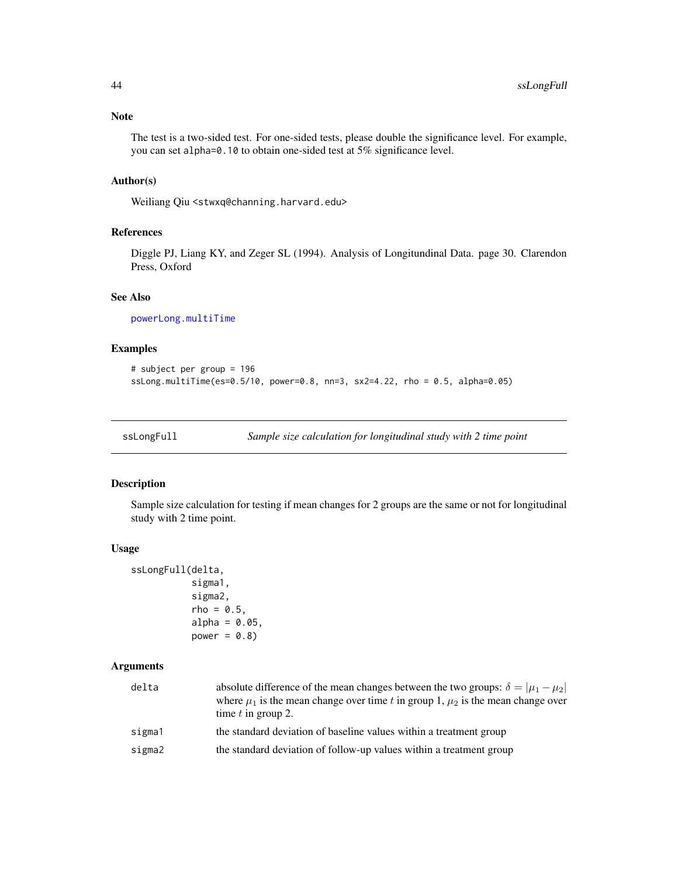# <span id="page-43-0"></span>Note

The test is a two-sided test. For one-sided tests, please double the significance level. For example, you can set alpha=0.10 to obtain one-sided test at 5% significance level.

# Author(s)

Weiliang Qiu <stwxq@channing.harvard.edu>

# References

Diggle PJ, Liang KY, and Zeger SL (1994). Analysis of Longitundinal Data. page 30. Clarendon Press, Oxford

# See Also

[powerLong.multiTime](#page-19-1)

# Examples

```
# subject per group = 196
ssLong.multiTime(es=0.5/10, power=0.8, nn=3, sx2=4.22, rho = 0.5, alpha=0.05)
```

```
ssLongFull Sample size calculation for longitudinal study with 2 time point
```
# Description

Sample size calculation for testing if mean changes for 2 groups are the same or not for longitudinal study with 2 time point.

# Usage

```
ssLongFull(delta,
           sigma1,
           sigma2,
           rho = 0.5,
           alpha = 0.05,
           power = 0.8)
```
#### **Arguments**

| delta  | absolute difference of the mean changes between the two groups: $\delta =  \mu_1 - \mu_2 $<br>where $\mu_1$ is the mean change over time t in group 1, $\mu_2$ is the mean change over<br>time $t$ in group 2. |
|--------|----------------------------------------------------------------------------------------------------------------------------------------------------------------------------------------------------------------|
| sigma1 | the standard deviation of baseline values within a treatment group                                                                                                                                             |
| sigma2 | the standard deviation of follow-up values within a treatment group                                                                                                                                            |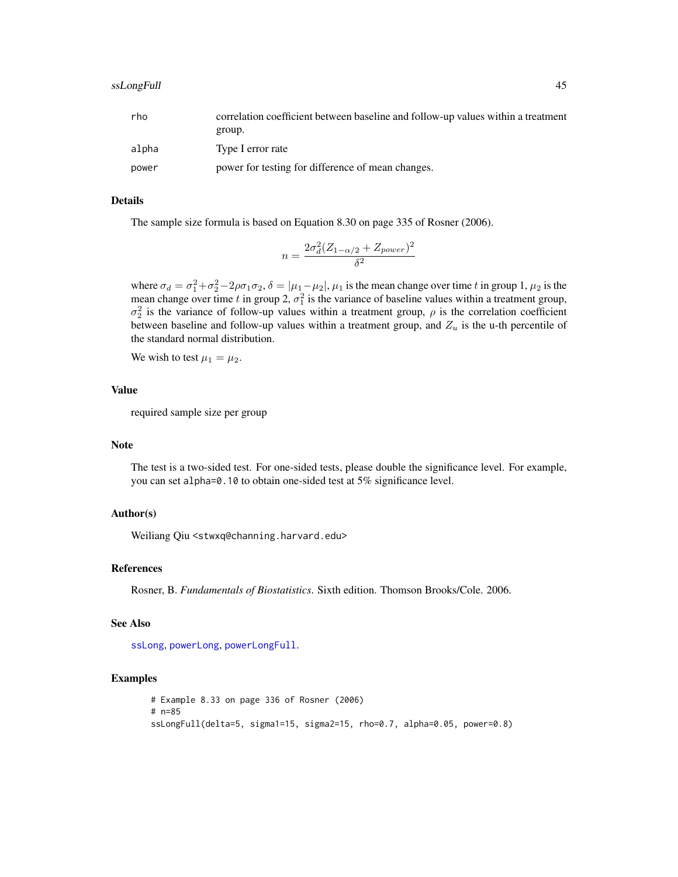<span id="page-44-0"></span>

| rho   | correlation coefficient between baseline and follow-up values within a treatment |
|-------|----------------------------------------------------------------------------------|
|       | group.                                                                           |
| alpha | Type I error rate                                                                |
| power | power for testing for difference of mean changes.                                |

# Details

The sample size formula is based on Equation 8.30 on page 335 of Rosner (2006).

$$
n = \frac{2\sigma_d^2 (Z_{1-\alpha/2} + Z_{power})^2}{\delta^2}
$$

where  $\sigma_d = \sigma_1^2 + \sigma_2^2 - 2\rho\sigma_1\sigma_2$ ,  $\delta = |\mu_1 - \mu_2|$ ,  $\mu_1$  is the mean change over time t in group 1,  $\mu_2$  is the mean change over time t in group 2,  $\sigma_1^2$  is the variance of baseline values within a treatment group,  $\sigma_2^2$  is the variance of follow-up values within a treatment group,  $\rho$  is the correlation coefficient between baseline and follow-up values within a treatment group, and  $Z_u$  is the u-th percentile of the standard normal distribution.

We wish to test  $\mu_1 = \mu_2$ .

# Value

required sample size per group

# Note

The test is a two-sided test. For one-sided tests, please double the significance level. For example, you can set alpha=0.10 to obtain one-sided test at 5% significance level.

#### Author(s)

Weiliang Qiu <stwxq@channing.harvard.edu>

# References

Rosner, B. *Fundamentals of Biostatistics*. Sixth edition. Thomson Brooks/Cole. 2006.

#### See Also

[ssLong](#page-40-1), [powerLong](#page-17-1), [powerLongFull](#page-20-1).

```
# Example 8.33 on page 336 of Rosner (2006)
# n=85
ssLongFull(delta=5, sigma1=15, sigma2=15, rho=0.7, alpha=0.05, power=0.8)
```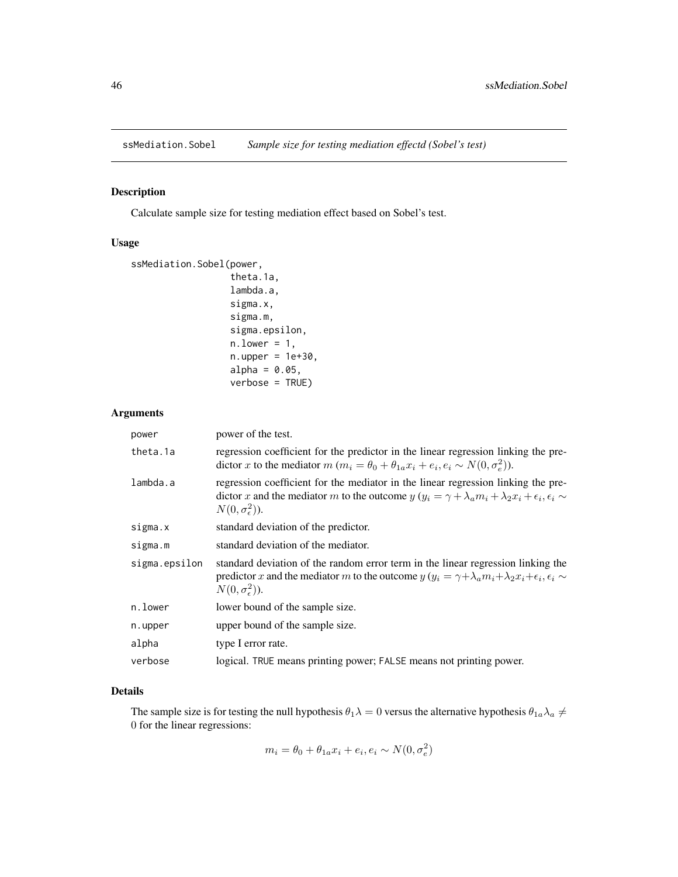<span id="page-45-1"></span><span id="page-45-0"></span>

# Description

Calculate sample size for testing mediation effect based on Sobel's test.

# Usage

```
ssMediation.Sobel(power,
```

```
theta.1a,
lambda.a,
sigma.x,
sigma.m,
sigma.epsilon,
n. lower = 1,n.upper = 1e+30,alpha = 0.05,
verbose = TRUE)
```
# Arguments

| power         | power of the test.                                                                                                                                                                                                                                |
|---------------|---------------------------------------------------------------------------------------------------------------------------------------------------------------------------------------------------------------------------------------------------|
| theta.1a      | regression coefficient for the predictor in the linear regression linking the pre-<br>dictor x to the mediator $m (m_i = \theta_0 + \theta_{1a} x_i + e_i, e_i \sim N(0, \sigma_e^2)).$                                                           |
| lambda.a      | regression coefficient for the mediator in the linear regression linking the pre-<br>dictor x and the mediator m to the outcome $y(y_i = \gamma + \lambda_a m_i + \lambda_2 x_i + \epsilon_i, \epsilon_i \sim$<br>$N(0,\sigma_{\epsilon}^2)$ ).   |
| sigma.x       | standard deviation of the predictor.                                                                                                                                                                                                              |
| sigma.m       | standard deviation of the mediator.                                                                                                                                                                                                               |
| sigma.epsilon | standard deviation of the random error term in the linear regression linking the<br>predictor x and the mediator m to the outcome $y(y_i = \gamma + \lambda_a m_i + \lambda_2 x_i + \epsilon_i, \epsilon_i \sim$<br>$N(0,\sigma_{\epsilon}^2)$ ). |
| n.lower       | lower bound of the sample size.                                                                                                                                                                                                                   |
| n.upper       | upper bound of the sample size.                                                                                                                                                                                                                   |
| alpha         | type I error rate.                                                                                                                                                                                                                                |
| verbose       | logical. TRUE means printing power; FALSE means not printing power.                                                                                                                                                                               |

#### Details

The sample size is for testing the null hypothesis  $\theta_1\lambda = 0$  versus the alternative hypothesis  $\theta_{1a}\lambda_a \neq 0$ 0 for the linear regressions:

$$
m_i = \theta_0 + \theta_{1a} x_i + e_i, e_i \sim N(0, \sigma_e^2)
$$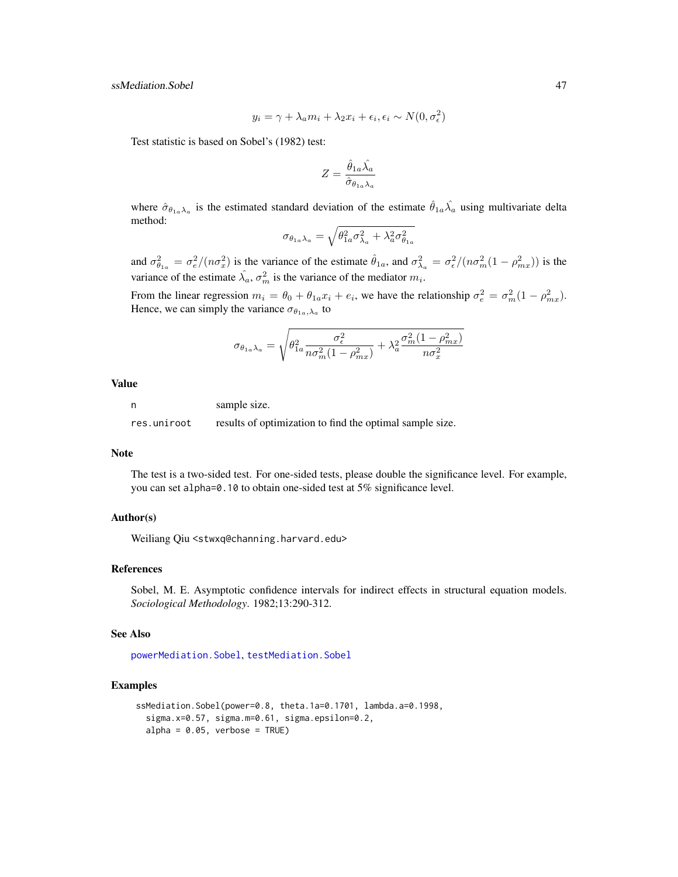<span id="page-46-0"></span>ssMediation.Sobel 47

$$
y_i = \gamma + \lambda_a m_i + \lambda_2 x_i + \epsilon_i, \epsilon_i \sim N(0, \sigma_{\epsilon}^2)
$$

Test statistic is based on Sobel's (1982) test:

$$
Z=\frac{\hat{\theta}_{1a}\hat{\lambda_a}}{\hat{\sigma}_{\theta_{1a}\lambda_a}}
$$

where  $\hat{\sigma}_{\theta_{1a}\lambda_a}$  is the estimated standard deviation of the estimate  $\hat{\theta}_{1a}\hat{\lambda_a}$  using multivariate delta method:

$$
\sigma_{\theta_{1a}\lambda_a} = \sqrt{\theta_{1a}^2 \sigma_{\lambda_a}^2 + \lambda_a^2 \sigma_{\theta_{1a}}^2}
$$

and  $\sigma_{\theta_{1a}}^2 = \frac{\sigma_e^2}{(n\sigma_x^2)}$  is the variance of the estimate  $\hat{\theta}_{1a}$ , and  $\sigma_{\lambda_a}^2 = \frac{\sigma_e^2}{(n\sigma_m^2(1-\rho_{mx}^2))}$  is the variance of the estimate  $\hat{\lambda}_a$ ,  $\sigma_m^2$  is the variance of the mediator  $m_i$ .

From the linear regression  $m_i = \theta_0 + \theta_{1a}x_i + e_i$ , we have the relationship  $\sigma_e^2 = \sigma_m^2(1 - \rho_{mx}^2)$ . Hence, we can simply the variance  $\sigma_{\theta_{1a},\lambda_a}$  to

$$
\sigma_{\theta_{1a}\lambda_a} = \sqrt{\theta_{1a}^2 \frac{\sigma_{\epsilon}^2}{n\sigma_m^2(1-\rho_{mx}^2)} + \lambda_a^2 \frac{\sigma_m^2(1-\rho_{mx}^2)}{n\sigma_x^2}}
$$

Value

n sample size.

res.uniroot results of optimization to find the optimal sample size.

#### Note

The test is a two-sided test. For one-sided tests, please double the significance level. For example, you can set alpha=0.10 to obtain one-sided test at 5% significance level.

# Author(s)

Weiliang Qiu <stwxq@channing.harvard.edu>

#### References

Sobel, M. E. Asymptotic confidence intervals for indirect effects in structural equation models. *Sociological Methodology*. 1982;13:290-312.

#### See Also

[powerMediation.Sobel](#page-22-1), [testMediation.Sobel](#page-55-1)

```
ssMediation.Sobel(power=0.8, theta.1a=0.1701, lambda.a=0.1998,
  sigma.x=0.57, sigma.m=0.61, sigma.epsilon=0.2,
  alpha = 0.05, verbose = TRUE)
```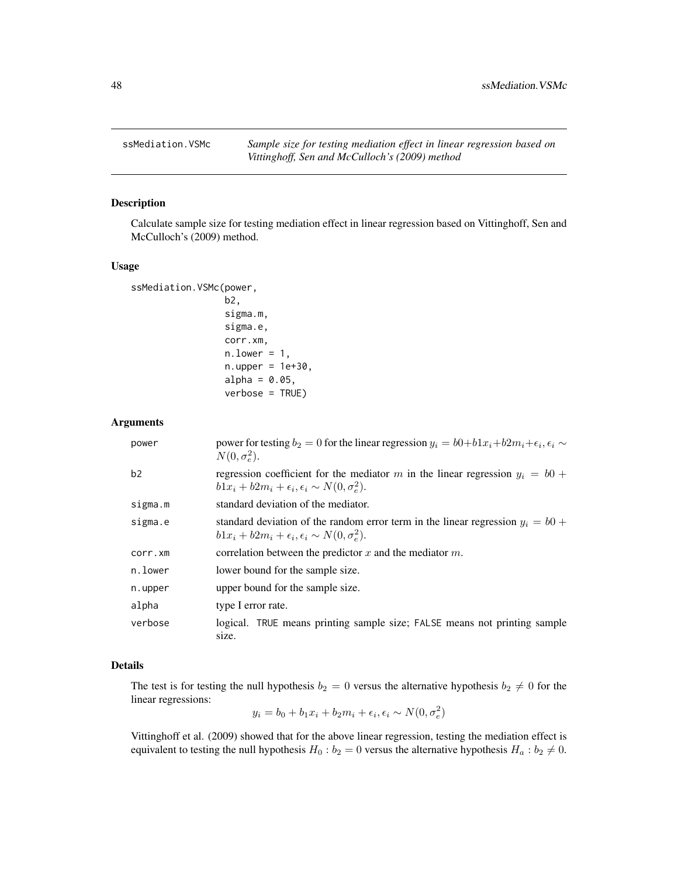<span id="page-47-1"></span><span id="page-47-0"></span>

# Description

Calculate sample size for testing mediation effect in linear regression based on Vittinghoff, Sen and McCulloch's (2009) method.

#### Usage

```
ssMediation.VSMc(power,
                 b2,
                  sigma.m,
                 sigma.e,
                 corr.xm,
                 n. lower = 1,n.upper = 1e+30,
                 alpha = 0.05,
                 verbose = TRUE)
```
# Arguments

| power   | power for testing $b_2 = 0$ for the linear regression $y_i = b0 + b1x_i + b2m_i + \epsilon_i, \epsilon_i \sim$<br>$N(0, \sigma_e^2)$ .                |
|---------|-------------------------------------------------------------------------------------------------------------------------------------------------------|
| b2      | regression coefficient for the mediator m in the linear regression $y_i = b0$ +<br>$b1x_i + b2m_i + \epsilon_i, \epsilon_i \sim N(0, \sigma_e^2)$ .   |
| sigma.m | standard deviation of the mediator.                                                                                                                   |
| sigma.e | standard deviation of the random error term in the linear regression $y_i = b0$ +<br>$b1x_i + b2m_i + \epsilon_i, \epsilon_i \sim N(0, \sigma_e^2)$ . |
| corr.xm | correlation between the predictor x and the mediator $m$ .                                                                                            |
| n.lower | lower bound for the sample size.                                                                                                                      |
| n.upper | upper bound for the sample size.                                                                                                                      |
| alpha   | type I error rate.                                                                                                                                    |
| verbose | logical. TRUE means printing sample size; FALSE means not printing sample<br>size.                                                                    |

# Details

The test is for testing the null hypothesis  $b_2 = 0$  versus the alternative hypothesis  $b_2 \neq 0$  for the linear regressions:

$$
y_i = b_0 + b_1 x_i + b_2 m_i + \epsilon_i, \epsilon_i \sim N(0, \sigma_e^2)
$$

Vittinghoff et al. (2009) showed that for the above linear regression, testing the mediation effect is equivalent to testing the null hypothesis  $H_0 : b_2 = 0$  versus the alternative hypothesis  $H_a : b_2 \neq 0$ .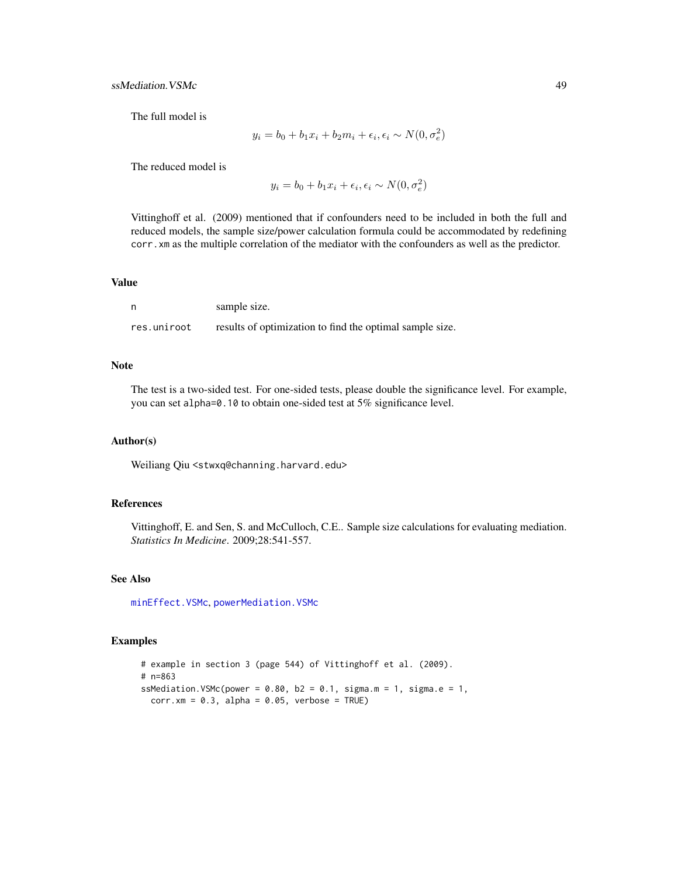<span id="page-48-0"></span>ssMediation. VSMc 49

The full model is

$$
y_i = b_0 + b_1 x_i + b_2 m_i + \epsilon_i, \epsilon_i \sim N(0, \sigma_e^2)
$$

The reduced model is

$$
y_i = b_0 + b_1 x_i + \epsilon_i, \epsilon_i \sim N(0, \sigma_e^2)
$$

Vittinghoff et al. (2009) mentioned that if confounders need to be included in both the full and reduced models, the sample size/power calculation formula could be accommodated by redefining corr.xm as the multiple correlation of the mediator with the confounders as well as the predictor.

#### Value

|             | sample size.                                             |
|-------------|----------------------------------------------------------|
| res.uniroot | results of optimization to find the optimal sample size. |

# Note

The test is a two-sided test. For one-sided tests, please double the significance level. For example, you can set alpha=0.10 to obtain one-sided test at 5% significance level.

#### Author(s)

Weiliang Qiu <stwxq@channing.harvard.edu>

### References

Vittinghoff, E. and Sen, S. and McCulloch, C.E.. Sample size calculations for evaluating mediation. *Statistics In Medicine*. 2009;28:541-557.

#### See Also

[minEffect.VSMc](#page-3-1), [powerMediation.VSMc](#page-24-1)

# Examples

# example in section 3 (page 544) of Vittinghoff et al. (2009). # n=863 ssMediation.VSMc(power =  $0.80$ , b2 =  $0.1$ , sigma.m = 1, sigma.e = 1,  $corr.xml = 0.3$ , alpha = 0.05, verbose = TRUE)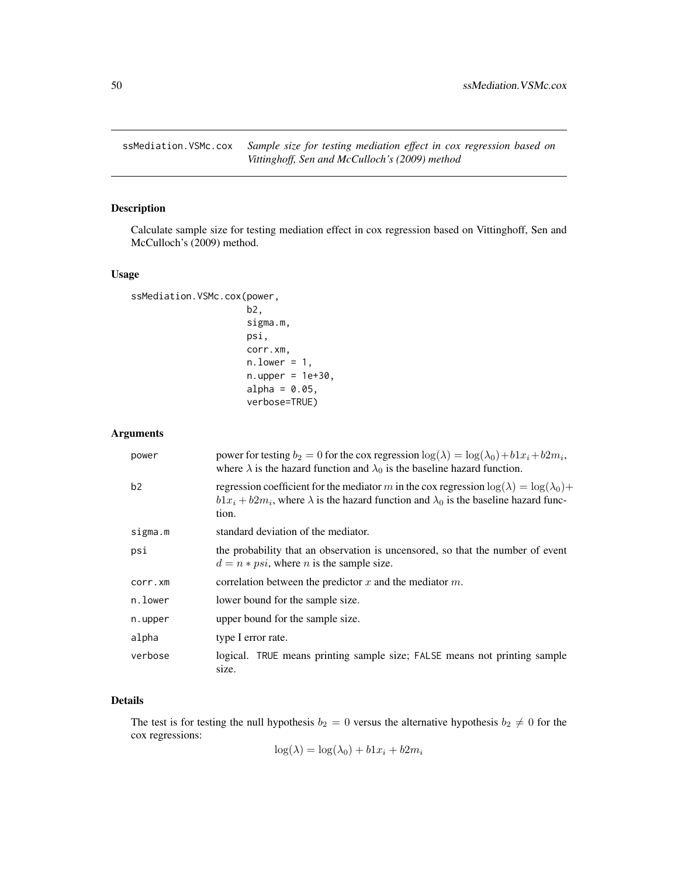<span id="page-49-1"></span><span id="page-49-0"></span>

# Description

Calculate sample size for testing mediation effect in cox regression based on Vittinghoff, Sen and McCulloch's (2009) method.

# Usage

```
ssMediation.VSMc.cox(power,
                     b2,
                     sigma.m,
                     psi,
                     corr.xm,
                     n. lower = 1,n.upper = 1e+30,alpha = 0.05,
                     verbose=TRUE)
```
# Arguments

| power          | power for testing $b_2 = 0$ for the cox regression $\log(\lambda) = \log(\lambda_0) + b1x_i + b2m_i$ ,<br>where $\lambda$ is the hazard function and $\lambda_0$ is the baseline hazard function.                     |
|----------------|-----------------------------------------------------------------------------------------------------------------------------------------------------------------------------------------------------------------------|
| b <sub>2</sub> | regression coefficient for the mediator m in the cox regression $\log(\lambda) = \log(\lambda_0) +$<br>$b1x_i + b2m_i$ , where $\lambda$ is the hazard function and $\lambda_0$ is the baseline hazard func-<br>tion. |
| sigma.m        | standard deviation of the mediator.                                                                                                                                                                                   |
| psi            | the probability that an observation is uncensored, so that the number of event<br>$d = n * psi$ , where <i>n</i> is the sample size.                                                                                  |
| corr.xm        | correlation between the predictor x and the mediator $m$ .                                                                                                                                                            |
| n.lower        | lower bound for the sample size.                                                                                                                                                                                      |
| n.upper        | upper bound for the sample size.                                                                                                                                                                                      |
| alpha          | type I error rate.                                                                                                                                                                                                    |
| verbose        | logical. TRUE means printing sample size; FALSE means not printing sample<br>size.                                                                                                                                    |

# Details

The test is for testing the null hypothesis  $b_2 = 0$  versus the alternative hypothesis  $b_2 \neq 0$  for the cox regressions:

$$
\log(\lambda) = \log(\lambda_0) + b1x_i + b2m_i
$$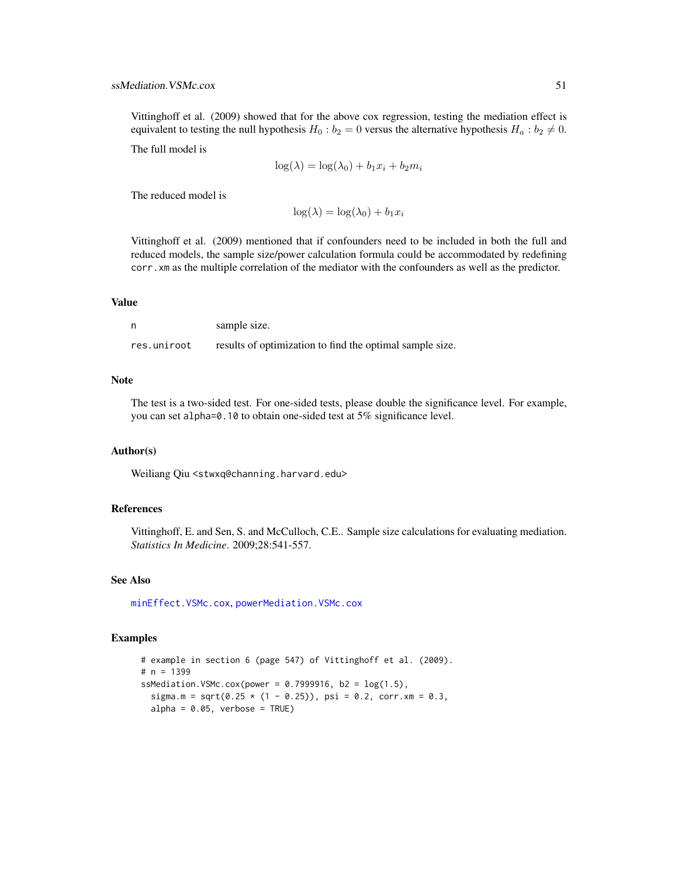<span id="page-50-0"></span>Vittinghoff et al. (2009) showed that for the above cox regression, testing the mediation effect is equivalent to testing the null hypothesis  $H_0 : b_2 = 0$  versus the alternative hypothesis  $H_a : b_2 \neq 0$ .

The full model is

$$
\log(\lambda) = \log(\lambda_0) + b_1 x_i + b_2 m_i
$$

The reduced model is

 $\log(\lambda) = \log(\lambda_0) + b_1 x_i$ 

Vittinghoff et al. (2009) mentioned that if confounders need to be included in both the full and reduced models, the sample size/power calculation formula could be accommodated by redefining corr.xm as the multiple correlation of the mediator with the confounders as well as the predictor.

#### Value

| n           | sample size.                                             |
|-------------|----------------------------------------------------------|
| res.uniroot | results of optimization to find the optimal sample size. |

#### **Note**

The test is a two-sided test. For one-sided tests, please double the significance level. For example, you can set alpha=0.10 to obtain one-sided test at 5% significance level.

# Author(s)

Weiliang Qiu <stwxq@channing.harvard.edu>

#### References

Vittinghoff, E. and Sen, S. and McCulloch, C.E.. Sample size calculations for evaluating mediation. *Statistics In Medicine*. 2009;28:541-557.

# See Also

[minEffect.VSMc.cox](#page-4-1), [powerMediation.VSMc.cox](#page-25-1)

```
# example in section 6 (page 547) of Vittinghoff et al. (2009).
# n = 1399
ssMediation.VSMc.cox(power = 0.7999916, b2 = log(1.5),
  sigma.m = sqrt(0.25 \times (1 - 0.25)), psi = 0.2, corr.xm = 0.3,
  alpha = 0.05, verbose = TRUE)
```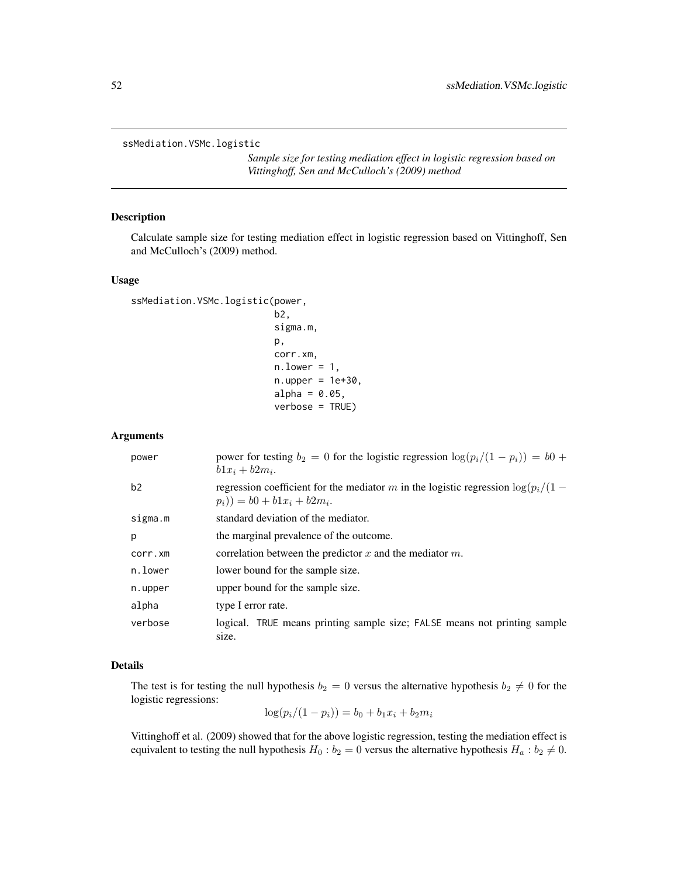<span id="page-51-1"></span><span id="page-51-0"></span>ssMediation.VSMc.logistic

*Sample size for testing mediation effect in logistic regression based on Vittinghoff, Sen and McCulloch's (2009) method*

# Description

Calculate sample size for testing mediation effect in logistic regression based on Vittinghoff, Sen and McCulloch's (2009) method.

#### Usage

```
ssMediation.VSMc.logistic(power,
```

```
b2,
sigma.m,
p,
corr.xm,
n. lower = 1,
n.upper = 1e+30,alpha = 0.05,
verbose = TRUE)
```
#### Arguments

| power   | power for testing $b_2 = 0$ for the logistic regression $\log(p_i/(1 - p_i)) = b_0 +$<br>$b1x_i + b2m_i.$             |
|---------|-----------------------------------------------------------------------------------------------------------------------|
| b2      | regression coefficient for the mediator m in the logistic regression $\log(p_i/(1 -$<br>$(p_i) = b0 + b1x_i + b2m_i.$ |
| sigma.m | standard deviation of the mediator.                                                                                   |
| p       | the marginal prevalence of the outcome.                                                                               |
| corr.xm | correlation between the predictor $x$ and the mediator $m$ .                                                          |
| n.lower | lower bound for the sample size.                                                                                      |
| n.upper | upper bound for the sample size.                                                                                      |
| alpha   | type I error rate.                                                                                                    |
| verbose | logical. TRUE means printing sample size; FALSE means not printing sample<br>size.                                    |

# Details

The test is for testing the null hypothesis  $b_2 = 0$  versus the alternative hypothesis  $b_2 \neq 0$  for the logistic regressions:

$$
\log(p_i/(1-p_i)) = b_0 + b_1 x_i + b_2 m_i
$$

Vittinghoff et al. (2009) showed that for the above logistic regression, testing the mediation effect is equivalent to testing the null hypothesis  $H_0 : b_2 = 0$  versus the alternative hypothesis  $H_a : b_2 \neq 0$ .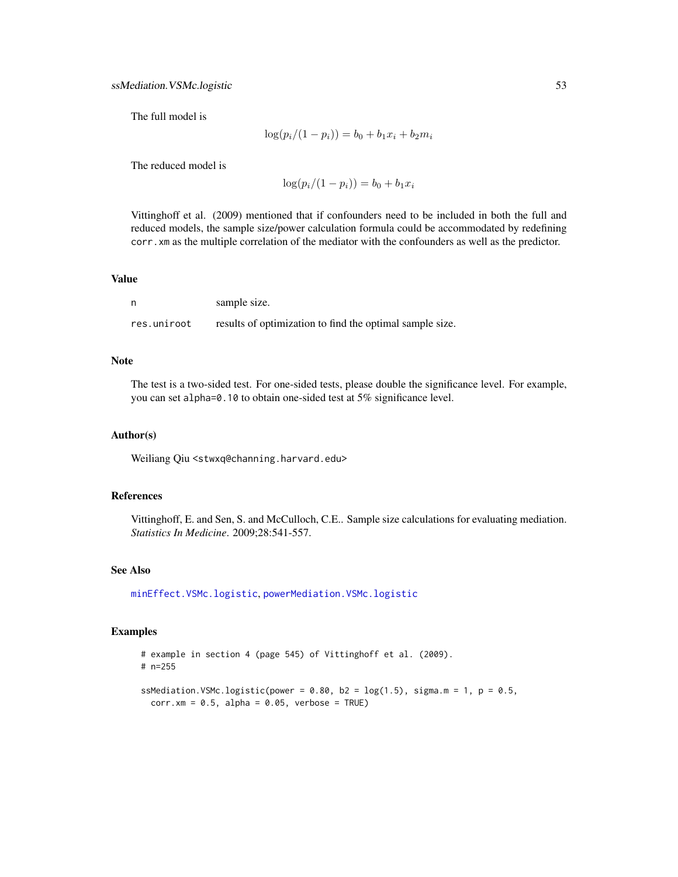<span id="page-52-0"></span>The full model is

$$
\log(p_i/(1-p_i)) = b_0 + b_1 x_i + b_2 m_i
$$

The reduced model is

$$
\log(p_i/(1-p_i)) = b_0 + b_1 x_i
$$

Vittinghoff et al. (2009) mentioned that if confounders need to be included in both the full and reduced models, the sample size/power calculation formula could be accommodated by redefining corr.xm as the multiple correlation of the mediator with the confounders as well as the predictor.

#### Value

|             | sample size.                                             |
|-------------|----------------------------------------------------------|
| res.uniroot | results of optimization to find the optimal sample size. |

# Note

The test is a two-sided test. For one-sided tests, please double the significance level. For example, you can set alpha=0.10 to obtain one-sided test at 5% significance level.

#### Author(s)

Weiliang Qiu <stwxq@channing.harvard.edu>

#### References

Vittinghoff, E. and Sen, S. and McCulloch, C.E.. Sample size calculations for evaluating mediation. *Statistics In Medicine*. 2009;28:541-557.

#### See Also

[minEffect.VSMc.logistic](#page-6-1), [powerMediation.VSMc.logistic](#page-27-1)

```
# example in section 4 (page 545) of Vittinghoff et al. (2009).
# n=255
```

```
ssMediation.VSMc.logistic(power = 0.80, b2 = log(1.5), sigma.m = 1, p = 0.5,
 corr.xml = 0.5, alpha = 0.05, verbose = TRUE)
```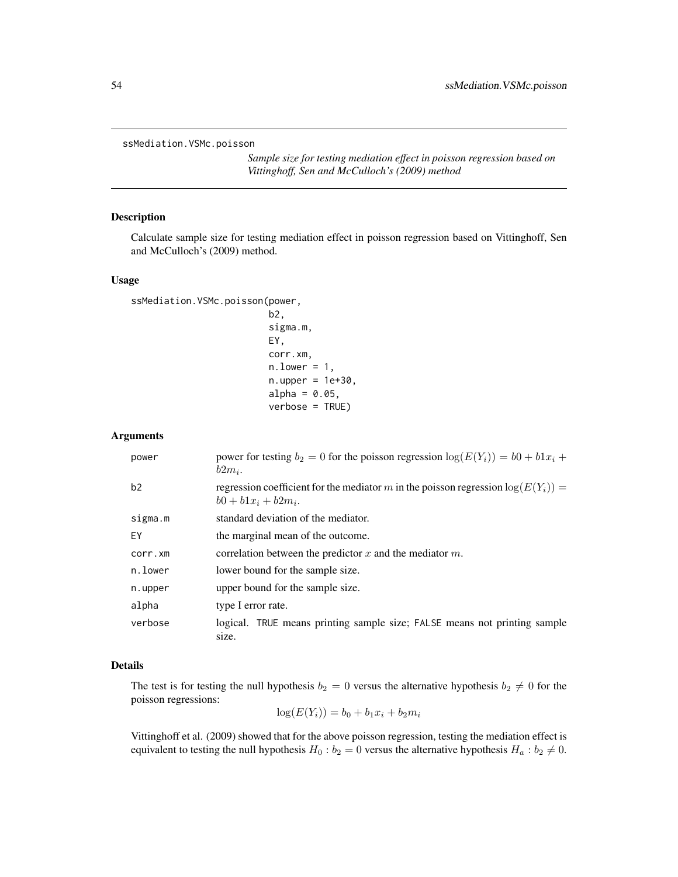<span id="page-53-1"></span><span id="page-53-0"></span>ssMediation.VSMc.poisson

*Sample size for testing mediation effect in poisson regression based on Vittinghoff, Sen and McCulloch's (2009) method*

#### Description

Calculate sample size for testing mediation effect in poisson regression based on Vittinghoff, Sen and McCulloch's (2009) method.

#### Usage

```
ssMediation.VSMc.poisson(power,
```

```
b2,
sigma.m,
EY,
corr.xm,
n. lower = 1,
n.upper = 1e+30,alpha = 0.05,
verbose = TRUE)
```
#### Arguments

| power   | power for testing $b_2 = 0$ for the poisson regression $\log(E(Y_i)) = b_0 + b_1x_i +$<br>$b2m_i$ .          |
|---------|--------------------------------------------------------------------------------------------------------------|
| b2      | regression coefficient for the mediator m in the poisson regression $log(E(Y_i))$ =<br>$b0 + b1x_i + b2m_i.$ |
| sigma.m | standard deviation of the mediator.                                                                          |
| EY      | the marginal mean of the outcome.                                                                            |
| corr.xm | correlation between the predictor x and the mediator $m$ .                                                   |
| n.lower | lower bound for the sample size.                                                                             |
| n.upper | upper bound for the sample size.                                                                             |
| alpha   | type I error rate.                                                                                           |
| verbose | logical. TRUE means printing sample size; FALSE means not printing sample<br>size.                           |

# Details

The test is for testing the null hypothesis  $b_2 = 0$  versus the alternative hypothesis  $b_2 \neq 0$  for the poisson regressions:

 $log(E(Y_i)) = b_0 + b_1x_i + b_2m_i$ 

Vittinghoff et al. (2009) showed that for the above poisson regression, testing the mediation effect is equivalent to testing the null hypothesis  $H_0 : b_2 = 0$  versus the alternative hypothesis  $H_a : b_2 \neq 0$ .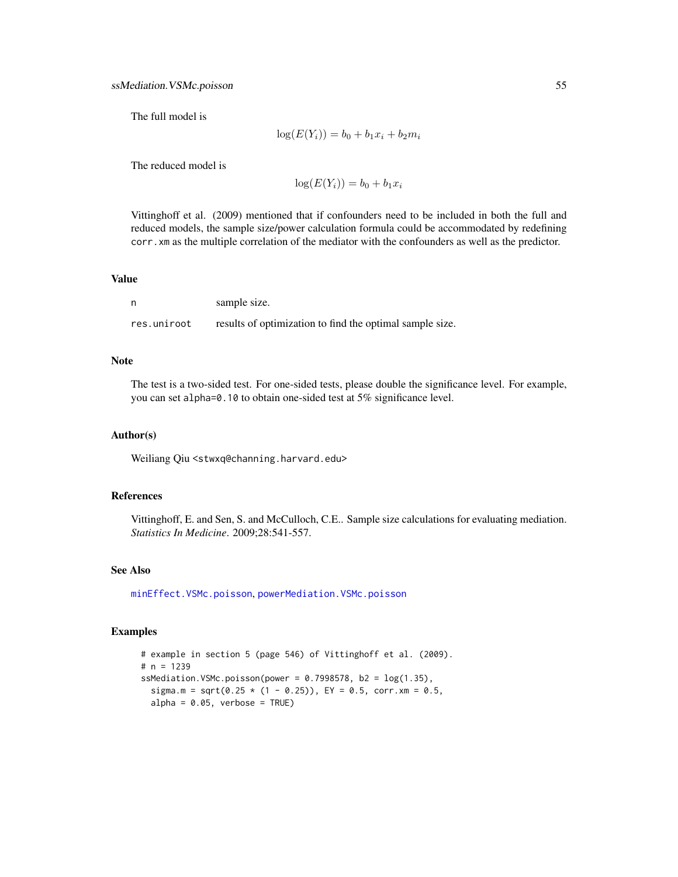<span id="page-54-0"></span>The full model is

$$
log(E(Y_i)) = b_0 + b_1 x_i + b_2 m_i
$$

The reduced model is

 $log(E(Y_i)) = b_0 + b_1x_i$ 

Vittinghoff et al. (2009) mentioned that if confounders need to be included in both the full and reduced models, the sample size/power calculation formula could be accommodated by redefining corr.xm as the multiple correlation of the mediator with the confounders as well as the predictor.

#### Value

|             | sample size.                                             |
|-------------|----------------------------------------------------------|
| res.uniroot | results of optimization to find the optimal sample size. |

# Note

The test is a two-sided test. For one-sided tests, please double the significance level. For example, you can set alpha=0.10 to obtain one-sided test at 5% significance level.

#### Author(s)

Weiliang Qiu <stwxq@channing.harvard.edu>

#### References

Vittinghoff, E. and Sen, S. and McCulloch, C.E.. Sample size calculations for evaluating mediation. *Statistics In Medicine*. 2009;28:541-557.

#### See Also

[minEffect.VSMc.poisson](#page-8-1), [powerMediation.VSMc.poisson](#page-29-1)

```
# example in section 5 (page 546) of Vittinghoff et al. (2009).
# n = 1239
ssMediation.VSMc.poisson(power = 0.7998578, b2 = log(1.35),
  sigma.m = sqrt(0.25 * (1 - 0.25)), EY = 0.5, corr.xm = 0.5,
  alpha = 0.05, verbose = TRUE)
```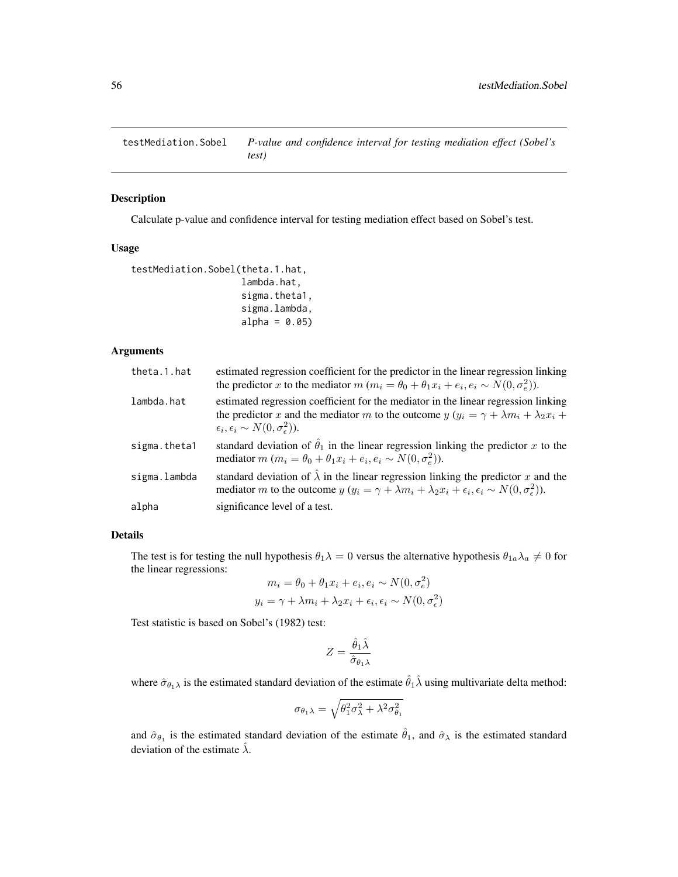<span id="page-55-1"></span><span id="page-55-0"></span>testMediation.Sobel *P-value and confidence interval for testing mediation effect (Sobel's test)*

#### Description

Calculate p-value and confidence interval for testing mediation effect based on Sobel's test.

#### Usage

```
testMediation.Sobel(theta.1.hat,
                    lambda.hat,
                    sigma.theta1,
                    sigma.lambda,
                    alpha = 0.05
```
# Arguments

| theta.1.hat  | estimated regression coefficient for the predictor in the linear regression linking<br>the predictor x to the mediator $m (m_i = \theta_0 + \theta_1 x_i + e_i, e_i \sim N(0, \sigma_e^2)).$                                                          |
|--------------|-------------------------------------------------------------------------------------------------------------------------------------------------------------------------------------------------------------------------------------------------------|
| lambda.hat   | estimated regression coefficient for the mediator in the linear regression linking<br>the predictor x and the mediator m to the outcome $y(y_i = \gamma + \lambda m_i + \lambda_2 x_i +$<br>$\epsilon_i, \epsilon_i \sim N(0, \sigma_{\epsilon}^2)$ . |
| sigma.theta1 | standard deviation of $\hat{\theta}_1$ in the linear regression linking the predictor x to the<br>mediator $m (m_i = \theta_0 + \theta_1 x_i + e_i, e_i \sim N(0, \sigma_e^2)).$                                                                      |
| sigma.lambda | standard deviation of $\hat{\lambda}$ in the linear regression linking the predictor x and the<br>mediator m to the outcome $y (y_i = \gamma + \lambda m_i + \lambda_2 x_i + \epsilon_i, \epsilon_i \sim N(0, \sigma^2))$ .                           |
| alpha        | significance level of a test.                                                                                                                                                                                                                         |

# Details

The test is for testing the null hypothesis  $\theta_1 \lambda = 0$  versus the alternative hypothesis  $\theta_{1a} \lambda_a \neq 0$  for the linear regressions:

$$
m_i = \theta_0 + \theta_1 x_i + e_i, e_i \sim N(0, \sigma_e^2)
$$
  

$$
y_i = \gamma + \lambda m_i + \lambda_2 x_i + \epsilon_i, \epsilon_i \sim N(0, \sigma_e^2)
$$

Test statistic is based on Sobel's (1982) test:

$$
Z=\frac{\hat{\theta}_1\hat{\lambda}}{\hat{\sigma}_{\theta_1\lambda}}
$$

where  $\hat{\sigma}_{\theta_1\lambda}$  is the estimated standard deviation of the estimate  $\hat{\theta}_1\hat{\lambda}$  using multivariate delta method:

$$
\sigma_{\theta_1\lambda} = \sqrt{\theta_1^2 \sigma_\lambda^2 + \lambda^2 \sigma_{\theta_1}^2}
$$

and  $\hat{\sigma}_{\theta_1}$  is the estimated standard deviation of the estimate  $\hat{\theta}_1$ , and  $\hat{\sigma}_\lambda$  is the estimated standard deviation of the estimate  $\hat{\lambda}$ .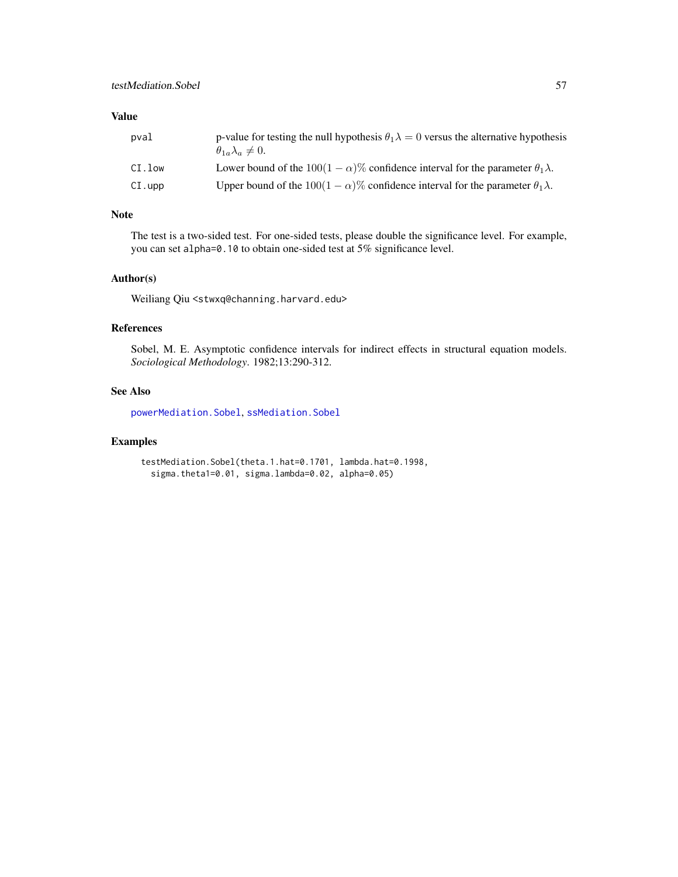# <span id="page-56-0"></span>Value

| pval      | p-value for testing the null hypothesis $\theta_1 \lambda = 0$ versus the alternative hypothesis<br>$\theta_{1a}\lambda_a\neq 0.$ |
|-----------|-----------------------------------------------------------------------------------------------------------------------------------|
| CI.low    | Lower bound of the $100(1 - \alpha)$ % confidence interval for the parameter $\theta_1 \lambda$ .                                 |
| $CI.$ upp | Upper bound of the $100(1 - \alpha)\%$ confidence interval for the parameter $\theta_1 \lambda$ .                                 |

# Note

The test is a two-sided test. For one-sided tests, please double the significance level. For example, you can set alpha=0.10 to obtain one-sided test at 5% significance level.

#### Author(s)

Weiliang Qiu <stwxq@channing.harvard.edu>

# References

Sobel, M. E. Asymptotic confidence intervals for indirect effects in structural equation models. *Sociological Methodology*. 1982;13:290-312.

#### See Also

[powerMediation.Sobel](#page-22-1), [ssMediation.Sobel](#page-45-1)

```
testMediation.Sobel(theta.1.hat=0.1701, lambda.hat=0.1998,
  sigma.theta1=0.01, sigma.lambda=0.02, alpha=0.05)
```